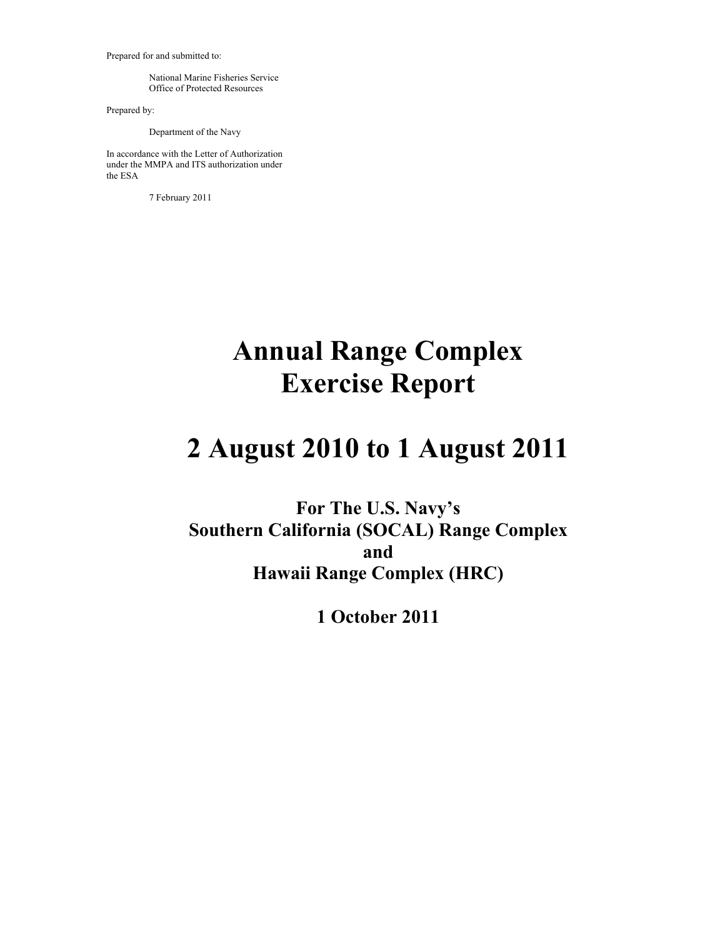Prepared for and submitted to:

 National Marine Fisheries Service Office of Protected Resources

Prepared by:

Department of the Navy

In accordance with the Letter of Authorization under the MMPA and ITS authorization under the ESA

7 February 2011

# **Annual Range Complex Exercise Report**

# **2 August 2010 to 1 August 2011**

**For The U.S. Navy's Southern California (SOCAL) Range Complex and Hawaii Range Complex (HRC)** 

**1 October 2011**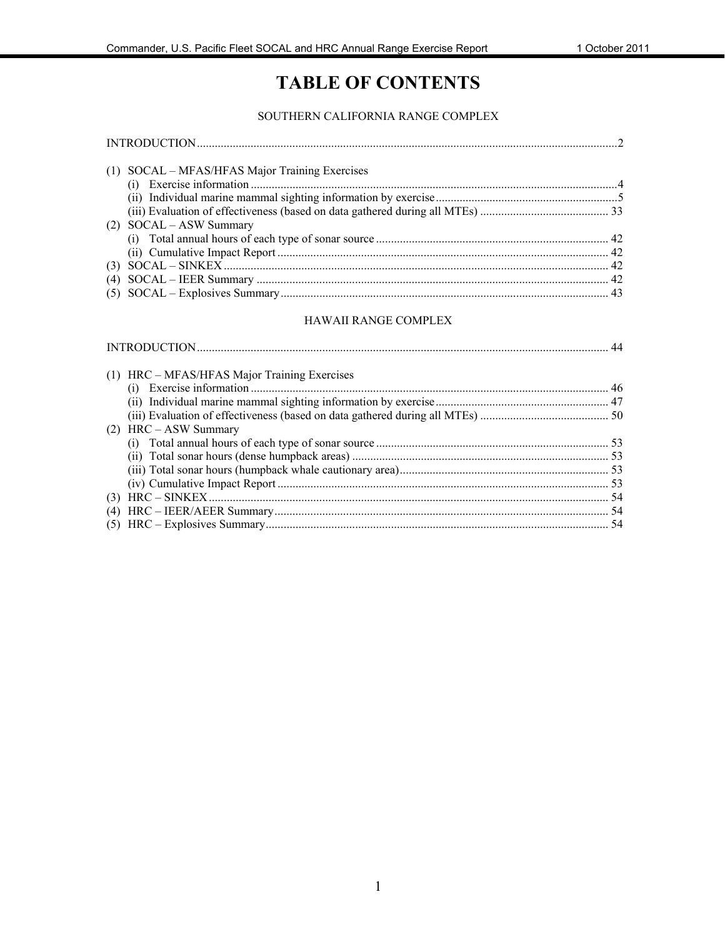# **TABLE OF CONTENTS**

#### SOUTHERN CALIFORNIA RANGE COMPLEX

|     | (1) SOCAL – MFAS/HFAS Major Training Exercises |  |
|-----|------------------------------------------------|--|
| (i) |                                                |  |
|     |                                                |  |
|     |                                                |  |
|     | (2) SOCAL - ASW Summary                        |  |
|     |                                                |  |
|     |                                                |  |
|     |                                                |  |
|     |                                                |  |
|     |                                                |  |
|     |                                                |  |

#### HAWAII RANGE COMPLEX

| (1) HRC – MFAS/HFAS Major Training Exercises |  |
|----------------------------------------------|--|
|                                              |  |
|                                              |  |
|                                              |  |
| $(2)$ HRC – ASW Summary                      |  |
|                                              |  |
|                                              |  |
|                                              |  |
|                                              |  |
|                                              |  |
|                                              |  |
|                                              |  |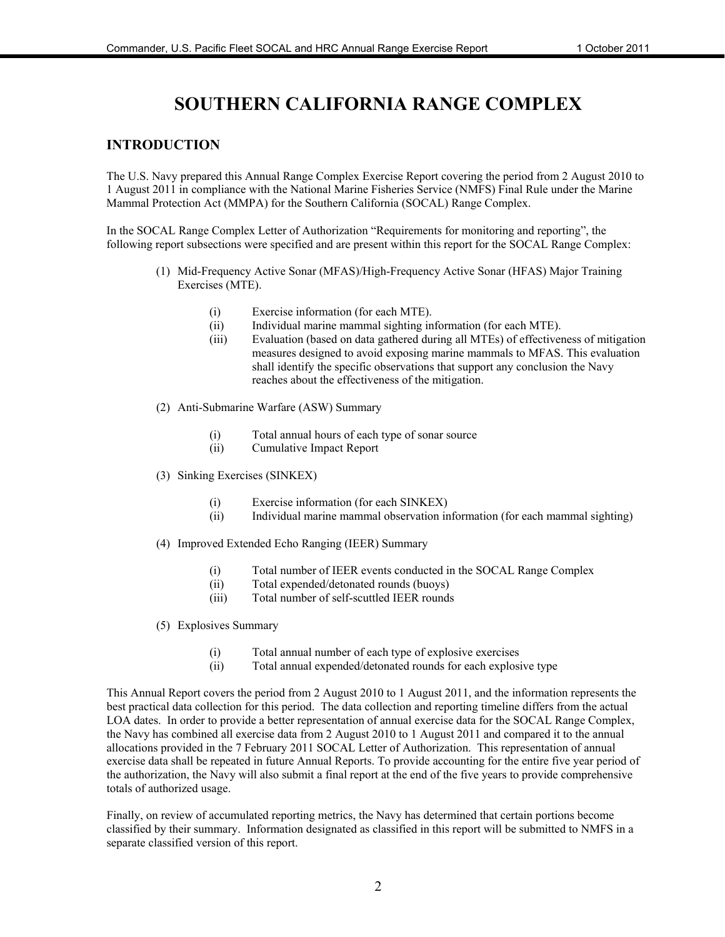# **SOUTHERN CALIFORNIA RANGE COMPLEX**

#### **INTRODUCTION**

The U.S. Navy prepared this Annual Range Complex Exercise Report covering the period from 2 August 2010 to 1 August 2011 in compliance with the National Marine Fisheries Service (NMFS) Final Rule under the Marine Mammal Protection Act (MMPA) for the Southern California (SOCAL) Range Complex.

In the SOCAL Range Complex Letter of Authorization "Requirements for monitoring and reporting", the following report subsections were specified and are present within this report for the SOCAL Range Complex:

- (1) Mid-Frequency Active Sonar (MFAS)/High-Frequency Active Sonar (HFAS) Major Training Exercises (MTE).
	- (i) Exercise information (for each MTE).
	- (ii) Individual marine mammal sighting information (for each MTE).
	- (iii) Evaluation (based on data gathered during all MTEs) of effectiveness of mitigation measures designed to avoid exposing marine mammals to MFAS. This evaluation shall identify the specific observations that support any conclusion the Navy reaches about the effectiveness of the mitigation.
- (2) Anti-Submarine Warfare (ASW) Summary
	- (i) Total annual hours of each type of sonar source
	- (ii) Cumulative Impact Report
- (3) Sinking Exercises (SINKEX)
	- (i) Exercise information (for each SINKEX)
	- (ii) Individual marine mammal observation information (for each mammal sighting)
- (4) Improved Extended Echo Ranging (IEER) Summary
	- (i) Total number of IEER events conducted in the SOCAL Range Complex
	- (ii) Total expended/detonated rounds (buoys)
	- (iii) Total number of self-scuttled IEER rounds
- (5) Explosives Summary
	- (i) Total annual number of each type of explosive exercises
	- (ii) Total annual expended/detonated rounds for each explosive type

This Annual Report covers the period from 2 August 2010 to 1 August 2011, and the information represents the best practical data collection for this period. The data collection and reporting timeline differs from the actual LOA dates. In order to provide a better representation of annual exercise data for the SOCAL Range Complex, the Navy has combined all exercise data from 2 August 2010 to 1 August 2011 and compared it to the annual allocations provided in the 7 February 2011 SOCAL Letter of Authorization. This representation of annual exercise data shall be repeated in future Annual Reports. To provide accounting for the entire five year period of the authorization, the Navy will also submit a final report at the end of the five years to provide comprehensive totals of authorized usage.

Finally, on review of accumulated reporting metrics, the Navy has determined that certain portions become classified by their summary. Information designated as classified in this report will be submitted to NMFS in a separate classified version of this report.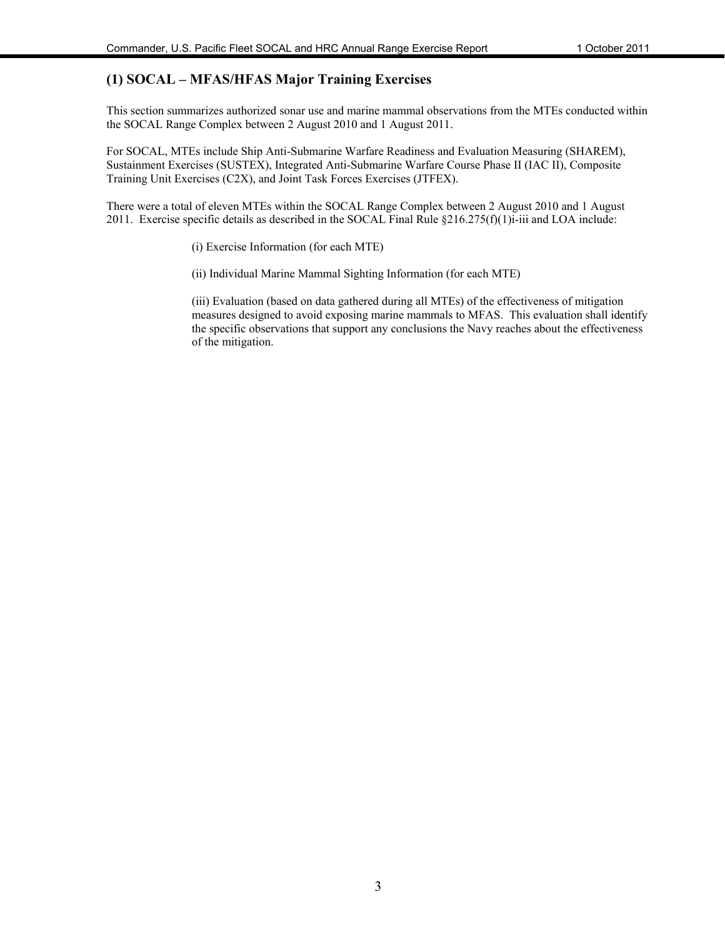### **(1) SOCAL – MFAS/HFAS Major Training Exercises**

This section summarizes authorized sonar use and marine mammal observations from the MTEs conducted within the SOCAL Range Complex between 2 August 2010 and 1 August 2011.

For SOCAL, MTEs include Ship Anti-Submarine Warfare Readiness and Evaluation Measuring (SHAREM), Sustainment Exercises (SUSTEX), Integrated Anti-Submarine Warfare Course Phase II (IAC II), Composite Training Unit Exercises (C2X), and Joint Task Forces Exercises (JTFEX).

There were a total of eleven MTEs within the SOCAL Range Complex between 2 August 2010 and 1 August 2011. Exercise specific details as described in the SOCAL Final Rule  $\S216.275(f)(1)$ i-iii and LOA include:

(i) Exercise Information (for each MTE)

(ii) Individual Marine Mammal Sighting Information (for each MTE)

(iii) Evaluation (based on data gathered during all MTEs) of the effectiveness of mitigation measures designed to avoid exposing marine mammals to MFAS. This evaluation shall identify the specific observations that support any conclusions the Navy reaches about the effectiveness of the mitigation.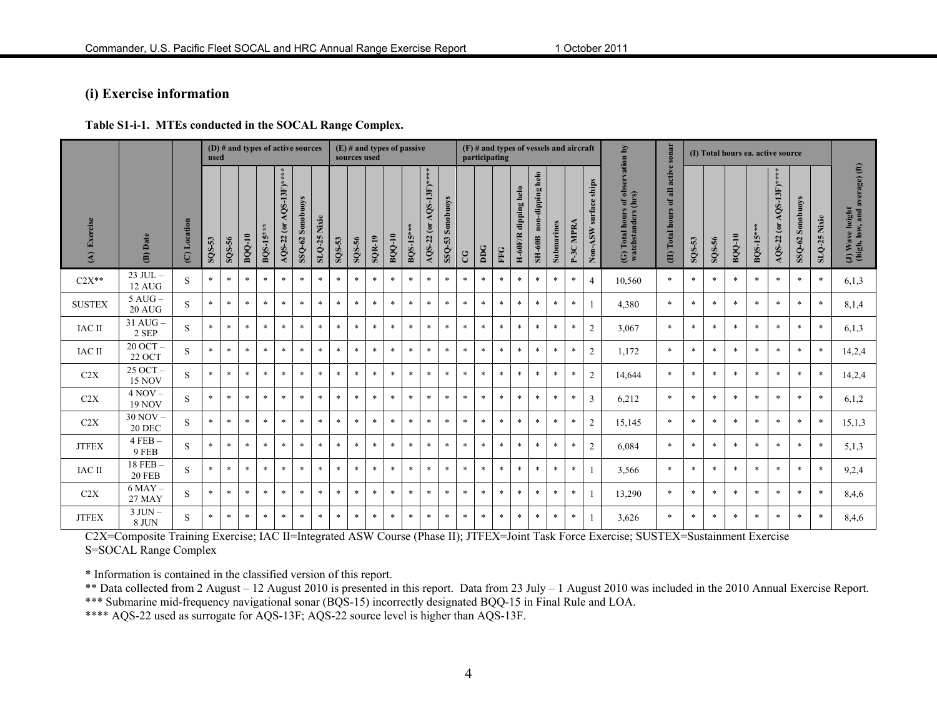### **(i) Exercise information**

#### **Table S1-i-1. MTEs conducted in the SOCAL Range Complex.**

|                           |                               |              | used       |        |               | (D) $\#$ and types of active sources |                              |                  |                   |        | sources used |          | $(E)$ # and types of passive |                 |                               |                  |        |              | $(F)$ # and types of vessels and aircraft<br>participating |                      |                                          |            |           |                          |                                                          | sonar                            |                             | (I) Total hours ea. active source |               |            |                            |                     |                   |                                                       |
|---------------------------|-------------------------------|--------------|------------|--------|---------------|--------------------------------------|------------------------------|------------------|-------------------|--------|--------------|----------|------------------------------|-----------------|-------------------------------|------------------|--------|--------------|------------------------------------------------------------|----------------------|------------------------------------------|------------|-----------|--------------------------|----------------------------------------------------------|----------------------------------|-----------------------------|-----------------------------------|---------------|------------|----------------------------|---------------------|-------------------|-------------------------------------------------------|
| Exercise<br>$\widehat{A}$ | (B) Date                      | (C) Location | $SO(8-53)$ | SQS-56 | <b>BQQ-10</b> | BQS-15**                             | $AQS-22$ (or $AQS-13F$ )**** | SSQ-62 Sonobuoys | Nixie<br>$SLQ-25$ | SQS-53 | SQS-56       | $SQR-19$ | <b>BQQ-10</b>                | <b>BQS-15**</b> | $A$ QS-13F)****<br>AQS-22 (or | SSQ-53 Sonobuoys | C      | $_{\rm DDG}$ | FFG                                                        | H-60F/R dipping helo | non-dipping helo<br>$\rm SH{\text -}60B$ | Submarines | P-3C MPRA | ships<br>Non-ASW surface | (G) Total hours of observation by<br>watchstanders (hrs) | of all active<br>(H) Total hours | ${\bf SO8}\text{-}{\bf S3}$ | SQS-56                            | <b>BQQ-10</b> | $BQS-15**$ | $AQS-22$ (or $AQS-13F)***$ | Sonobuoys<br>SSQ-62 | Nixie<br>$SLQ-25$ | average) (ft)<br>(J) Wave height<br>(high, low, and a |
| $C2X**$                   | $23$ JUL $-$<br>12 AUG        | S            | $*$        | $\ast$ | $\ast$        | $\ast$                               | $\ast$                       | $\ast$           | $\ast$            | $\ast$ | $\ast$       | $\ast$   | $\ast$                       | $\ast$          | $\ast$                        | $\ast$           | $\ast$ | $*$          | $\ast$                                                     | $\ast$               | $\ast$                                   | $\ast$     | $\ast$    | $\overline{4}$           | 10,560                                                   | $\ast$                           | $*$                         | $\ast$                            | $\ast$        | $\ast$     | $\ast$                     | $*$                 | $\ast$            | 6,1,3                                                 |
| <b>SUSTEX</b>             | $5$ AUG $-$<br><b>20 AUG</b>  | S            | $\ast$     | $\ast$ | $\ast$        | $\ast$                               | $\ast$                       | $\ast$           | $\ast$            | $\ast$ | $\ast$       | $\ast$   | $\ast$                       | $\ast$          | $\ast$                        | $\ast$           | $\ast$ | $\ast$       | $\ast$                                                     | $\ast$               | $\ast$                                   | $\ast$     | $\ast$    |                          | 4,380                                                    | $\ast$                           | $\ast$                      | $\ast$                            |               | $\ast$     | $\ast$                     | $\ast$              | $\ast$            | 8,1,4                                                 |
| <b>IAC II</b>             | $31$ AUG $-$<br>2 SEP         | S            | $\ast$     | $\ast$ | $\ast$        | $\ast$                               | $\ast$                       | $\ast$           | $\ast$            | $\ast$ | $\ast$       | $\ast$   | $\ast$                       | $\ast$          | $\ast$                        | $\ast$           | $\ast$ | $\ast$       | $\ast$                                                     | $\ast$               | $\ast$                                   | $\ast$     | $\ast$    | 2                        | 3,067                                                    | $\ast$                           | $\ast$                      | $\ast$                            | $\ast$        | $\ast$     | $\ast$                     | $\ast$              | $\ast$            | 6,1,3                                                 |
| <b>IAC II</b>             | $20$ OCT $-$<br><b>22 OCT</b> | S            | $\ast$     | $\ast$ | $\ast$        | $\ast$                               | $\ast$                       | $\ast$           | $\ast$            | $\ast$ | $\ast$       | $\ast$   | $\ast$                       | $\ast$          | $*$                           | $\ast$           | $\ast$ | $\ast$       | $\ast$                                                     | $\ast$               | $\ast$                                   | $\ast$     | $\ast$    | $\overline{2}$           | 1,172                                                    | $\ast$                           | $\ast$                      | $\ast$                            | $\ast$        | $\ast$     | $\ast$                     | $\ast$              | $\ast$            | 14,2,4                                                |
| C2X                       | 25 OCT-<br><b>15 NOV</b>      | S            | $\ast$     | $\ast$ | $\ast$        | $\ast$                               | $\ast$                       | $\ast$           | $\ast$            | $\ast$ | $\ast$       | $\ast$   | $\ast$                       | $\ast$          | $\ast$                        | $\ast$           | $\ast$ | $*$          | $\ast$                                                     | $\ast$               | $\ast$                                   | $\ast$     | $\ast$    | 2                        | 14.644                                                   | $\ast$                           | $\ast$                      | $\ast$                            | $\ast$        | $\ast$     | $\ast$                     | $\ast$              | $\ast$            | 14,2,4                                                |
| C2X                       | $4 NOV -$<br><b>19 NOV</b>    | <sup>S</sup> | $\ast$     | $\ast$ | $\ast$        | $\ast$                               | $\ast$                       | $\ast$           | $\ast$            | $\ast$ | $\ast$       | $\ast$   | $\ast$                       | $\ast$          | $\ast$                        | $\ast$           | $\ast$ | $*$          | $\ast$                                                     | $\ast$               | $\ast$                                   | $\ast$     | $\ast$    | $\mathbf{3}$             | 6,212                                                    | $\ast$                           | $\ast$                      | $\ast$                            | $\ast$        | $\ast$     | $\ast$                     | $\ast$              | $\ast$            | 6,1,2                                                 |
| C2X                       | $30 NOV -$<br><b>20 DEC</b>   | S            | $\ast$     | $\ast$ | $\ast$        | $\ast$                               | $\ast$                       | $\ast$           | $\ast$            | $\ast$ | $\ast$       | $\ast$   | $\ast$                       | $\ast$          | $\ast$                        | $\ast$           | $\ast$ | $\ast$       | $\ast$                                                     | $\ast$               | $\ast$                                   | $\ast$     | $\ast$    | 2                        | 15,145                                                   | $\ast$                           | $\ast$                      | $\ast$                            | $\ast$        | $\ast$     | $\ast$                     | $\ast$              | $\ast$            | 15,1,3                                                |
| <b>JTFEX</b>              | $4$ FEB $-$<br>9 FEB          | S            | $*$        | $\ast$ | $\ast$        | $\ast$                               | $\ast$                       | $\ast$           | $\ast$            | $\ast$ | $\ast$       | $\ast$   | $\ast$                       | $*$             | $\ast$                        | $\ast$           | $\ast$ | $\ast$       | $\ast$                                                     | $\ast$               | $\ast$                                   | $\ast$     | $\ast$    | $\overline{2}$           | 6,084                                                    | $\ast$                           | $*$                         | $\ast$                            | $*$           | $\ast$     | $\ast$                     | $*$                 | $\ast$            | 5,1,3                                                 |
| <b>IAC II</b>             | $18$ FEB $-$<br><b>20 FEB</b> | S            | $\ast$     | $\ast$ | $\ast$        | $\ast$                               | $\ast$                       | $\ast$           | $\ast$            | $\ast$ | $\ast$       | $\ast$   | $\ast$                       | $\ast$          | $\ast$                        | $\ast$           | $\ast$ | $\ast$       | $\ast$                                                     | $\ast$               | $\ast$                                   | $\ast$     | $\ast$    |                          | 3,566                                                    | $\ast$                           | $\ast$                      | $\ast$                            | $\ast$        | $\ast$     | $\ast$                     | $\ast$              | $\ast$            | 9,2,4                                                 |
| C2X                       | $6$ MAY $-$<br><b>27 MAY</b>  | S            | $\ast$     | $\ast$ | $\ast$        | $\ast$                               | $\ast$                       | $\ast$           | $\ast$            | $\ast$ | $\ast$       | $\ast$   | $\ast$                       | $\ast$          | $\ast$                        | $\ast$           | $\ast$ | $\ast$       | $\ast$                                                     | $\ast$               | $\ast$                                   | $\ast$     | $\ast$    |                          | 13,290                                                   | $\ast$                           | $\ast$                      | $\ast$                            | $\ast$        | $\ast$     | $\ast$                     | $\ast$              | $\ast$            | 8,4,6                                                 |
| <b>JTFEX</b>              | $3$ JUN $-$<br>8 JUN          | S            | $\ast$     | $\ast$ | $\ast$        | $\ast$                               | $\ast$                       | $\ast$           | $\ast$            | $\ast$ | $\ast$       | $\ast$   | $\ast$                       | $\ast$          | $\ast$                        | $\ast$           | $\ast$ | $\ast$       | $\ast$                                                     | $\ast$               | $\ast$                                   | $\ast$     | $\ast$    |                          | 3,626                                                    | $\ast$                           | $\ast$                      | $\ast$                            | $\ast$        | $\ast$     | $\ast$                     | $\ast$              | $\ast$            | 8,4,6                                                 |

C2X=Composite Training Exercise; IAC II=Integrated ASW Course (Phase II); JTFEX=Joint Task Force Exercise; SUSTEX=Sustainment Exercise S=SOCAL Range Complex

\* Information is contained in the classified version of this report.

\*\* Data collected from 2 August – 12 August 2010 is presented in this report. Data from 23 July – 1 August 2010 was included in the 2010 Annual Exercise Report. \*\*\* Submarine mid-frequency navigational sonar (BQS-15) incorrectly designated BQQ-15 in Final Rule and LOA.

\*\*\*\* AQS-22 used as surrogate for AQS-13F; AQS-22 source level is higher than AQS-13F.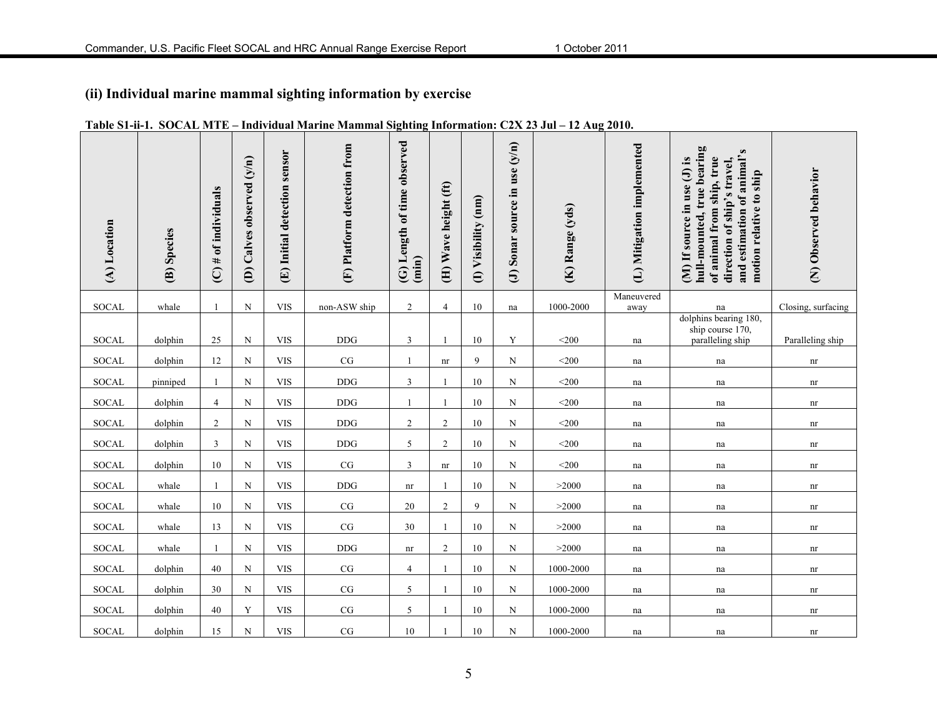## **(ii) Individual marine mammal sighting information by exercise**

| (A) Location | (B) Species | of individuals<br>$\overline{C}$ # | (D) Calves observed (y/n) | (E) Initial detection sensor | (F) Platform detection from | (G) Length of time observed<br>(imin) | (H) Wave height (ft) | (I) Visibility (nm) | (J) Sonar source in use $(y/n)$ | (K) Range (yds) | (L) Mitigation implemented | hull-mounted, true bearing<br>and estimation of animal's<br>of animal from ship, true<br>(M) If source in use (J) is<br>direction of ship's travel,<br>motion relative to ship | (N) Observed behavior      |
|--------------|-------------|------------------------------------|---------------------------|------------------------------|-----------------------------|---------------------------------------|----------------------|---------------------|---------------------------------|-----------------|----------------------------|--------------------------------------------------------------------------------------------------------------------------------------------------------------------------------|----------------------------|
| <b>SOCAL</b> | whale       | $\mathbf{1}$                       | $\mathbf N$               | <b>VIS</b>                   | non-ASW ship                | $\overline{2}$                        | $\overline{4}$       | $10\,$              | na                              | 1000-2000       | Maneuvered<br>away         | na                                                                                                                                                                             | Closing, surfacing         |
| SOCAL        | dolphin     | $25\,$                             | $\mathbf N$               | <b>VIS</b>                   | $\rm{DDG}$                  | $\mathfrak{Z}$                        | $\mathbf{1}$         | 10                  | Y                               | $<$ 200         | na                         | dolphins bearing 180,<br>ship course 170,<br>paralleling ship                                                                                                                  | Paralleling ship           |
| SOCAL        | dolphin     | 12                                 | ${\bf N}$                 | <b>VIS</b>                   | CG                          | -1                                    | nr                   | 9                   | $\mathbf N$                     | $<$ 200         | na                         | na                                                                                                                                                                             | $\mathop{\rm nr}\nolimits$ |
| <b>SOCAL</b> | pinniped    | $\mathbf{1}$                       | $\mathbf N$               | <b>VIS</b>                   | <b>DDG</b>                  | 3                                     | $\overline{1}$       | 10                  | N                               | $<$ 200         | na                         | na                                                                                                                                                                             | nr                         |
| SOCAL        | dolphin     | $\overline{4}$                     | N                         | <b>VIS</b>                   | <b>DDG</b>                  | -1                                    | $\overline{1}$       | 10                  | N                               | $<$ 200         | na                         | na                                                                                                                                                                             | nr                         |
| SOCAL        | dolphin     | $\overline{2}$                     | $\mathbf N$               | <b>VIS</b>                   | $\rm{DDG}$                  | $\overline{2}$                        | $\overline{2}$       | $10\,$              | N                               | $<$ 200 $\,$    | na                         | na                                                                                                                                                                             | nr                         |
| <b>SOCAL</b> | dolphin     | $\mathbf{3}$                       | $\mathbf N$               | <b>VIS</b>                   | $\rm{DDG}$                  | 5                                     | 2                    | 10                  | N                               | $<$ 200 $\,$    | na                         | na                                                                                                                                                                             | nr                         |
| SOCAL        | dolphin     | 10                                 | N                         | <b>VIS</b>                   | CG                          | 3                                     | nr                   | 10                  | N                               | $<$ 200         | na                         | na                                                                                                                                                                             | nr                         |
| <b>SOCAL</b> | whale       | $\mathbf{1}$                       | $\mathbf N$               | <b>VIS</b>                   | $\operatorname{DDG}$        | $\mathop{\rm nr}\nolimits$            | -1                   | 10                  | N                               | >2000           | na                         | na                                                                                                                                                                             | nr                         |
| <b>SOCAL</b> | whale       | 10                                 | $\mathbf N$               | <b>VIS</b>                   | $\rm CG$                    | 20                                    | 2                    | 9                   | $\mathbf N$                     | >2000           | na                         | na                                                                                                                                                                             | nr                         |
| SOCAL        | whale       | 13                                 | $\mathbf N$               | <b>VIS</b>                   | $\rm CG$                    | 30                                    | $\mathbf{1}$         | 10                  | N                               | >2000           | na                         | na                                                                                                                                                                             | nr                         |
| SOCAL        | whale       |                                    | N                         | <b>VIS</b>                   | $\rm{DDG}$                  | nr                                    | $\overline{c}$       | 10                  | N                               | >2000           | na                         | na                                                                                                                                                                             | nr                         |
| SOCAL        | dolphin     | 40                                 | ${\bf N}$                 | $_{\rm VIS}$                 | $\rm{CG}$                   | $\overline{4}$                        | $\mathbf{1}$         | $10\,$              | $\mathbf N$                     | 1000-2000       | na                         | na                                                                                                                                                                             | nr                         |
| SOCAL        | dolphin     | 30                                 | ${\bf N}$                 | $_{\rm VIS}$                 | $\rm{CG}$                   | 5                                     |                      | 10                  | N                               | 1000-2000       | na                         | na                                                                                                                                                                             | nr                         |
| <b>SOCAL</b> | dolphin     | $40\,$                             | Y                         | $_{\rm VIS}$                 | $\rm{CG}$                   | 5                                     | -1                   | 10                  | N                               | 1000-2000       | na                         | na                                                                                                                                                                             | nr                         |
| SOCAL        | dolphin     | 15                                 | $\mathbf N$               | <b>VIS</b>                   | CG                          | 10                                    | -1                   | 10                  | $\mathbf N$                     | 1000-2000       | na                         | $\operatorname{na}$                                                                                                                                                            | $\mathop{\rm nr}\nolimits$ |

#### **Table S1-ii-1. SOCAL MTE – Individual Marine Mammal Sighting Information: C2X 23 Jul – 12 Aug 2010.**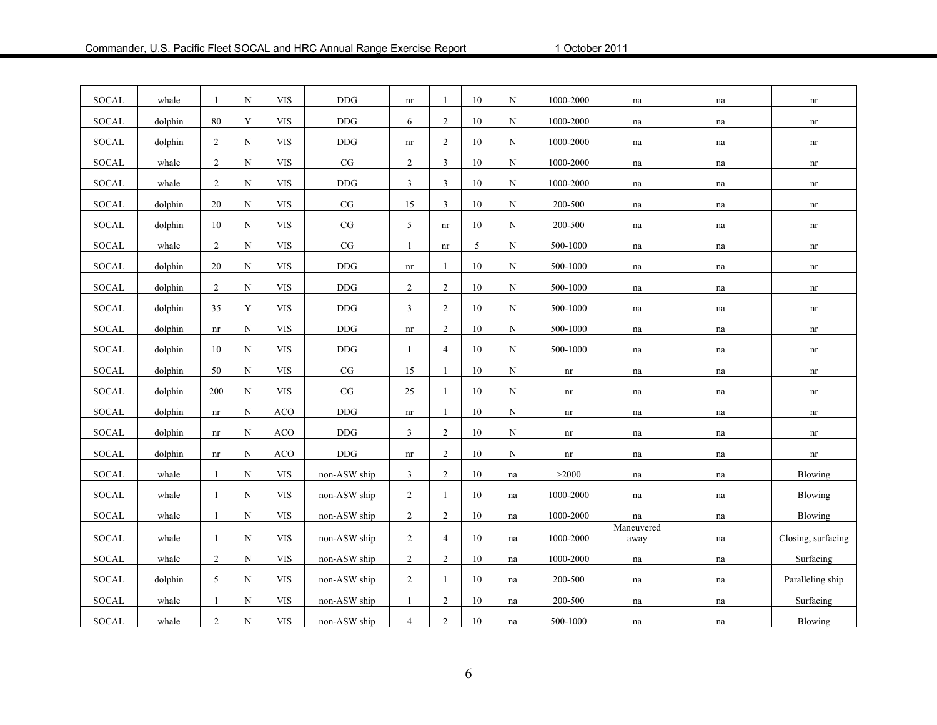| <b>SOCAL</b> | whale   | $\mathbf{1}$   | N           | <b>VIS</b>   | $\operatorname{DDG}$ | nr                         | $\mathbf{1}$   | 10     | N  | 1000-2000                  | na                  | na | nr                         |
|--------------|---------|----------------|-------------|--------------|----------------------|----------------------------|----------------|--------|----|----------------------------|---------------------|----|----------------------------|
| SOCAL        | dolphin | 80             | Y           | <b>VIS</b>   | <b>DDG</b>           | 6                          | 2              | 10     | N  | 1000-2000                  | na                  | na | nr                         |
| SOCAL        | dolphin | $\overline{2}$ | $\mathbf N$ | <b>VIS</b>   | $DDG$                | $\mathop{\rm nr}\nolimits$ | $\overline{2}$ | 10     | N  | 1000-2000                  | na                  | na | $\mathop{\rm nr}\nolimits$ |
| SOCAL        | whale   | $\overline{2}$ | N           | <b>VIS</b>   | CG                   | $\overline{2}$             | $\mathbf{3}$   | 10     | N  | 1000-2000                  | na                  | na | $\mathop{\rm nr}\nolimits$ |
| SOCAL        | whale   | $\overline{2}$ | $\mathbf N$ | <b>VIS</b>   | <b>DDG</b>           | 3                          | 3              | 10     | N  | $1000 - 2000$              | $\operatorname{na}$ | na | nr                         |
| SOCAL        | dolphin | 20             | $\mathbf N$ | <b>VIS</b>   | $\rm{CG}$            | 15                         | $\mathbf{3}$   | 10     | N  | 200-500                    | na                  | na | $\mathop{\rm nr}\nolimits$ |
| <b>SOCAL</b> | dolphin | 10             | $\mathbf N$ | <b>VIS</b>   | $\rm{CG}$            | 5                          | nr             | 10     | N  | 200-500                    | na                  | na | $\mathop{\rm nr}\nolimits$ |
| <b>SOCAL</b> | whale   | $\overline{2}$ | $\mathbf N$ | <b>VIS</b>   | CG                   | $\mathbf{1}$               | nr             | 5      | N  | 500-1000                   | na                  | na | $\mathop{\rm nr}\nolimits$ |
| SOCAL        | dolphin | 20             | N           | $_{\rm VIS}$ | $\rm{DDG}$           | $\mathop{\rm nr}\nolimits$ | 1              | 10     | N  | 500-1000                   | na                  | na | $\mathop{\rm nr}\nolimits$ |
| <b>SOCAL</b> | dolphin | $\overline{2}$ | N           | <b>VIS</b>   | <b>DDG</b>           | $\overline{c}$             | 2              | 10     | N  | 500-1000                   | na                  | na | nr                         |
| <b>SOCAL</b> | dolphin | 35             | $\mathbf Y$ | $_{\rm VIS}$ | <b>DDG</b>           | 3                          | 2              | 10     | N  | 500-1000                   | na                  | na | $\mathop{\rm nr}\nolimits$ |
| SOCAL        | dolphin | nr             | N           | <b>VIS</b>   | $DDG$                | $\mathop{\rm nr}\nolimits$ | 2              | 10     | N  | 500-1000                   | $\operatorname{na}$ | na | $\mathop{\rm nr}\nolimits$ |
| SOCAL        | dolphin | 10             | $\mathbf N$ | <b>VIS</b>   | <b>DDG</b>           | $\mathbf{1}$               | $\overline{4}$ | 10     | N  | 500-1000                   | na                  | na | $\mathop{\rm nr}\nolimits$ |
| <b>SOCAL</b> | dolphin | 50             | $\mathbf N$ | <b>VIS</b>   | $\rm{CG}$            | 15                         | 1              | 10     | N  | $\mathop{\rm nr}\nolimits$ | na                  | na | $\mathop{\rm nr}\nolimits$ |
| SOCAL        | dolphin | 200            | $\mathbf N$ | <b>VIS</b>   | $\rm{CG}$            | 25                         | $\mathbf{1}$   | 10     | N  | nr                         | na                  | na | $\mathop{\rm nr}\nolimits$ |
| SOCAL        | dolphin | nr             | N           | <b>ACO</b>   | $DDG$                | $\mathop{\rm nr}\nolimits$ | -1             | 10     | N  | nr                         | na                  | na | nr                         |
| <b>SOCAL</b> | dolphin | nr             | $\mathbf N$ | <b>ACO</b>   | <b>DDG</b>           | 3                          | 2              | 10     | N  | nr                         | na                  | na | nr                         |
| <b>SOCAL</b> | dolphin | nr             | $\mathbf N$ | <b>ACO</b>   | <b>DDG</b>           | $\mathop{\rm nr}\nolimits$ | $\overline{2}$ | 10     | N  | nr                         | na                  | na | $\mathop{\rm nr}\nolimits$ |
| SOCAL        | whale   | $\mathbf{1}$   | N           | <b>VIS</b>   | non-ASW ship         | 3                          | $\overline{2}$ | 10     | na | >2000                      | na                  | na | Blowing                    |
| <b>SOCAL</b> | whale   | 1              | N           | <b>VIS</b>   | non-ASW ship         | $\overline{c}$             | 1              | 10     | na | 1000-2000                  | $\operatorname{na}$ | na | Blowing                    |
| <b>SOCAL</b> | whale   | 1              | $\mathbf N$ | <b>VIS</b>   | non-ASW ship         | $\overline{2}$             | 2              | 10     | na | 1000-2000                  | na                  | na | Blowing                    |
| SOCAL        | whale   | $\mathbf{1}$   | ${\bf N}$   | <b>VIS</b>   | non-ASW ship         | $\overline{2}$             | $\overline{4}$ | 10     | na | 1000-2000                  | Maneuvered<br>away  | na | Closing, surfacing         |
| SOCAL        | whale   | $\overline{c}$ | $\mathbf N$ | <b>VIS</b>   | non-ASW ship         | $\overline{2}$             | $\overline{2}$ | 10     | na | 1000-2000                  | na                  | na | Surfacing                  |
| SOCAL        | dolphin | 5              | $\mathbf N$ | <b>VIS</b>   | non-ASW ship         | 2                          | $\mathbf{1}$   | 10     | na | 200-500                    | na                  | na | Paralleling ship           |
| SOCAL        | whale   |                | $\mathbf N$ | <b>VIS</b>   | non-ASW ship         | $\mathbf{1}$               | $\overline{2}$ | $10\,$ | na | 200-500                    | na                  | na | Surfacing                  |
| SOCAL        | whale   | $\overline{c}$ | $\mathbf N$ | <b>VIS</b>   | non-ASW ship         | $\overline{4}$             | $\overline{2}$ | 10     | na | 500-1000                   | na                  | na | Blowing                    |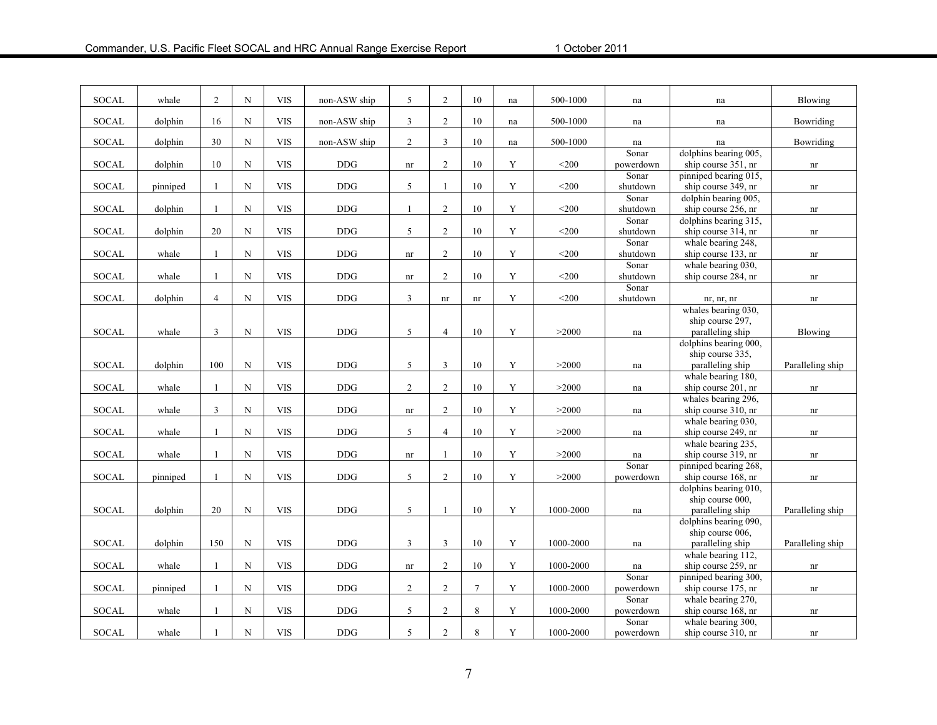| <b>SOCAL</b> | whale    | 2              | $\mathbf N$ | <b>VIS</b>                         | non-ASW ship | 5                          | $\overline{2}$ | 10                         | na          | 500-1000  | na                | na                                          | Blowing                    |
|--------------|----------|----------------|-------------|------------------------------------|--------------|----------------------------|----------------|----------------------------|-------------|-----------|-------------------|---------------------------------------------|----------------------------|
| <b>SOCAL</b> | dolphin  | 16             | $\mathbf N$ | <b>VIS</b>                         | non-ASW ship | $\mathfrak{Z}$             | $\overline{2}$ | 10                         | na          | 500-1000  | na                | na                                          | Bowriding                  |
| SOCAL        | dolphin  | 30             | $\mathbf N$ | <b>VIS</b>                         | non-ASW ship | $\overline{2}$             | $\overline{3}$ | 10                         | na          | 500-1000  | na                | na                                          | Bowriding                  |
|              |          |                |             |                                    |              |                            |                |                            |             |           | Sonar             | dolphins bearing 005,                       |                            |
| SOCAL        | dolphin  | 10             | ${\bf N}$   | <b>VIS</b>                         | <b>DDG</b>   | $\mathop{\rm nr}\nolimits$ | 2              | 10                         | Y           | $<$ 200   | powerdown         | ship course 351, nr                         | $\mathop{\rm nr}\nolimits$ |
|              |          |                |             |                                    |              |                            |                |                            |             |           | Sonar             | pinniped bearing 015,                       |                            |
| SOCAL        | pinniped | -1             | N           | <b>VIS</b>                         | <b>DDG</b>   | 5                          | $\mathbf{1}$   | 10                         | Y           | $<$ 200   | shutdown          | ship course 349, nr                         | nr                         |
| SOCAL        | dolphin  | -1             | $\mathbf N$ | $\ensuremath{\mathrm{VIS}}\xspace$ | <b>DDG</b>   | 1                          | $\overline{2}$ | 10                         | $\mathbf Y$ | $<$ 200   | Sonar<br>shutdown | dolphin bearing 005,<br>ship course 256, nr |                            |
|              |          |                |             |                                    |              |                            |                |                            |             |           | Sonar             | dolphins bearing 315,                       | nr                         |
| SOCAL        | dolphin  | 20             | N           | <b>VIS</b>                         | <b>DDG</b>   | 5                          | 2              | 10                         | Y           | $<$ 200   | shutdown          | ship course 314, nr                         | nr                         |
|              |          |                |             |                                    |              |                            |                |                            |             |           | Sonar             | whale bearing 248,                          |                            |
| <b>SOCAL</b> | whale    | -1             | N           | $_{\rm VIS}$                       | $\rm{DDG}$   | $\mathop{\rm nr}\nolimits$ | 2              | 10                         | Y           | $<$ 200   | shutdown          | ship course 133, nr                         | nr                         |
|              |          |                |             |                                    |              |                            |                |                            |             |           | Sonar             | whale bearing 030,                          |                            |
| <b>SOCAL</b> | whale    | $\mathbf{1}$   | $\mathbf N$ | <b>VIS</b>                         | <b>DDG</b>   | $\mathop{\rm nr}\nolimits$ | 2              | 10                         | Y           | $<$ 200   | shutdown          | ship course 284, nr                         | nr                         |
|              |          |                |             |                                    |              |                            |                |                            |             |           | Sonar             |                                             |                            |
| <b>SOCAL</b> | dolphin  | $\overline{4}$ | $\mathbf N$ | <b>VIS</b>                         | <b>DDG</b>   | $\mathbf{3}$               | nr             | $\mathop{\rm nr}\nolimits$ | Y           | $<$ 200   | shutdown          | nr, nr, nr                                  | nr                         |
|              |          |                |             |                                    |              |                            |                |                            |             |           |                   | whales bearing 030,                         |                            |
|              |          |                |             |                                    |              |                            |                |                            |             |           |                   | ship course 297,                            |                            |
| <b>SOCAL</b> | whale    | $\overline{3}$ | $\mathbf N$ | <b>VIS</b>                         | <b>DDG</b>   | 5                          | $\overline{4}$ | 10                         | Y           | >2000     | na                | paralleling ship                            | Blowing                    |
|              |          |                |             |                                    |              |                            |                |                            |             |           |                   | dolphins bearing 000,                       |                            |
|              |          |                |             |                                    |              |                            |                |                            |             |           |                   | ship course 335,                            |                            |
| SOCAL        | dolphin  | 100            | ${\bf N}$   | <b>VIS</b>                         | <b>DDG</b>   | 5                          | $\overline{3}$ | 10                         | $\mathbf Y$ | >2000     | na                | paralleling ship                            | Paralleling ship           |
|              |          |                |             |                                    |              |                            |                |                            |             |           |                   | whale bearing 180,                          |                            |
| SOCAL        | whale    | $\mathbf{1}$   | $\mathbf N$ | <b>VIS</b>                         | <b>DDG</b>   | $\overline{2}$             | $\overline{c}$ | 10                         | $\mathbf Y$ | >2000     | na                | ship course 201, nr                         | nr                         |
|              |          |                |             |                                    |              |                            |                |                            |             |           |                   | whales bearing 296,                         |                            |
| SOCAL        | whale    | $\mathbf{3}$   | $\mathbf N$ | <b>VIS</b>                         | <b>DDG</b>   | $\mathop{\rm nr}\nolimits$ | 2              | 10                         | $\mathbf Y$ | >2000     | na                | ship course 310, nr                         | nr                         |
|              |          |                |             |                                    |              |                            |                |                            |             |           |                   | whale bearing 030,                          |                            |
| SOCAL        | whale    | -1             | $\mathbf N$ | <b>VIS</b>                         | <b>DDG</b>   | 5                          | $\overline{4}$ | 10                         | $\mathbf Y$ | >2000     | na                | ship course 249, nr                         | nr                         |
|              |          |                |             |                                    |              |                            |                |                            |             |           |                   | whale bearing 235,                          |                            |
| <b>SOCAL</b> | whale    | $\mathbf{1}$   | $\mathbf N$ | <b>VIS</b>                         | $\rm{DDG}$   | nr                         | $\mathbf{1}$   | 10                         | $\mathbf Y$ | >2000     | na                | ship course 319, nr                         | nr                         |
|              |          |                |             |                                    |              |                            |                |                            |             |           | Sonar             | pinniped bearing 268,                       |                            |
| SOCAL        | pinniped | -1             | ${\bf N}$   | <b>VIS</b>                         | $\rm{DDG}$   | 5                          | 2              | 10                         | $\mathbf Y$ | >2000     | powerdown         | ship course 168, nr                         | nr                         |
|              |          |                |             |                                    |              |                            |                |                            |             |           |                   | dolphins bearing 010,                       |                            |
|              |          |                |             |                                    |              |                            |                |                            |             |           |                   | ship course 000,                            |                            |
| SOCAL        | dolphin  | 20             | ${\bf N}$   | <b>VIS</b>                         | $\rm{DDG}$   | 5                          | $\overline{1}$ | 10                         | $\mathbf Y$ | 1000-2000 | na                | paralleling ship                            | Paralleling ship           |
|              |          |                |             |                                    |              |                            |                |                            |             |           |                   | dolphins bearing 090,                       |                            |
|              |          |                |             |                                    |              |                            |                |                            |             |           |                   | ship course 006,                            |                            |
| <b>SOCAL</b> | dolphin  | 150            | ${\bf N}$   | $_{\rm VIS}$                       | DDG          | 3                          | 3              | 10                         | $\mathbf Y$ | 1000-2000 | na                | paralleling ship                            | Paralleling ship           |
|              |          |                |             |                                    |              |                            |                |                            |             |           |                   | whale bearing 112,                          |                            |
| SOCAL        | whale    | -1             | ${\bf N}$   | <b>VIS</b>                         | $\rm{DDG}$   | $\mathop{\rm nr}\nolimits$ | 2              | 10                         | $\mathbf Y$ | 1000-2000 | na                | ship course 259, nr                         | $\mathop{\rm nr}\nolimits$ |
|              |          |                |             |                                    |              |                            |                |                            |             |           | Sonar             | pinniped bearing 300,                       |                            |
| <b>SOCAL</b> | pinniped | $\mathbf{1}$   | $\mathbf N$ | <b>VIS</b>                         | $\rm{DDG}$   | $\overline{2}$             | 2              | $\tau$                     | $\mathbf Y$ | 1000-2000 | powerdown         | ship course 175, nr                         | nr                         |
|              |          |                |             |                                    |              |                            |                |                            |             |           | Sonar             | whale bearing 270,                          |                            |
| <b>SOCAL</b> | whale    | $\overline{1}$ | ${\bf N}$   | <b>VIS</b>                         | <b>DDG</b>   | 5                          | $\overline{2}$ | 8                          | $\mathbf Y$ | 1000-2000 | powerdown         | ship course 168, nr                         | nr                         |
|              |          |                |             |                                    |              |                            |                |                            |             |           | Sonar             | whale bearing 300,                          |                            |
| SOCAL        | whale    | -1             | ${\bf N}$   | <b>VIS</b>                         | <b>DDG</b>   | 5                          | 2              | 8                          | $\mathbf Y$ | 1000-2000 | powerdown         | ship course 310, nr                         | nr                         |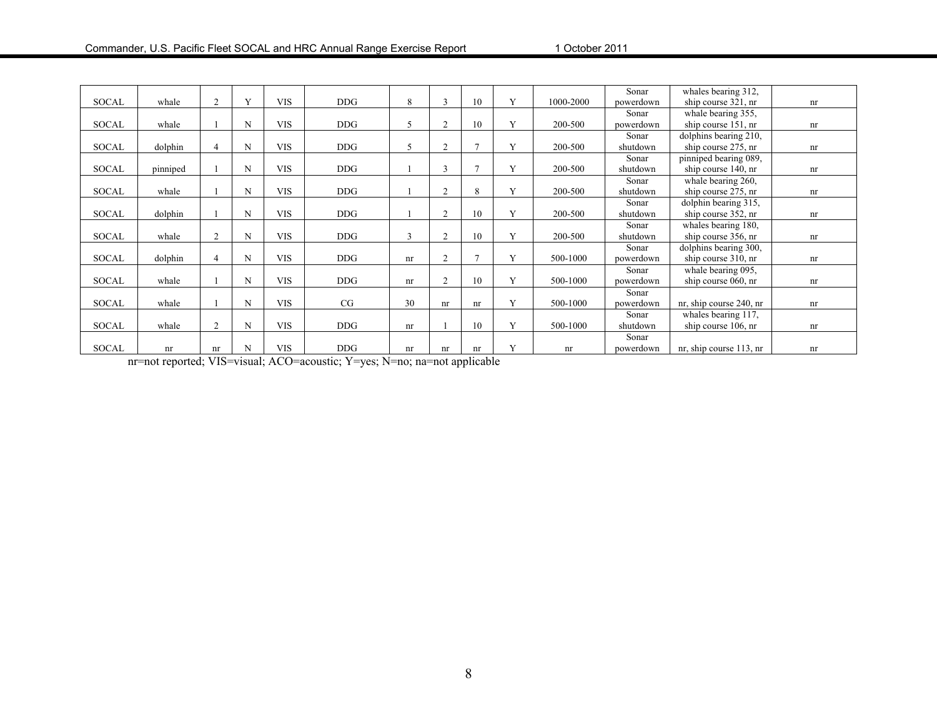|              |          |                |   |            |            |    |                |                |   |           | Sonar     | whales bearing 312,     |    |
|--------------|----------|----------------|---|------------|------------|----|----------------|----------------|---|-----------|-----------|-------------------------|----|
| <b>SOCAL</b> | whale    | $\overline{2}$ | Y | <b>VIS</b> | DDG        | 8  | 3              | 10             | V | 1000-2000 | powerdown | ship course 321, nr     | nr |
|              |          |                |   |            |            |    |                |                |   |           | Sonar     | whale bearing 355,      |    |
| <b>SOCAL</b> | whale    |                | N | <b>VIS</b> | DDG        | 5  | $\overline{2}$ | 10             | Y | 200-500   | powerdown | ship course 151, nr     | nr |
|              |          |                |   |            |            |    |                |                |   |           | Sonar     | dolphins bearing 210,   |    |
| <b>SOCAL</b> | dolphin  | 4              | N | <b>VIS</b> | <b>DDG</b> | 5  | $\overline{2}$ | $\overline{7}$ | Y | 200-500   | shutdown  | ship course 275, nr     | nr |
|              |          |                |   |            |            |    |                |                |   |           | Sonar     | pinniped bearing 089,   |    |
| <b>SOCAL</b> | pinniped |                | N | <b>VIS</b> | <b>DDG</b> |    | 3              | $\overline{7}$ | V | 200-500   | shutdown  | ship course 140, nr     | nr |
|              |          |                |   |            |            |    |                |                |   |           | Sonar     | whale bearing 260,      |    |
| <b>SOCAL</b> | whale    |                | N | <b>VIS</b> | <b>DDG</b> |    | $\overline{2}$ | 8              | V | 200-500   | shutdown  | ship course 275, nr     | nr |
|              |          |                |   |            |            |    |                |                |   |           | Sonar     | dolphin bearing 315,    |    |
| <b>SOCAL</b> | dolphin  |                | N | <b>VIS</b> | <b>DDG</b> |    | $\overline{2}$ | 10             | Y | 200-500   | shutdown  | ship course 352, nr     | nr |
|              |          |                |   |            |            |    |                |                |   |           | Sonar     | whales bearing 180,     |    |
| <b>SOCAL</b> | whale    | 2              | N | <b>VIS</b> | <b>DDG</b> | 3  | $\overline{2}$ | 10             | Y | 200-500   | shutdown  | ship course 356, nr     | nr |
|              |          |                |   |            |            |    |                |                |   |           | Sonar     | dolphins bearing 300,   |    |
| <b>SOCAL</b> | dolphin  | 4              | N | <b>VIS</b> | <b>DDG</b> | nr | $\overline{2}$ | $\tau$         | Y | 500-1000  | powerdown | ship course 310, nr     | nr |
|              |          |                |   |            |            |    |                |                |   |           | Sonar     | whale bearing 095,      |    |
| <b>SOCAL</b> | whale    |                | N | <b>VIS</b> | DDG        | nr | $\overline{2}$ | 10             | Y | 500-1000  | powerdown | ship course 060, nr     | nr |
|              |          |                |   |            |            |    |                |                |   |           | Sonar     |                         |    |
| <b>SOCAL</b> | whale    |                | N | <b>VIS</b> | CG         | 30 | nr             | nr             | Y | 500-1000  | powerdown | nr, ship course 240, nr | nr |
|              |          |                |   |            |            |    |                |                |   |           | Sonar     | whales bearing 117,     |    |
| <b>SOCAL</b> | whale    | 2              | N | <b>VIS</b> | DDG        | nr |                | 10             | Y | 500-1000  | shutdown  | ship course 106, nr     | nr |
|              |          |                |   |            |            |    |                |                |   |           | Sonar     |                         |    |
| <b>SOCAL</b> | nr       | nr             | N | <b>VIS</b> | <b>DDG</b> | nr | nr             | nr             | Y | nr        | powerdown | nr, ship course 113, nr | nr |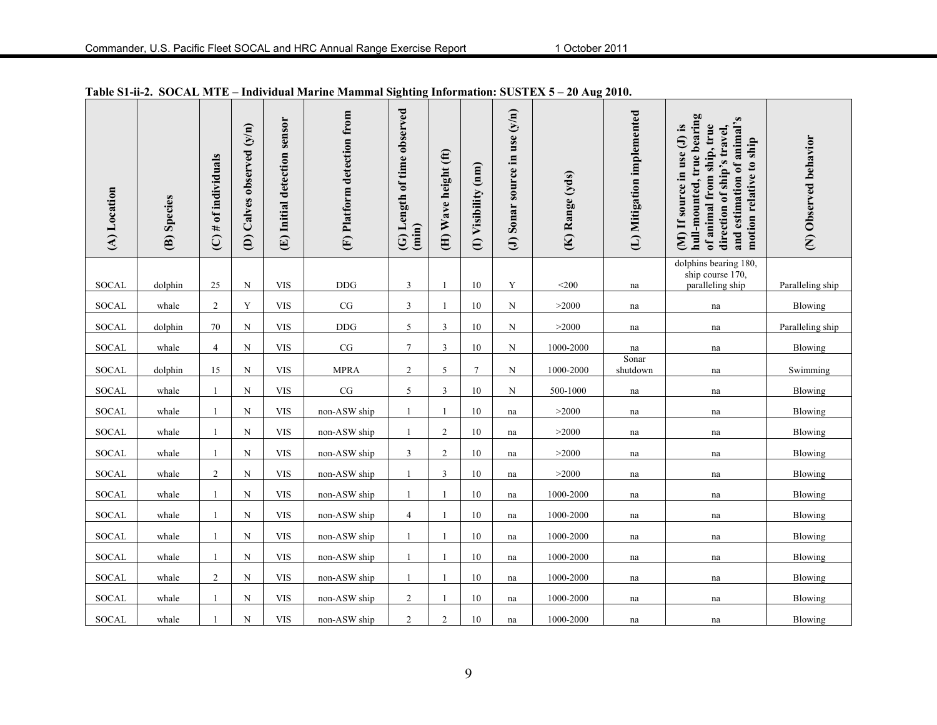| (A) Location | (B) Species | $(C)$ # of individuals | (D) Calves observed (y/n) | (E) Initial detection sensor | (F) Platform detection from | (G) Length of time observed<br>(imin) | (H) Wave height (ft) | (I) Visibility (nm) | (J) Sonar source in use $(y/n)$ | (K) Range (yds) | (L) Mitigation implemented | hull-mounted, true bearing<br>and estimation of animal's<br>(M) If source in use (J) is<br>of animal from ship, true<br>direction of ship's travel,<br>motion relative to ship | (N) Observed behavior |
|--------------|-------------|------------------------|---------------------------|------------------------------|-----------------------------|---------------------------------------|----------------------|---------------------|---------------------------------|-----------------|----------------------------|--------------------------------------------------------------------------------------------------------------------------------------------------------------------------------|-----------------------|
| <b>SOCAL</b> |             |                        | N                         | <b>VIS</b>                   | <b>DDG</b>                  | $\mathfrak{Z}$                        | 1                    | 10                  | Y                               | $<$ 200         |                            | dolphins bearing 180,<br>ship course 170,                                                                                                                                      |                       |
|              | dolphin     | 25                     |                           |                              |                             |                                       |                      |                     |                                 |                 | na                         | paralleling ship                                                                                                                                                               | Paralleling ship      |
| <b>SOCAL</b> | whale       | $\overline{c}$         | Y                         | <b>VIS</b>                   | $\rm CG$                    | 3                                     | 1                    | 10                  | N                               | >2000           | na                         | na                                                                                                                                                                             | <b>Blowing</b>        |
| <b>SOCAL</b> | dolphin     | 70                     | $\mathbf N$               | <b>VIS</b>                   | <b>DDG</b>                  | $\sqrt{5}$                            | 3                    | 10                  | $\mathbf N$                     | >2000           | na                         | na                                                                                                                                                                             | Paralleling ship      |
| SOCAL        | whale       | $\overline{4}$         | $\mathbf N$               | <b>VIS</b>                   | $\rm{CG}$                   | $\overline{7}$                        | 3                    | $10\,$              | N                               | 1000-2000       | na<br>Sonar                | na                                                                                                                                                                             | Blowing               |
| <b>SOCAL</b> | dolphin     | 15                     | N                         | <b>VIS</b>                   | <b>MPRA</b>                 | $\overline{2}$                        | 5                    | $7\phantom{.0}$     | $\mathbf N$                     | 1000-2000       | shutdown                   | na                                                                                                                                                                             | Swimming              |
| <b>SOCAL</b> | whale       | $\mathbf{1}$           | N                         | <b>VIS</b>                   | CG                          | 5                                     | 3                    | 10                  | N                               | 500-1000        | na                         | na                                                                                                                                                                             | Blowing               |
| <b>SOCAL</b> | whale       | 1                      | $\mathbf N$               | <b>VIS</b>                   | non-ASW ship                | $\overline{1}$                        | 1                    | 10                  | na                              | >2000           | na                         | na                                                                                                                                                                             | Blowing               |
| SOCAL        | whale       | 1                      | $\mathbf N$               | <b>VIS</b>                   | non-ASW ship                | 1                                     | $\overline{2}$       | $10\,$              | na                              | >2000           | na                         | na                                                                                                                                                                             | Blowing               |
| <b>SOCAL</b> | whale       | -1                     | N                         | <b>VIS</b>                   | non-ASW ship                | 3                                     | $\overline{2}$       | 10                  | na                              | >2000           | na                         | na                                                                                                                                                                             | Blowing               |
| <b>SOCAL</b> | whale       | $\overline{c}$         | $\mathbf N$               | <b>VIS</b>                   | non-ASW ship                | -1                                    | 3                    | 10                  | na                              | >2000           | na                         | na                                                                                                                                                                             | Blowing               |
| <b>SOCAL</b> | whale       | 1                      | N                         | <b>VIS</b>                   | non-ASW ship                |                                       |                      | 10                  | na                              | 1000-2000       | na                         | na                                                                                                                                                                             | Blowing               |
| SOCAL        | whale       | 1                      | $\mathbf N$               | <b>VIS</b>                   | non-ASW ship                | $\overline{4}$                        | -1                   | 10                  | na                              | 1000-2000       | na                         | na                                                                                                                                                                             | Blowing               |
| <b>SOCAL</b> | whale       | 1                      | N                         | <b>VIS</b>                   | non-ASW ship                |                                       |                      | 10                  | na                              | 1000-2000       | na                         | na                                                                                                                                                                             | Blowing               |
| <b>SOCAL</b> | whale       | 1                      | $\mathbf N$               | <b>VIS</b>                   | non-ASW ship                |                                       |                      | 10                  | na                              | 1000-2000       | na                         | na                                                                                                                                                                             | Blowing               |
| <b>SOCAL</b> | whale       | $\overline{c}$         | $\mathbf N$               | <b>VIS</b>                   | non-ASW ship                |                                       |                      | 10                  | na                              | 1000-2000       | na                         | na                                                                                                                                                                             | Blowing               |
| <b>SOCAL</b> | whale       |                        | $\mathbf N$               | <b>VIS</b>                   | non-ASW ship                | $\overline{2}$                        |                      | 10                  | na                              | 1000-2000       | na                         | na                                                                                                                                                                             | Blowing               |
|              |             |                        |                           |                              |                             |                                       |                      |                     |                                 |                 |                            |                                                                                                                                                                                |                       |
| SOCAL        | whale       |                        | $\mathbf N$               | <b>VIS</b>                   | non-ASW ship                | $\overline{c}$                        | $\overline{2}$       | $10\,$              | na                              | 1000-2000       | na                         | na                                                                                                                                                                             | Blowing               |

**Table S1-ii-2. SOCAL MTE – Individual Marine Mammal Sighting Information: SUSTEX 5 – 20 Aug 2010.**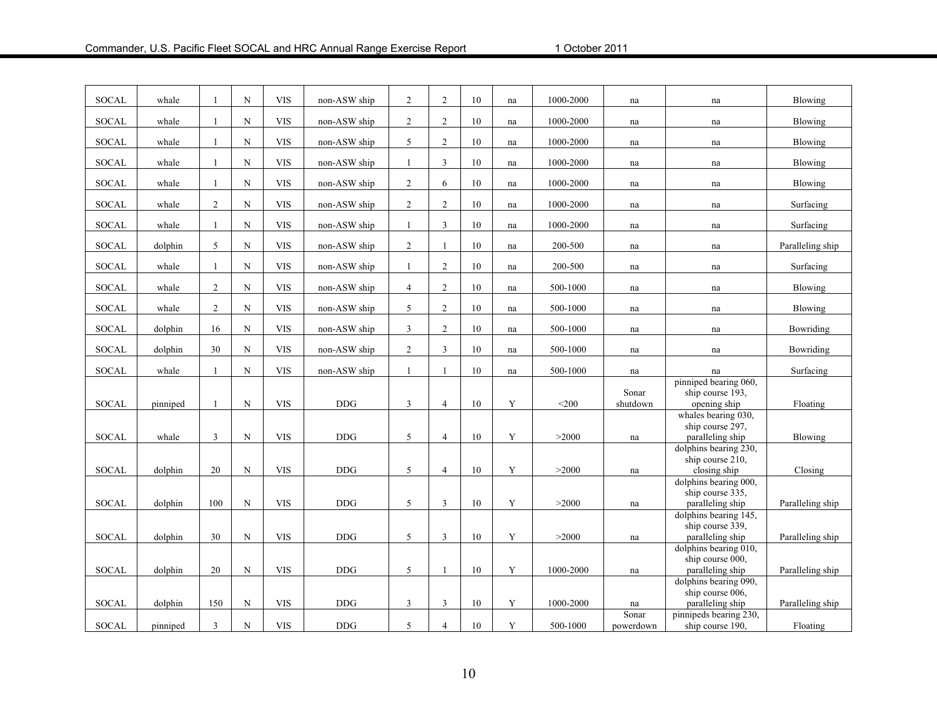| SOCAL        | whale    |                | $_{\rm N}$  | <b>VIS</b> | non-ASW ship | $\overline{2}$ | $\overline{2}$ | 10     | na | 1000-2000     | na                  | na                                                            | <b>Blowing</b>   |
|--------------|----------|----------------|-------------|------------|--------------|----------------|----------------|--------|----|---------------|---------------------|---------------------------------------------------------------|------------------|
| SOCAL        | whale    | 1              | $\mathbf N$ | <b>VIS</b> | non-ASW ship | $\overline{2}$ | $\overline{2}$ | 10     | na | 1000-2000     | na                  | na                                                            | Blowing          |
| <b>SOCAL</b> | whale    | 1              | N           | <b>VIS</b> | non-ASW ship | 5              | $\overline{2}$ | 10     | na | 1000-2000     | na                  | na                                                            | Blowing          |
| SOCAL        | whale    |                | N           | <b>VIS</b> | non-ASW ship | $\overline{1}$ | 3              | 10     | na | 1000-2000     | na                  | na                                                            | Blowing          |
| <b>SOCAL</b> | whale    | 1              | $\mathbf N$ | <b>VIS</b> | non-ASW ship | $\overline{c}$ | 6              | 10     | na | 1000-2000     | na                  | na                                                            | Blowing          |
| <b>SOCAL</b> | whale    | $\overline{2}$ | N           | <b>VIS</b> | non-ASW ship | 2              | $\overline{2}$ | 10     | na | 1000-2000     | na                  | na                                                            | Surfacing        |
| <b>SOCAL</b> | whale    |                | $\mathbf N$ | <b>VIS</b> | non-ASW ship | $\mathbf{1}$   | 3              | 10     | na | 1000-2000     | na                  | na                                                            | Surfacing        |
| <b>SOCAL</b> | dolphin  | 5              | $\mathbf N$ | <b>VIS</b> | non-ASW ship | $\sqrt{2}$     | $\mathbf{1}$   | 10     | na | 200-500       | na                  | na                                                            | Paralleling ship |
| <b>SOCAL</b> | whale    | -1             | $\mathbf N$ | <b>VIS</b> | non-ASW ship | $\mathbf{1}$   | $\overline{2}$ | 10     | na | 200-500       | na                  | na                                                            | Surfacing        |
| <b>SOCAL</b> | whale    | $\overline{2}$ | N           | <b>VIS</b> | non-ASW ship | 4              | $\overline{2}$ | 10     | na | 500-1000      | na                  | na                                                            | Blowing          |
| <b>SOCAL</b> | whale    | $\overline{c}$ | $_{\rm N}$  | <b>VIS</b> | non-ASW ship | 5              | $\overline{c}$ | 10     | na | 500-1000      | na                  | na                                                            | Blowing          |
| SOCAL        | dolphin  | 16             | $\mathbf N$ | <b>VIS</b> | non-ASW ship | 3              | $\overline{2}$ | $10\,$ | na | 500-1000      | na                  | na                                                            | Bowriding        |
| <b>SOCAL</b> | dolphin  | 30             | $\mathbf N$ | <b>VIS</b> | non-ASW ship | 2              | 3              | 10     | na | 500-1000      | na                  | na                                                            | Bowriding        |
| <b>SOCAL</b> | whale    | 1              | N           | <b>VIS</b> | non-ASW ship | $\overline{1}$ | $\mathbf{1}$   | 10     | na | 500-1000      | na                  | na                                                            | Surfacing        |
| <b>SOCAL</b> | pinniped | 1              | $\mathbf N$ | <b>VIS</b> | <b>DDG</b>   | 3              | $\overline{4}$ | 10     | Y  | $<$ 200       | Sonar<br>shutdown   | pinniped bearing 060,<br>ship course 193,<br>opening ship     | Floating         |
| SOCAL        | whale    | $\mathfrak{Z}$ | ${\bf N}$   | <b>VIS</b> | <b>DDG</b>   | 5              | $\overline{4}$ | 10     | Y  | >2000         | $\operatorname{na}$ | whales bearing 030,<br>ship course 297,<br>paralleling ship   | Blowing          |
| <b>SOCAL</b> | dolphin  | $20\,$         | $\mathbf N$ | <b>VIS</b> | <b>DDG</b>   | 5              | $\overline{4}$ | 10     | Y  | >2000         | $\operatorname{na}$ | dolphins bearing 230,<br>ship course 210,<br>closing ship     | Closing          |
| <b>SOCAL</b> | dolphin  | 100            | $\mathbf N$ | <b>VIS</b> | DDG          | 5              | $\overline{3}$ | 10     | Y  | >2000         | na                  | dolphins bearing 000,<br>ship course 335,<br>paralleling ship | Paralleling ship |
|              |          |                |             |            |              |                |                |        |    |               |                     | dolphins bearing 145.<br>ship course 339,                     |                  |
| SOCAL        | dolphin  | 30             | $\mathbf N$ | <b>VIS</b> | $DDG$        | 5              | $\mathbf{3}$   | 10     | Y  | >2000         | na                  | paralleling ship                                              | Paralleling ship |
|              |          |                |             |            |              |                |                |        |    |               |                     | dolphins bearing 010,<br>ship course 000,                     |                  |
| SOCAL        | dolphin  | 20             | $\mathbf N$ | <b>VIS</b> | DDG          | 5              | $\mathbf{1}$   | 10     | Y  | $1000 - 2000$ | na                  | paralleling ship<br>dolphins bearing 090,                     | Paralleling ship |
|              |          |                |             |            |              |                |                |        |    |               |                     | ship course 006.                                              |                  |
| <b>SOCAL</b> | dolphin  | 150            | $\mathbf N$ | <b>VIS</b> | <b>DDG</b>   | 3              | 3              | 10     | Y  | 1000-2000     | na                  | paralleling ship                                              | Paralleling ship |
| SOCAL        | pinniped | $\mathbf{3}$   | $\mathbf N$ | <b>VIS</b> | <b>DDG</b>   | 5              | $\overline{4}$ | 10     | Y  | 500-1000      | Sonar<br>powerdown  | pinnipeds bearing 230,<br>ship course 190,                    | Floating         |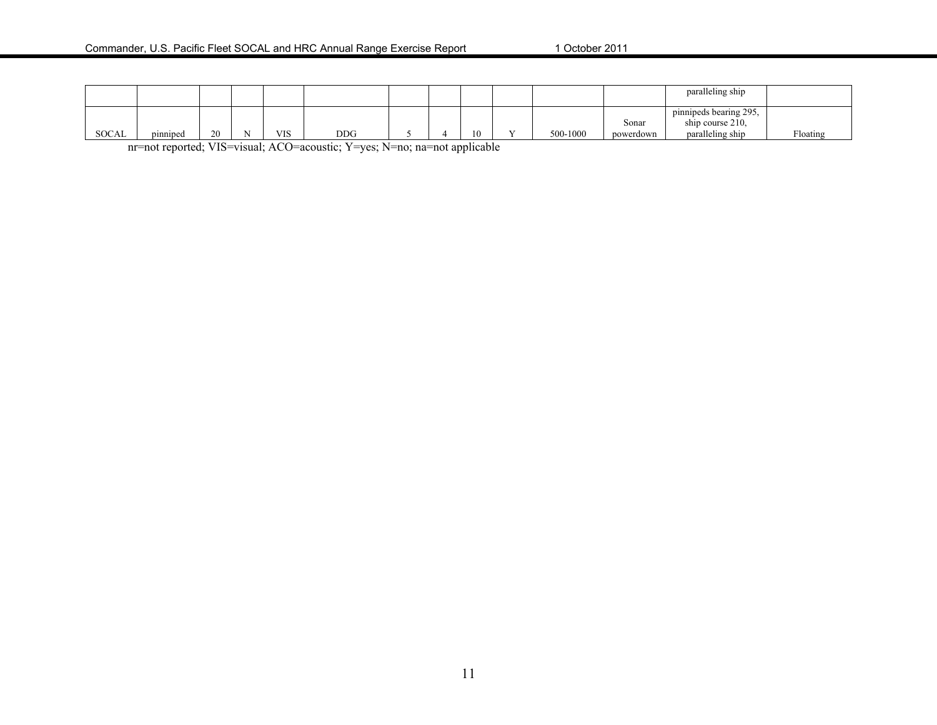|              |          |    |            |            |  |    |     |          |                    | paralleling ship                                               |          |
|--------------|----------|----|------------|------------|--|----|-----|----------|--------------------|----------------------------------------------------------------|----------|
| <b>SOCAL</b> | pinniped | 20 | <b>VIS</b> | <b>DDG</b> |  | 10 | - - | 500-1000 | Sonar<br>powerdown | pinnipeds bearing 295.<br>ship course 210.<br>paralleling ship | Floating |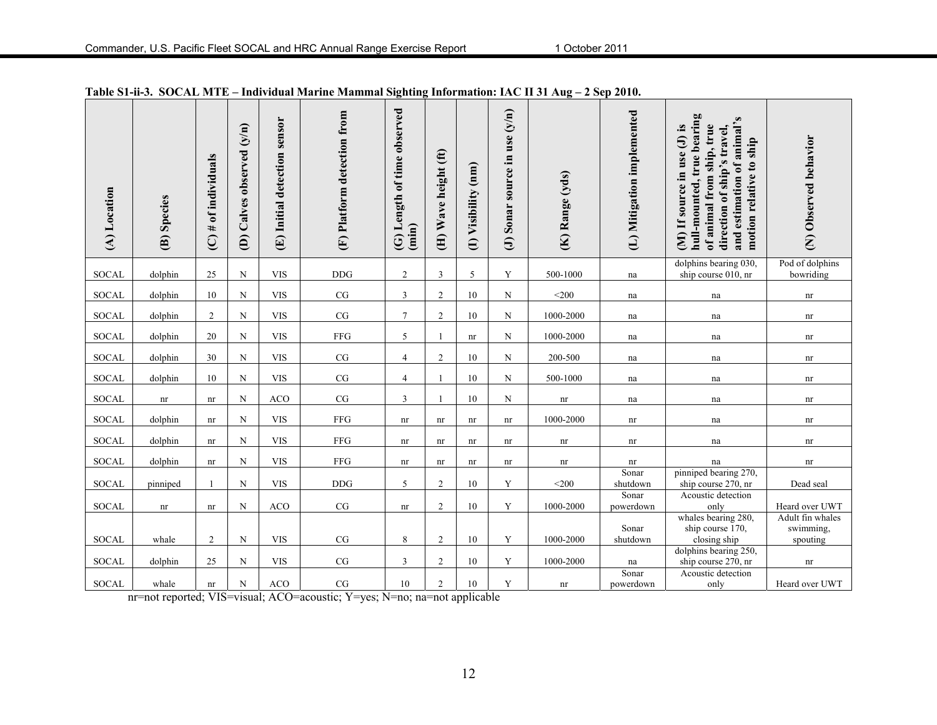| (A) Location | (B) Species | $(C)$ # of individuals | Calves observed (y/n)<br>$\widehat{e}$ | sensor<br>Initial detection<br>$\bigoplus$ | (F) Platform detection from | (G) Length of time observed<br>(imin) | (H) Wave height (ft) | (I) Visibility (nm) | source in use (y/n)<br>Sonar<br>$\Theta$ | (K) Range (yds)            | (L) Mitigation implemented | hull-mounted, true bearing<br>and estimation of animal's<br>(M) If source in use (J) is<br>of animal from ship, true<br>direction of ship's travel,<br>motion relative to ship | (N) Observed behavior              |
|--------------|-------------|------------------------|----------------------------------------|--------------------------------------------|-----------------------------|---------------------------------------|----------------------|---------------------|------------------------------------------|----------------------------|----------------------------|--------------------------------------------------------------------------------------------------------------------------------------------------------------------------------|------------------------------------|
| <b>SOCAL</b> | dolphin     | 25                     | $\mathbf N$                            | <b>VIS</b>                                 | <b>DDG</b>                  | $\boldsymbol{2}$                      | $\overline{3}$       | 5                   | Y                                        | 500-1000                   | na                         | dolphins bearing 030,<br>ship course 010, nr                                                                                                                                   | Pod of dolphins<br>bowriding       |
| <b>SOCAL</b> | dolphin     | 10                     | N                                      | <b>VIS</b>                                 | CG                          | $\mathfrak{Z}$                        | $\overline{2}$       | 10                  | N                                        | $<$ 200 $\,$               | na                         | na                                                                                                                                                                             | $\mathop{\rm nr}\nolimits$         |
| <b>SOCAL</b> | dolphin     | $\overline{2}$         | $\mathbf N$                            | <b>VIS</b>                                 | $\rm CG$                    | $\overline{7}$                        | $\overline{2}$       | 10                  | N                                        | 1000-2000                  | na                         | na                                                                                                                                                                             | $\mathop{\rm nr}\nolimits$         |
| <b>SOCAL</b> | dolphin     | $20\,$                 | ${\bf N}$                              | <b>VIS</b>                                 | ${\rm FFG}$                 | 5                                     |                      | nr                  | N                                        | 1000-2000                  | na                         | na                                                                                                                                                                             | nr                                 |
| <b>SOCAL</b> | dolphin     | 30                     | N                                      | <b>VIS</b>                                 | CG                          | $\overline{4}$                        | $\sqrt{2}$           | 10                  | N                                        | 200-500                    | na                         | na                                                                                                                                                                             | nr                                 |
| SOCAL        | dolphin     | 10                     | N                                      | <b>VIS</b>                                 | $\rm{CG}$                   | $\overline{4}$                        |                      | 10                  | N                                        | 500-1000                   | na                         | na                                                                                                                                                                             | nr                                 |
| <b>SOCAL</b> | nr          | nr                     | N                                      | <b>ACO</b>                                 | $\rm{CG}$                   | $\mathfrak{Z}$                        |                      | 10                  | $\mathbf N$                              | $\mathop{\rm nr}\nolimits$ | na                         | na                                                                                                                                                                             | $\mathop{\rm nr}\nolimits$         |
| <b>SOCAL</b> | dolphin     | nr                     | N                                      | <b>VIS</b>                                 | ${\rm FFG}$                 | nr                                    | nr                   | nr                  | nr                                       | 1000-2000                  | nr                         | na                                                                                                                                                                             | nr                                 |
| <b>SOCAL</b> | dolphin     | nr                     | N                                      | <b>VIS</b>                                 | ${\rm FFG}$                 | nr                                    | nr                   | nr                  | nr                                       | nr                         | nr                         | na                                                                                                                                                                             | $\mathop{\rm nr}\nolimits$         |
|              |             |                        |                                        |                                            |                             |                                       |                      |                     |                                          |                            |                            |                                                                                                                                                                                |                                    |
| <b>SOCAL</b> | dolphin     | nr                     | N                                      | <b>VIS</b>                                 | ${\rm FFG}$                 | nr                                    | nr                   | nr                  | nr                                       | nr                         | nr<br>Sonar                | na<br>pinniped bearing 270,                                                                                                                                                    | $\mathop{\rm nr}\nolimits$         |
| <b>SOCAL</b> | pinniped    | $\overline{1}$         | N                                      | <b>VIS</b>                                 | <b>DDG</b>                  | 5                                     | $\overline{2}$       | 10                  | Y                                        | $<$ 200                    | shutdown                   | ship course 270, nr                                                                                                                                                            | Dead seal                          |
|              |             |                        |                                        |                                            |                             |                                       |                      |                     |                                          |                            | Sonar                      | Acoustic detection                                                                                                                                                             |                                    |
| <b>SOCAL</b> | nr          | nr                     | N                                      | <b>ACO</b>                                 | $\rm CG$                    | nr                                    | $\overline{2}$       | 10                  | Y                                        | 1000-2000                  | powerdown                  | only<br>whales bearing 280,                                                                                                                                                    | Heard over UWT<br>Adult fin whales |
|              |             |                        |                                        |                                            |                             |                                       |                      |                     |                                          |                            | Sonar                      | ship course 170,                                                                                                                                                               | swimming,                          |
| <b>SOCAL</b> | whale       | $\overline{2}$         | N                                      | <b>VIS</b>                                 | $\rm{CG}$                   | $\,$ 8 $\,$                           | $\overline{2}$       | 10                  | Y                                        | 1000-2000                  | shutdown                   | closing ship                                                                                                                                                                   | spouting                           |
|              |             |                        |                                        |                                            |                             |                                       |                      |                     |                                          |                            |                            | dolphins bearing 250,                                                                                                                                                          |                                    |
| <b>SOCAL</b> | dolphin     | 25                     | N                                      | <b>VIS</b>                                 | CG                          | 3                                     | 2                    | 10                  | Y                                        | 1000-2000                  | na                         | ship course 270, nr                                                                                                                                                            | nr                                 |
| <b>SOCAL</b> | whale       |                        | $\mathbf N$                            | <b>ACO</b>                                 | CG                          | 10                                    | $\overline{2}$       | 10                  | Y                                        |                            | Sonar<br>powerdown         | Acoustic detection                                                                                                                                                             | Heard over UWT                     |
|              |             | nr                     |                                        |                                            |                             |                                       |                      |                     |                                          | nr                         |                            | only                                                                                                                                                                           |                                    |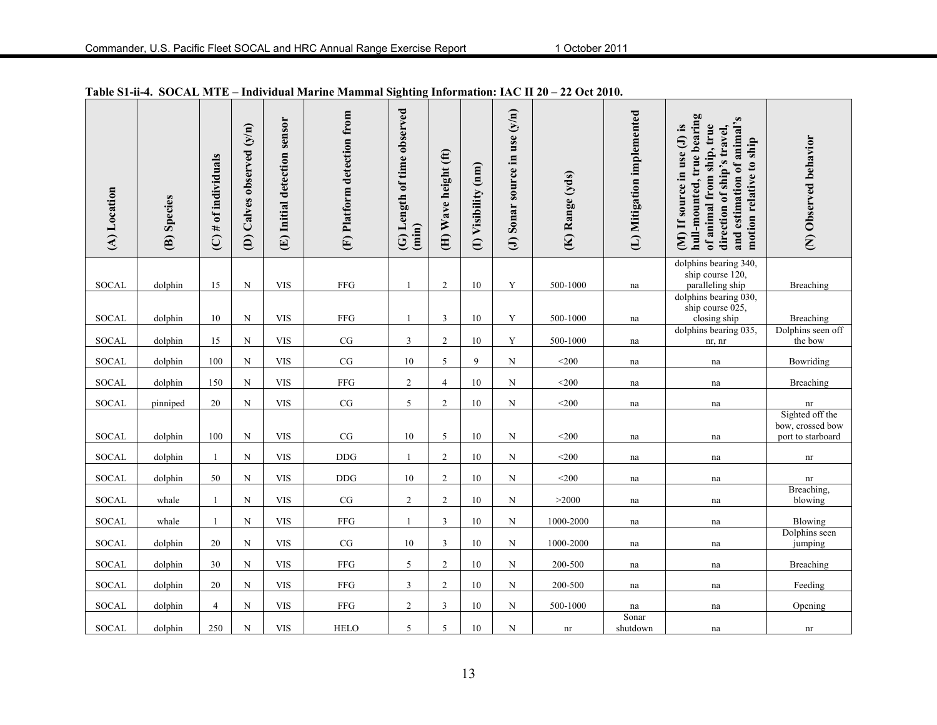| (A) Location | (B) Species | $(C)$ # of individuals | (D) Calves observed (y/n) | (E) Initial detection sensor | (F) Platform detection from | (G) Length of time observed<br>(imin) | (H) Wave height (ft) | (I) Visibility (nm) | (J) Sonar source in use $(y/n)$ | (K) Range (yds)            | (L) Mitigation implemented | hull-mounted, true bearing<br>and estimation of animal's<br>of animal from ship, true<br>(M) If source in use (J) is<br>direction of ship's travel,<br>motion relative to ship | (N) Observed behavior                                    |
|--------------|-------------|------------------------|---------------------------|------------------------------|-----------------------------|---------------------------------------|----------------------|---------------------|---------------------------------|----------------------------|----------------------------|--------------------------------------------------------------------------------------------------------------------------------------------------------------------------------|----------------------------------------------------------|
| <b>SOCAL</b> | dolphin     | 15                     | ${\bf N}$                 | <b>VIS</b>                   | <b>FFG</b>                  | $\overline{1}$                        | $\overline{2}$       | 10                  | Y                               | 500-1000                   | na                         | dolphins bearing 340,<br>ship course 120,<br>paralleling ship                                                                                                                  | Breaching                                                |
| <b>SOCAL</b> | dolphin     | 10                     | ${\bf N}$                 | <b>VIS</b>                   | FFG                         | $\mathbf{1}$                          | $\mathfrak{Z}$       | 10                  | Y                               | 500-1000                   | na                         | dolphins bearing 030,<br>ship course 025,<br>closing ship                                                                                                                      | <b>Breaching</b>                                         |
| <b>SOCAL</b> | dolphin     | 15                     | ${\bf N}$                 | <b>VIS</b>                   | $\rm{CG}$                   | $\mathfrak{Z}$                        | $\sqrt{2}$           | 10                  | Y                               | 500-1000                   | $\operatorname{na}$        | dolphins bearing 035,<br>nr, nr                                                                                                                                                | Dolphins seen off<br>the bow                             |
| <b>SOCAL</b> | dolphin     | 100                    | ${\bf N}$                 | <b>VIS</b>                   | $\rm{CG}$                   | $10\,$                                | 5                    | 9                   | N                               | $<$ 200                    | na                         | na                                                                                                                                                                             | Bowriding                                                |
| <b>SOCAL</b> | dolphin     | 150                    | $\mathbf N$               | <b>VIS</b>                   | <b>FFG</b>                  | $\overline{2}$                        | $\overline{4}$       | 10                  | N                               | $<$ 200                    | na                         | na                                                                                                                                                                             | Breaching                                                |
| SOCAL        | pinniped    | 20                     | ${\bf N}$                 | <b>VIS</b>                   | $\rm{CG}$                   | $\sqrt{5}$                            | $\sqrt{2}$           | 10                  | N                               | $<$ 200                    | na                         | na                                                                                                                                                                             | $\mathop{\rm nr}\nolimits$                               |
| <b>SOCAL</b> | dolphin     | 100                    | $\mathbf N$               | <b>VIS</b>                   | CG                          | 10                                    | 5                    | 10                  | N                               | $200$                      | na                         | na                                                                                                                                                                             | Sighted off the<br>bow, crossed bow<br>port to starboard |
| SOCAL        | dolphin     |                        | ${\bf N}$                 | <b>VIS</b>                   | $\rm{DDG}$                  |                                       | $\overline{2}$       | 10                  | N                               | $<$ 200                    | na                         | na                                                                                                                                                                             | nr                                                       |
| SOCAL        | dolphin     | 50                     | ${\bf N}$                 | <b>VIS</b>                   | <b>DDG</b>                  | $10\,$                                | $\overline{2}$       | 10                  | $\mathbf N$                     | $<$ 200                    | na                         | na                                                                                                                                                                             | nr                                                       |
| <b>SOCAL</b> | whale       | -1                     | $\mathbf N$               | <b>VIS</b>                   | CG                          | $\overline{2}$                        | $\overline{2}$       | 10                  | N                               | >2000                      | na                         | na                                                                                                                                                                             | Breaching,<br>blowing                                    |
| SOCAL        | whale       | -1                     | $\mathbf N$               | <b>VIS</b>                   | <b>FFG</b>                  | -1                                    | $\mathfrak{Z}$       | 10                  | ${\bf N}$                       | 1000-2000                  | na                         | na                                                                                                                                                                             | Blowing                                                  |
| SOCAL        | dolphin     | 20                     | ${\bf N}$                 | <b>VIS</b>                   | $\rm{CG}$                   | $10\,$                                | $\overline{3}$       | 10                  | N                               | 1000-2000                  | na                         | na                                                                                                                                                                             | Dolphins seen<br>jumping                                 |
| <b>SOCAL</b> | dolphin     | 30                     | ${\bf N}$                 | <b>VIS</b>                   | ${\rm FFG}$                 | $\sqrt{5}$                            | $\overline{2}$       | 10                  | N                               | 200-500                    | na                         | na                                                                                                                                                                             | Breaching                                                |
| <b>SOCAL</b> | dolphin     | 20                     | ${\bf N}$                 | <b>VIS</b>                   | ${\rm FFG}$                 | $\mathfrak{Z}$                        | $\sqrt{2}$           | $10\,$              | N                               | 200-500                    | na                         | na                                                                                                                                                                             | Feeding                                                  |
| <b>SOCAL</b> | dolphin     | $\overline{4}$         | N                         | <b>VIS</b>                   | ${\rm FFG}$                 | $\overline{c}$                        | 3                    | 10                  | N                               | 500-1000                   | na                         | na                                                                                                                                                                             | Opening                                                  |
| <b>SOCAL</b> | dolphin     | 250                    | ${\bf N}$                 | <b>VIS</b>                   | <b>HELO</b>                 | 5                                     | 5                    | $10\,$              | $\mathbf N$                     | $\mathop{\rm nr}\nolimits$ | Sonar<br>shutdown          | na                                                                                                                                                                             | $\mathop{\rm nr}\nolimits$                               |

**Table S1-ii-4. SOCAL MTE – Individual Marine Mammal Sighting Information: IAC II 20 – 22 Oct 2010.**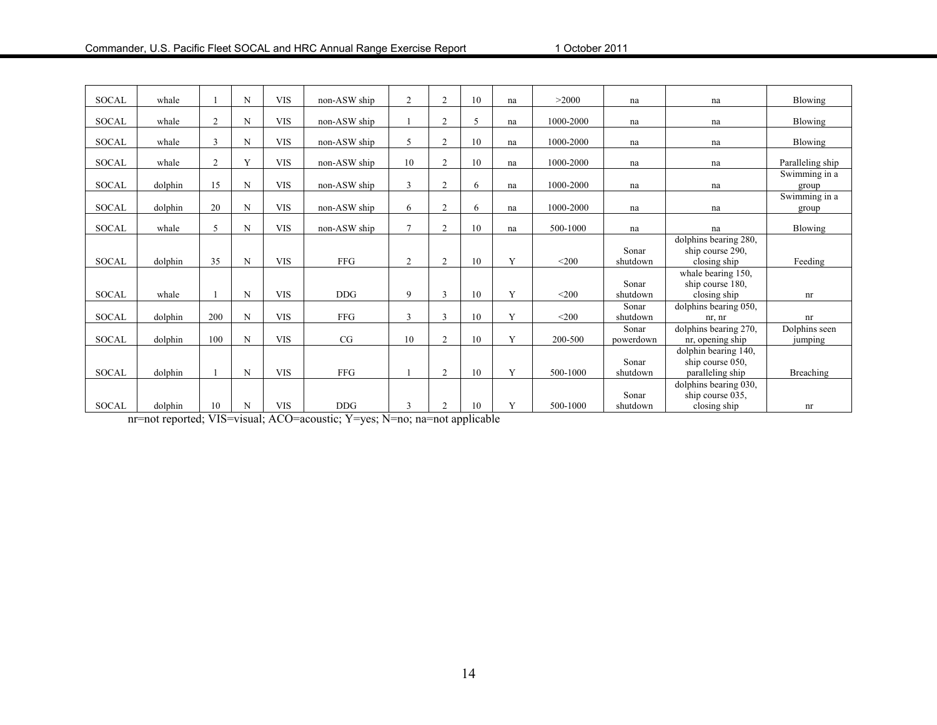| <b>SOCAL</b> | whale   |                | N            | <b>VIS</b> | non-ASW ship | $\overline{2}$ | $\overline{c}$ | 10 | na | >2000     | na                 | na                                                                   | Blowing                  |
|--------------|---------|----------------|--------------|------------|--------------|----------------|----------------|----|----|-----------|--------------------|----------------------------------------------------------------------|--------------------------|
|              |         |                |              |            |              |                |                |    |    |           |                    |                                                                      |                          |
| <b>SOCAL</b> | whale   | $\overline{2}$ | N            | <b>VIS</b> | non-ASW ship |                | $\overline{c}$ | 5  | na | 1000-2000 | na                 | na                                                                   | Blowing                  |
| <b>SOCAL</b> | whale   | 3              | N            | <b>VIS</b> | non-ASW ship | 5              | $\overline{c}$ | 10 | na | 1000-2000 | na                 | na                                                                   | Blowing                  |
| <b>SOCAL</b> | whale   | $\overline{c}$ | $\mathbf{v}$ | <b>VIS</b> | non-ASW ship | 10             | $\overline{c}$ | 10 | na | 1000-2000 | na                 | na                                                                   | Paralleling ship         |
| <b>SOCAL</b> | dolphin | 15             | N            | <b>VIS</b> | non-ASW ship | 3              | $\overline{c}$ | 6  | na | 1000-2000 | na                 | na                                                                   | Swimming in a<br>group   |
| <b>SOCAL</b> | dolphin | 20             | N            | <b>VIS</b> | non-ASW ship | 6              | $\overline{c}$ | 6  | na | 1000-2000 | na                 | na                                                                   | Swimming in a<br>group   |
| <b>SOCAL</b> | whale   | 5              | N            | <b>VIS</b> | non-ASW ship | $\mathcal{I}$  | $\overline{2}$ | 10 | na | 500-1000  | na                 | na                                                                   | Blowing                  |
| <b>SOCAL</b> | dolphin | 35             | N            | <b>VIS</b> | <b>FFG</b>   | $\overline{2}$ | $\overline{c}$ | 10 | Y  | $<$ 200   | Sonar<br>shutdown  | dolphins bearing 280,<br>ship course 290,<br>closing ship            | Feeding                  |
| <b>SOCAL</b> | whale   |                | N            | <b>VIS</b> | <b>DDG</b>   | 9              | 3              | 10 | Y  | $<$ 200   | Sonar<br>shutdown  | whale bearing $\overline{150}$ ,<br>ship course 180,<br>closing ship | nr                       |
| <b>SOCAL</b> | dolphin | 200            | N            | <b>VIS</b> | <b>FFG</b>   | 3              | 3              | 10 | Y  | $<$ 200   | Sonar<br>shutdown  | dolphins bearing 050,<br>nr, nr                                      | nr                       |
| <b>SOCAL</b> | dolphin | 100            | N            | <b>VIS</b> | CG           | 10             | $\overline{2}$ | 10 | Y  | 200-500   | Sonar<br>powerdown | dolphins bearing 270,<br>nr, opening ship                            | Dolphins seen<br>jumping |
| <b>SOCAL</b> | dolphin |                | N            | <b>VIS</b> | <b>FFG</b>   |                | $\overline{c}$ | 10 | Y  | 500-1000  | Sonar<br>shutdown  | dolphin bearing 140,<br>ship course 050,<br>paralleling ship         | Breaching                |
| <b>SOCAL</b> | dolphin | 10             | N            | <b>VIS</b> | <b>DDG</b>   | 3              | $\overline{c}$ | 10 | Y  | 500-1000  | Sonar<br>shutdown  | dolphins bearing 030,<br>ship course 035,<br>closing ship            | nr                       |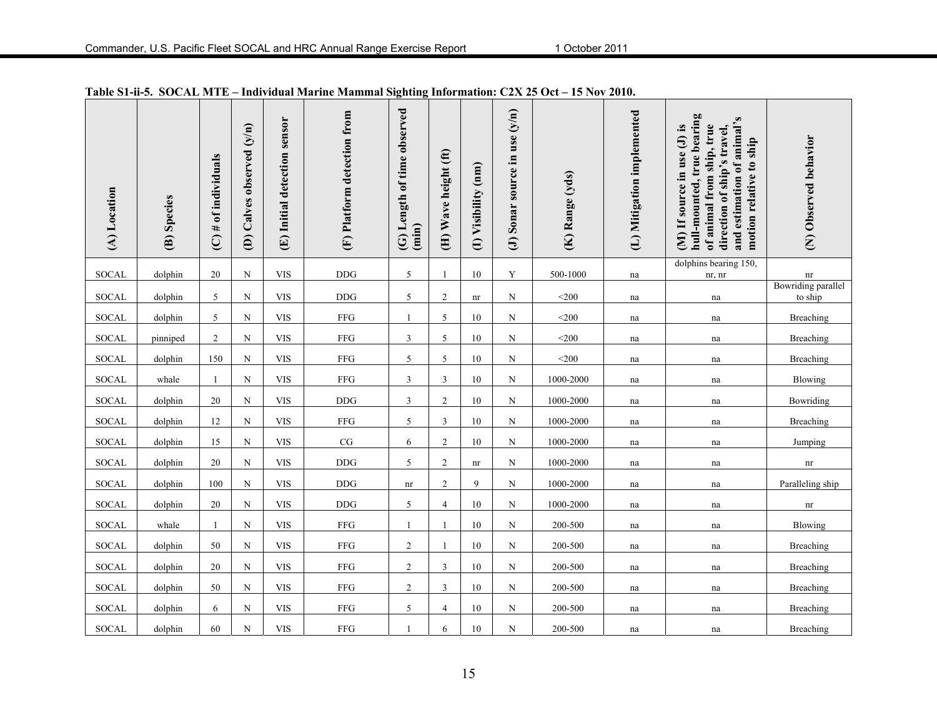| (A) Location | (B) Species | $(C)$ # of individuals | (D) Calves observed (y/n) | (E) Initial detection sensor | (F) Platform detection from | (G) Length of time observed<br>(imin) | (H) Wave height (ft) | (I) Visibility (nm)    | (J) Sonar source in use $(y/n)$ | (K) Range (yds) | (L) Mitigation implemented | hull-mounted, true bearing<br>and estimation of animal's<br>of animal from ship, true<br>(M) If source in use (J) is<br>direction of ship's travel,<br>motion relative to ship | (N) Observed behavior         |
|--------------|-------------|------------------------|---------------------------|------------------------------|-----------------------------|---------------------------------------|----------------------|------------------------|---------------------------------|-----------------|----------------------------|--------------------------------------------------------------------------------------------------------------------------------------------------------------------------------|-------------------------------|
| <b>SOCAL</b> | dolphin     | 20                     | $\mathbf N$               | <b>VIS</b>                   | <b>DDG</b>                  | $\sqrt{5}$                            | 1                    | 10                     | Y                               | 500-1000        | na                         | dolphins bearing 150,<br>nr, nr                                                                                                                                                | $\mathop{\rm nr}\nolimits$    |
| SOCAL        | dolphin     | 5                      | N                         | <b>VIS</b>                   | <b>DDG</b>                  | 5                                     | $\overline{2}$       | nr                     | N                               | $<$ 200         | na                         | na                                                                                                                                                                             | Bowriding parallel<br>to ship |
| <b>SOCAL</b> | dolphin     | 5                      | N                         | <b>VIS</b>                   | FFG                         | $\mathbf{1}$                          | 5                    | 10                     | N                               | $<$ 200 $\,$    | na                         | na                                                                                                                                                                             | Breaching                     |
| SOCAL        | pinniped    | $\overline{2}$         | N                         | <b>VIS</b>                   | <b>FFG</b>                  | $\mathfrak{Z}$                        | 5                    | 10                     | N                               | $<$ 200 $\,$    | na                         | na                                                                                                                                                                             | Breaching                     |
| <b>SOCAL</b> | dolphin     | 150                    | $\mathbf N$               | $_{\rm VIS}$                 | ${\rm FFG}$                 | 5                                     | 5                    | 10                     | N                               | $<$ 200 $\,$    | na                         | na                                                                                                                                                                             | Breaching                     |
| SOCAL        | whale       | $\mathbf{1}$           | $\mathbf N$               | <b>VIS</b>                   | ${\rm FFG}$                 | $\mathfrak{Z}$                        | $\mathfrak{Z}$       | 10                     | N                               | 1000-2000       | na                         | na                                                                                                                                                                             | Blowing                       |
| <b>SOCAL</b> | dolphin     | 20                     | N                         | <b>VIS</b>                   | $\rm{DDG}$                  | 3                                     | $\overline{2}$       | 10                     | N                               | 1000-2000       | na                         | na                                                                                                                                                                             | Bowriding                     |
| SOCAL        | dolphin     | 12                     | $\mathbf N$               | <b>VIS</b>                   | ${\rm FFG}$                 | 5                                     | 3                    | $10\,$                 | N                               | 1000-2000       | na                         | na                                                                                                                                                                             | Breaching                     |
| <b>SOCAL</b> | dolphin     | 15                     | $\mathbf N$               | <b>VIS</b>                   | $\rm{CG}$                   | 6                                     | $\overline{2}$       | $10\,$                 | N                               | 1000-2000       | $\operatorname{na}$        | na                                                                                                                                                                             | Jumping                       |
| SOCAL        | dolphin     | 20                     | N                         | <b>VIS</b>                   | $\rm{DDG}$                  | 5                                     | $\overline{2}$       | $\mathop{\mathrm{nr}}$ | N                               | 1000-2000       | na                         | na                                                                                                                                                                             | nr                            |
| <b>SOCAL</b> | dolphin     | 100                    | $\mathbf N$               | <b>VIS</b>                   | $\rm{DDG}$                  | $\mathop{\rm nr}\nolimits$            | $\overline{c}$       | 9                      | N                               | 1000-2000       | $\operatorname{na}$        | na                                                                                                                                                                             | Paralleling ship              |
| SOCAL        | dolphin     | 20                     | $\mathbf N$               | <b>VIS</b>                   | $\rm{DDG}$                  | 5                                     | $\overline{4}$       | 10                     | N                               | 1000-2000       | na                         | na                                                                                                                                                                             | nr                            |
| <b>SOCAL</b> | whale       |                        | $\mathbf N$               | <b>VIS</b>                   | ${\rm FFG}$                 | $\mathbf{1}$                          |                      | $10\,$                 | N                               | 200-500         | na                         | na                                                                                                                                                                             | Blowing                       |
| <b>SOCAL</b> | dolphin     | 50                     | $\mathbf N$               | $_{\rm VIS}$                 | ${\rm FFG}$                 | $\overline{c}$                        |                      | 10                     | N                               | 200-500         | na                         | na                                                                                                                                                                             | Breaching                     |
| SOCAL        | dolphin     | 20                     | $\mathbf N$               | <b>VIS</b>                   | ${\rm FFG}$                 | $\overline{c}$                        | $\mathfrak{Z}$       | 10                     | N                               | 200-500         | na                         | na                                                                                                                                                                             | Breaching                     |
| <b>SOCAL</b> | dolphin     | 50                     | N                         | <b>VIS</b>                   | FFG                         | $\mathfrak{2}$                        | 3                    | 10                     | N                               | 200-500         | na                         | na                                                                                                                                                                             | Breaching                     |
| <b>SOCAL</b> | dolphin     | 6                      | N                         | <b>VIS</b>                   | ${\rm FFG}$                 | 5                                     | $\overline{4}$       | 10                     | N                               | 200-500         | na                         | na                                                                                                                                                                             | Breaching                     |
| <b>SOCAL</b> | dolphin     | 60                     | $\mathbf N$               | <b>VIS</b>                   | <b>FFG</b>                  |                                       | 6                    | 10                     | N                               | 200-500         | na                         | na                                                                                                                                                                             | Breaching                     |

**Table S1-ii-5. SOCAL MTE – Individual Marine Mammal Sighting Information: C2X 25 Oct – 15 Nov 2010.**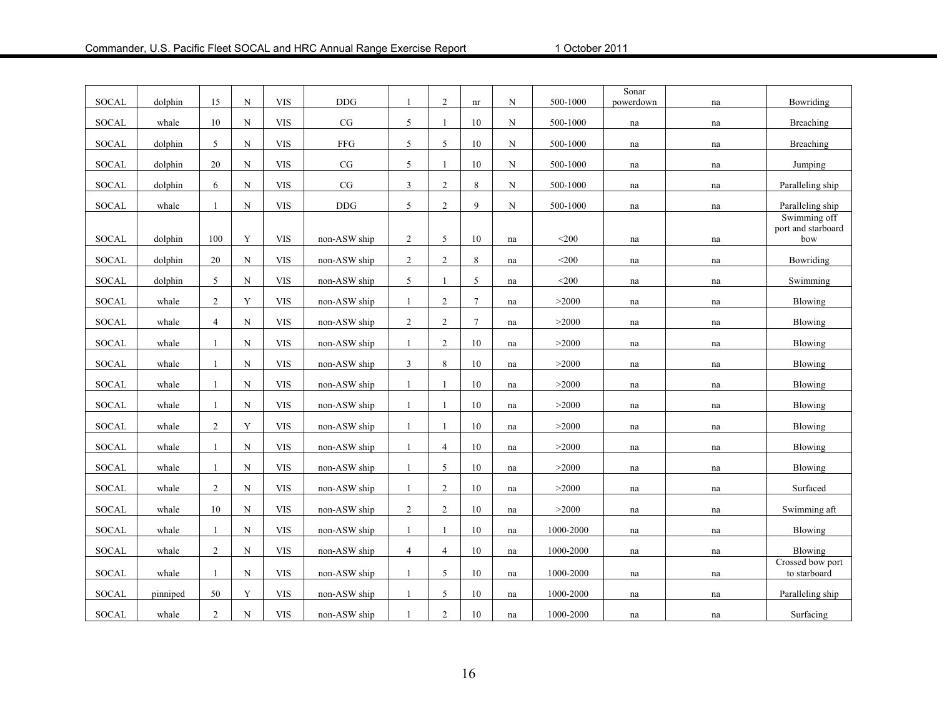| SOCAL        | dolphin  | 15             | N           | <b>VIS</b> | <b>DDG</b>   |                | 2              | nr              | N                   | 500-1000  | Sonar<br>powerdown  | na | Bowriding                          |
|--------------|----------|----------------|-------------|------------|--------------|----------------|----------------|-----------------|---------------------|-----------|---------------------|----|------------------------------------|
| SOCAL        | whale    | 10             | $\mathbf N$ | <b>VIS</b> | CG           | 5              | $\mathbf{1}$   | 10              | N                   | 500-1000  | na                  | na | Breaching                          |
|              |          |                |             |            |              |                |                |                 |                     |           |                     |    |                                    |
| <b>SOCAL</b> | dolphin  | 5              | N           | <b>VIS</b> | <b>FFG</b>   | 5              | 5              | 10              | N                   | 500-1000  | na                  | na | Breaching                          |
| <b>SOCAL</b> | dolphin  | 20             | $\mathbf N$ | <b>VIS</b> | $\rm{CG}$    | 5              | $\mathbf{1}$   | 10              | $\mathbf N$         | 500-1000  | na                  | na | Jumping                            |
| <b>SOCAL</b> | dolphin  | 6              | $\mathbf N$ | <b>VIS</b> | $\rm{CG}$    | 3              | $\overline{2}$ | 8               | $\mathbf N$         | 500-1000  | na                  | na | Paralleling ship                   |
| <b>SOCAL</b> | whale    |                | N           | <b>VIS</b> | <b>DDG</b>   | 5              | $\overline{c}$ | 9               | N                   | 500-1000  | na                  | na | Paralleling ship                   |
|              |          |                |             |            |              |                |                |                 |                     |           |                     |    | Swimming off<br>port and starboard |
| <b>SOCAL</b> | dolphin  | 100            | Y           | <b>VIS</b> | non-ASW ship | $\overline{2}$ | 5              | 10              | na                  | $<$ 200   | na                  | na | bow                                |
| SOCAL        | dolphin  | 20             | $\mathbf N$ | <b>VIS</b> | non-ASW ship | $\overline{2}$ | $\overline{2}$ | 8               | na                  | $<$ 200   | na                  | na | Bowriding                          |
| <b>SOCAL</b> | dolphin  | 5              | $\mathbf N$ | <b>VIS</b> | non-ASW ship | 5              | $\mathbf{1}$   | 5               | na                  | $200$     | na                  | na | Swimming                           |
| SOCAL        | whale    | $\overline{2}$ | $\mathbf Y$ | <b>VIS</b> | non-ASW ship | $\mathbf{1}$   | $\overline{2}$ | $\overline{7}$  | na                  | >2000     | $\operatorname{na}$ | na | Blowing                            |
| <b>SOCAL</b> | whale    | $\overline{4}$ | $_{\rm N}$  | <b>VIS</b> | non-ASW ship | $\overline{2}$ | $\overline{2}$ | $7\phantom{.0}$ | na                  | >2000     | na                  | na | Blowing                            |
| SOCAL        | whale    | 1              | $\mathbf N$ | <b>VIS</b> | non-ASW ship | $\mathbf{1}$   | $\overline{2}$ | 10              | na                  | >2000     | na                  | na | Blowing                            |
| <b>SOCAL</b> | whale    | -1             | $\mathbf N$ | <b>VIS</b> | non-ASW ship | 3              | 8              | 10              | na                  | >2000     | na                  | na | Blowing                            |
| <b>SOCAL</b> | whale    | -1             | $\mathbf N$ | <b>VIS</b> | non-ASW ship | $\mathbf{1}$   | $\mathbf{1}$   | 10              | na                  | >2000     | na                  | na | Blowing                            |
| SOCAL        | whale    |                | $\mathbf N$ | <b>VIS</b> | non-ASW ship | 1              | 1              | 10              | $\operatorname{na}$ | >2000     | na                  | na | Blowing                            |
| SOCAL        | whale    | $\overline{c}$ | Y           | <b>VIS</b> | non-ASW ship | -1             | 1              | 10              | na                  | >2000     | na                  | na | Blowing                            |
| <b>SOCAL</b> | whale    |                | $_{\rm N}$  | <b>VIS</b> | non-ASW ship | $\mathbf{1}$   | $\overline{4}$ | 10              | na                  | >2000     | na                  | na | Blowing                            |
| <b>SOCAL</b> | whale    | 1              | N           | <b>VIS</b> | non-ASW ship | $\mathbf{1}$   | 5              | 10              | na                  | >2000     | na                  | na | Blowing                            |
| <b>SOCAL</b> | whale    | $\overline{2}$ | N           | <b>VIS</b> | non-ASW ship | $\mathbf{1}$   | $\overline{2}$ | 10              | na                  | >2000     | na                  | na | Surfaced                           |
| <b>SOCAL</b> | whale    | 10             | N           | <b>VIS</b> | non-ASW ship | 2              | $\overline{2}$ | 10              | na                  | >2000     | na                  | na | Swimming aft                       |
|              |          |                |             |            |              |                |                |                 |                     |           |                     |    |                                    |
| SOCAL        | whale    |                | $\mathbf N$ | <b>VIS</b> | non-ASW ship | -1             | -1             | 10              | na                  | 1000-2000 | na                  | na | Blowing                            |
| SOCAL        | whale    | $\overline{2}$ | $\mathbf N$ | <b>VIS</b> | non-ASW ship | $\overline{4}$ | $\overline{4}$ | 10              | na                  | 1000-2000 | na                  | na | Blowing                            |
| <b>SOCAL</b> | whale    |                | N           | <b>VIS</b> | non-ASW ship | $\mathbf{1}$   | 5              | 10              | na                  | 1000-2000 | na                  | na | Crossed bow port<br>to starboard   |
| SOCAL        | pinniped | 50             | $\mathbf Y$ | <b>VIS</b> | non-ASW ship | -1             | 5              | $10\,$          | na                  | 1000-2000 | na                  | na | Paralleling ship                   |
| <b>SOCAL</b> | whale    | $\overline{2}$ | $\mathbf N$ | <b>VIS</b> | non-ASW ship |                | $\overline{2}$ | 10              | na                  | 1000-2000 | na                  | na | Surfacing                          |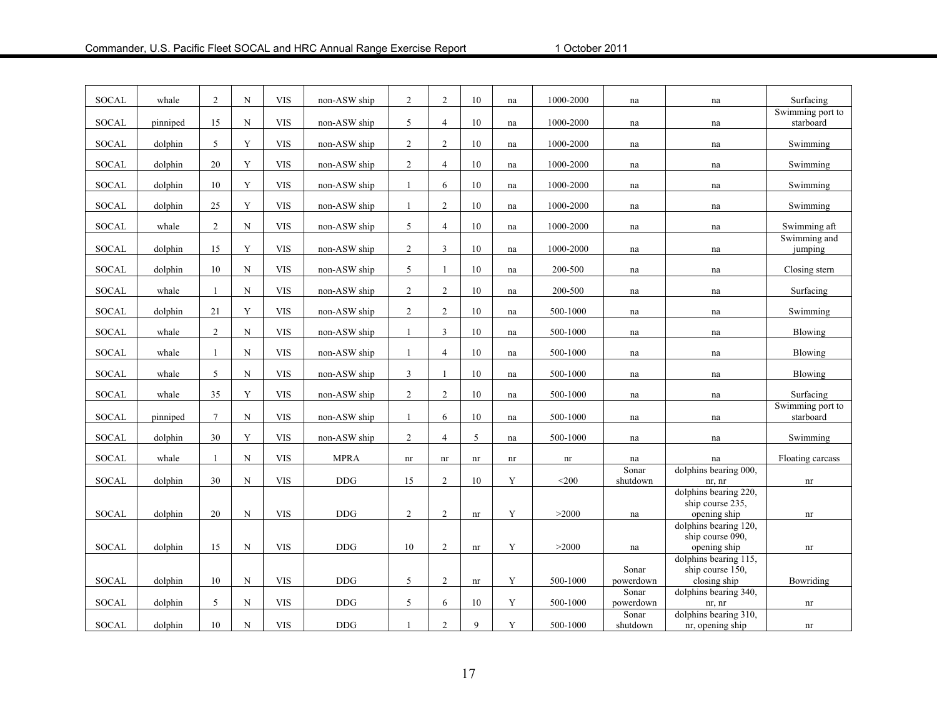| <b>SOCAL</b> | whale    | $\overline{2}$ | N           | <b>VIS</b> | non-ASW ship | 2              | 2              | 10     | na | 1000-2000   | na                | na                                        | Surfacing                     |
|--------------|----------|----------------|-------------|------------|--------------|----------------|----------------|--------|----|-------------|-------------------|-------------------------------------------|-------------------------------|
| <b>SOCAL</b> | pinniped | 15             | ${\bf N}$   | <b>VIS</b> | non-ASW ship | 5              | $\overline{4}$ | 10     | na | 1000-2000   | na                | na                                        | Swimming port to<br>starboard |
| <b>SOCAL</b> | dolphin  | 5              | $\mathbf Y$ | <b>VIS</b> | non-ASW ship | $\overline{2}$ | $\overline{c}$ | 10     | na | 1000-2000   | na                | na                                        | Swimming                      |
| <b>SOCAL</b> | dolphin  | 20             | Y           | <b>VIS</b> | non-ASW ship | 2              | $\overline{4}$ | 10     | na | 1000-2000   | na                | na                                        | Swimming                      |
| SOCAL        | dolphin  | 10             | Y           | <b>VIS</b> | non-ASW ship | 1              | 6              | 10     | na | 1000-2000   | na                | na                                        | Swimming                      |
| <b>SOCAL</b> | dolphin  | 25             | Y           | <b>VIS</b> | non-ASW ship | $\mathbf{1}$   | $\overline{2}$ | 10     | na | 1000-2000   | na                | na                                        | Swimming                      |
| <b>SOCAL</b> | whale    | $\overline{2}$ | ${\bf N}$   | <b>VIS</b> | non-ASW ship | 5              | $\overline{4}$ | 10     | na | 1000-2000   | na                | na                                        | Swimming aft                  |
| <b>SOCAL</b> | dolphin  | 15             | $\mathbf Y$ | <b>VIS</b> | non-ASW ship | $\overline{2}$ | $\mathfrak{Z}$ | 10     | na | 1000-2000   | na                | na                                        | Swimming and<br>jumping       |
| SOCAL        | dolphin  | 10             | $_{\rm N}$  | <b>VIS</b> | non-ASW ship | 5              | $\mathbf{1}$   | 10     | na | $200 - 500$ | na                | na                                        | Closing stern                 |
| <b>SOCAL</b> | whale    |                | $_{\rm N}$  | <b>VIS</b> | non-ASW ship | $\overline{2}$ | 2              | $10\,$ | na | 200-500     | na                | na                                        | Surfacing                     |
| <b>SOCAL</b> | dolphin  | 21             | Y           | <b>VIS</b> | non-ASW ship | 2              | 2              | 10     | na | 500-1000    | na                | na                                        | Swimming                      |
| <b>SOCAL</b> | whale    | $\overline{2}$ | $_{\rm N}$  | <b>VIS</b> | non-ASW ship | $\overline{1}$ | $\overline{3}$ | 10     | na | 500-1000    | na                | na                                        | Blowing                       |
| <b>SOCAL</b> | whale    | 1              | N           | <b>VIS</b> | non-ASW ship | -1             | $\overline{4}$ | 10     | na | 500-1000    | na                | na                                        | Blowing                       |
| <b>SOCAL</b> | whale    | 5              | N           | <b>VIS</b> | non-ASW ship | 3              | $\mathbf{1}$   | 10     | na | 500-1000    | na                | na                                        | Blowing                       |
| <b>SOCAL</b> | whale    | 35             | Y           | <b>VIS</b> | non-ASW ship | $\sqrt{2}$     | $\overline{2}$ | $10\,$ | na | 500-1000    | na                | na                                        | Surfacing                     |
| <b>SOCAL</b> | pinniped | $\tau$         | $\mathbf N$ | <b>VIS</b> | non-ASW ship | 1              | 6              | 10     | na | 500-1000    | na                | na                                        | Swimming port to<br>starboard |
| <b>SOCAL</b> | dolphin  | 30             | Y           | <b>VIS</b> | non-ASW ship | 2              | $\overline{4}$ | 5      | na | 500-1000    | na                | na                                        | Swimming                      |
| <b>SOCAL</b> | whale    |                | ${\bf N}$   | <b>VIS</b> | <b>MPRA</b>  | nr             | nr             | nr     | nr | nr          | na                | na                                        | Floating carcass              |
| <b>SOCAL</b> | dolphin  | 30             | $\mathbf N$ | <b>VIS</b> | <b>DDG</b>   | 15             | 2              | 10     | Y  | $<$ 200     | Sonar<br>shutdown | dolphins bearing 000,<br>nr, nr           | $\mathop{\rm nr}\nolimits$    |
|              |          |                |             |            |              |                |                |        |    |             |                   | dolphins bearing 220,<br>ship course 235, |                               |
| <b>SOCAL</b> | dolphin  | 20             | $\mathbf N$ | <b>VIS</b> | <b>DDG</b>   | 2              | 2              | nr     | Y  | >2000       | na                | opening ship                              | nr                            |
|              |          |                |             |            |              |                |                |        |    |             |                   | dolphins bearing 120,<br>ship course 090. |                               |
| <b>SOCAL</b> | dolphin  | 15             | $\mathbf N$ | <b>VIS</b> | <b>DDG</b>   | 10             | 2              | nr     | Y  | >2000       | na                | opening ship                              | nr                            |
|              |          |                |             |            |              |                |                |        |    |             | Sonar             | dolphins bearing 115,<br>ship course 150. |                               |
| SOCAL        | dolphin  | 10             | $\mathbf N$ | <b>VIS</b> | <b>DDG</b>   | 5              | $\overline{2}$ | nr     | Y  | 500-1000    | powerdown         | closing ship                              | Bowriding                     |
|              |          |                |             |            |              |                |                |        |    |             | Sonar             | dolphins bearing 340,                     |                               |
| <b>SOCAL</b> | dolphin  | 5              | N           | <b>VIS</b> | <b>DDG</b>   | 5              | 6              | 10     | Y  | 500-1000    | powerdown         | nr, nr                                    | nr                            |
|              |          |                |             |            |              |                |                |        |    |             | Sonar             | dolphins bearing 310,                     |                               |
| <b>SOCAL</b> | dolphin  | 10             | ${\bf N}$   | <b>VIS</b> | <b>DDG</b>   | $\mathbf{1}$   | 2              | 9      | Y  | 500-1000    | shutdown          | nr, opening ship                          | nr                            |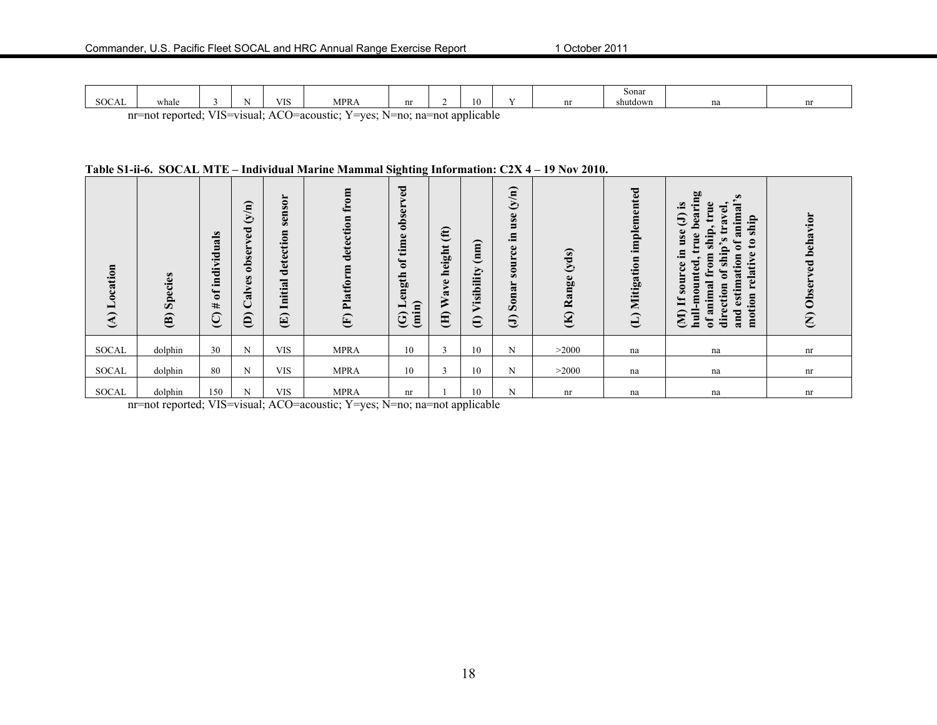|                               |                  |                     |                   |                                                     |       |                     |    | Sonar    |    |    |
|-------------------------------|------------------|---------------------|-------------------|-----------------------------------------------------|-------|---------------------|----|----------|----|----|
| $\sim$ $\sim$ $\sim$<br>SUCAL | whale            |                     | <b>TTC</b><br>ึ⊥∪ | MPR                                                 | nı    | 10                  | n+ | shutdown | na | nı |
|                               | nr=not renorted: | $VIS = vi \text{ }$ | $\sim$<br>^ *     | $V = V \rho e$<br>$l = 9$ $\alpha$ $\alpha$ $\beta$ | ∴∩ ⊏n | ∩ na=n∩t annlıeahle |    |          |    |    |

#### **Table S1-ii-6. SOCAL MTE – Individual Marine Mammal Sighting Information: C2X 4 – 19 Nov 2010.**

| $\overline{\mathbf{e}}$<br>Locati<br>$\widehat{\mathcal{E}}$ | Species<br>$\mathbf{\widehat{e}}$ | $\omega$<br>dividual<br>Ē.<br>ัธ<br>#<br>ପ୍ର | $\binom{N}{N}$<br>g<br>⋗<br>obser<br>alves<br>◡<br>$\widehat{e}$ | $\mathbf{S}$<br>ens<br>$\bar{a}$<br>detection<br>Initial<br>$\bigoplus$ | $\mathbf{m}$<br>detection<br>Platform<br>E | ರ<br>ه<br>ь<br>≻<br>obsei<br>time<br>$\mathfrak{b}$<br>gth<br>$\mathbf{e}$<br>$\widehat{a}$<br>▬<br>Ë<br>$\widehat{\mathfrak{S}}$ | $\mathbf{f}$<br>ٮ<br>$\overline{\phantom{0}}$<br>height<br>$\bullet$<br>$\approx$<br>≶<br>Ê | (mn)<br>Visibility<br>$\ominus$ | $\mathbf{m}$<br>$\mathcal{S}$<br>$\mathbf{s}$<br>$\blacksquare$<br>.크<br>$\omega$<br>ں<br>٤<br>$\blacksquare$<br>$\bullet$<br>$\boldsymbol{\omega}$<br>$\approx$<br>$\ddot{\mathbf{g}}$<br>$\bar{a}$<br>$\Theta$ | yds)<br>$\mathbf{g}$<br>an<br>≃<br>$\mathbf{\widehat{K}}$ | implemented<br>Mitigation<br>$\ominus$ | ring<br>$\omega$<br>$\omega$<br>$\mathbf{e}$<br>animal<br>ಕ<br>$-1$<br>$\mathbf{a}$<br>€<br>$\tilde{\mathbf{a}}$<br>ship<br>$\bullet$<br>$\mathbf{g}$<br>$\mathbf{e}$<br>ur.<br>$\mathbf{c}$<br>Ξ<br>ð<br>$\tilde{\mathbf{p}}$<br>.트<br>relative<br>$\mathbf{m}$<br>estimation<br>$\ddot{=}$<br>ted<br>d.<br>ے<br>ᅙ<br>moun<br>$\overline{\text{a}}$<br>ction<br>$\mathbf{S}$<br>motion<br>Ħ<br>ani<br>dire<br>and<br>$\mathbf{u}$<br>$\widehat{\mathbf{z}}$<br>ᅙ | behavior<br>Observed<br>$\epsilon$ |
|--------------------------------------------------------------|-----------------------------------|----------------------------------------------|------------------------------------------------------------------|-------------------------------------------------------------------------|--------------------------------------------|-----------------------------------------------------------------------------------------------------------------------------------|---------------------------------------------------------------------------------------------|---------------------------------|------------------------------------------------------------------------------------------------------------------------------------------------------------------------------------------------------------------|-----------------------------------------------------------|----------------------------------------|-------------------------------------------------------------------------------------------------------------------------------------------------------------------------------------------------------------------------------------------------------------------------------------------------------------------------------------------------------------------------------------------------------------------------------------------------------------------|------------------------------------|
| <b>SOCAL</b>                                                 | dolphin                           | 30                                           | N                                                                | <b>VIS</b>                                                              | <b>MPRA</b>                                | 10                                                                                                                                | $\sim$<br>$\rightarrow$                                                                     | 10                              | N                                                                                                                                                                                                                | >2000                                                     | na                                     | na                                                                                                                                                                                                                                                                                                                                                                                                                                                                | nr                                 |
| <b>SOCAL</b>                                                 | dolphin                           | 80                                           | N                                                                | <b>VIS</b>                                                              | <b>MPRA</b>                                | 10                                                                                                                                | $\sim$<br>$\rightarrow$                                                                     | 10                              | N                                                                                                                                                                                                                | >2000                                                     | na                                     | na                                                                                                                                                                                                                                                                                                                                                                                                                                                                | nr                                 |
|                                                              |                                   |                                              |                                                                  |                                                                         |                                            |                                                                                                                                   |                                                                                             |                                 |                                                                                                                                                                                                                  |                                                           |                                        |                                                                                                                                                                                                                                                                                                                                                                                                                                                                   |                                    |
| <b>SOCAL</b>                                                 | dolphin                           | 150                                          | N                                                                | <b>VIS</b>                                                              | <b>MPRA</b>                                | nr                                                                                                                                |                                                                                             | 10                              | N                                                                                                                                                                                                                | nr                                                        | na                                     | na                                                                                                                                                                                                                                                                                                                                                                                                                                                                | nr                                 |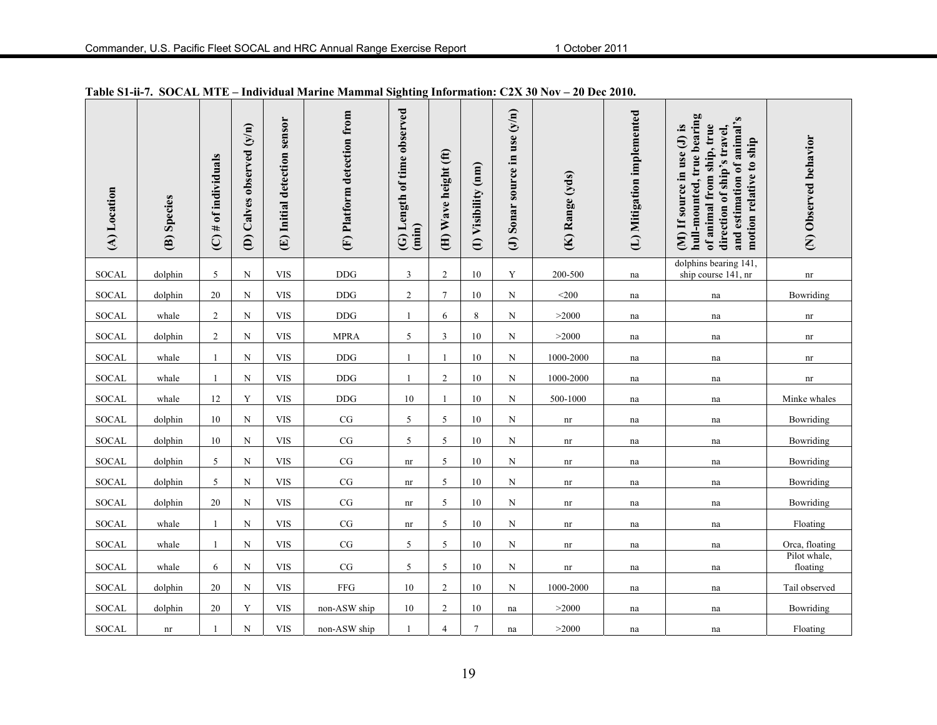| (A) Location | (B) Species | $(C)$ # of individuals | (D) Calves observed (y/n) | (E) Initial detection sensor | (F) Platform detection from | (G) Length of time observed<br>(imin) | (H) Wave height (ft) | (I) Visibility (nm) | (J) Sonar source in use $(y/n)$ | (K) Range (yds)            | (L) Mitigation implemented | hull-mounted, true bearing<br>and estimation of animal's<br>of animal from ship, true<br>(M) If source in use (J) is<br>direction of ship's travel,<br>motion relative to ship | (N) Observed behavior      |
|--------------|-------------|------------------------|---------------------------|------------------------------|-----------------------------|---------------------------------------|----------------------|---------------------|---------------------------------|----------------------------|----------------------------|--------------------------------------------------------------------------------------------------------------------------------------------------------------------------------|----------------------------|
| <b>SOCAL</b> | dolphin     | 5                      | ${\bf N}$                 | <b>VIS</b>                   | <b>DDG</b>                  | 3                                     | $\boldsymbol{2}$     | 10                  | Y                               | 200-500                    | na                         | dolphins bearing 141,<br>ship course 141, nr                                                                                                                                   | $\mathop{\rm nr}\nolimits$ |
| <b>SOCAL</b> | dolphin     | 20                     | $\mathbf N$               | <b>VIS</b>                   | <b>DDG</b>                  | $\overline{c}$                        | $\overline{7}$       | 10                  | N                               | $<$ 200                    | na                         | na                                                                                                                                                                             | Bowriding                  |
| <b>SOCAL</b> | whale       | $\overline{2}$         | N                         | <b>VIS</b>                   | <b>DDG</b>                  |                                       | 6                    | 8                   | N                               | >2000                      | na                         | na                                                                                                                                                                             | nr                         |
| <b>SOCAL</b> | dolphin     | $\overline{2}$         | ${\bf N}$                 | <b>VIS</b>                   | <b>MPRA</b>                 | 5                                     | 3                    | 10                  | N                               | >2000                      | na                         | na                                                                                                                                                                             | nr                         |
| <b>SOCAL</b> | whale       |                        | ${\bf N}$                 | <b>VIS</b>                   | <b>DDG</b>                  |                                       | $\mathbf{1}$         | 10                  | N                               | 1000-2000                  | na                         | na                                                                                                                                                                             | nr                         |
| <b>SOCAL</b> | whale       | $\mathbf{1}$           | ${\bf N}$                 | <b>VIS</b>                   | <b>DDG</b>                  | $\mathbf{1}$                          | 2                    | 10                  | $\mathbf N$                     | 1000-2000                  | na                         | na                                                                                                                                                                             | nr                         |
| <b>SOCAL</b> | whale       | 12                     | Y                         | <b>VIS</b>                   | $\rm{DDG}$                  | 10                                    | 1                    | 10                  | N                               | 500-1000                   | na                         | na                                                                                                                                                                             | Minke whales               |
| SOCAL        | dolphin     | 10                     | N                         | <b>VIS</b>                   | $\rm{CG}$                   | 5                                     | 5                    | 10                  | N                               | nr                         | na                         | na                                                                                                                                                                             | Bowriding                  |
| <b>SOCAL</b> | dolphin     | 10                     | N                         | <b>VIS</b>                   | $\rm{CG}$                   | 5                                     | 5                    | 10                  | N                               | nr                         | na                         | na                                                                                                                                                                             | Bowriding                  |
| <b>SOCAL</b> | dolphin     | 5                      | ${\bf N}$                 | <b>VIS</b>                   | $\rm{CG}$                   | nr                                    | 5                    | 10                  | N                               | nr                         | na                         | na                                                                                                                                                                             | Bowriding                  |
| SOCAL        | dolphin     | 5                      | $\mathbf N$               | <b>VIS</b>                   | $\rm{CG}$                   | nr                                    | 5                    | 10                  | N                               | nr                         | na                         | na                                                                                                                                                                             | Bowriding                  |
| <b>SOCAL</b> | dolphin     | 20                     | $\mathbf N$               | <b>VIS</b>                   | $\rm{CG}$                   | nr                                    | 5                    | 10                  | N                               | nr                         | na                         | na                                                                                                                                                                             | Bowriding                  |
| SOCAL        | whale       |                        | N                         | <b>VIS</b>                   | $\rm CG$                    | nr                                    | 5                    | 10                  | N                               | nr                         | na                         | na                                                                                                                                                                             | Floating                   |
| <b>SOCAL</b> | whale       |                        | ${\bf N}$                 | <b>VIS</b>                   | $\rm CG$                    | 5                                     | 5                    | 10                  | N                               | $\mathop{\rm nr}\nolimits$ | na                         | na                                                                                                                                                                             | Orca, floating             |
| SOCAL        | whale       | 6                      | ${\bf N}$                 | <b>VIS</b>                   | $\rm CG$                    | 5                                     | 5                    | 10                  | N                               | nr                         | na                         | na                                                                                                                                                                             | Pilot whale,<br>floating   |
| <b>SOCAL</b> | dolphin     | 20                     | ${\bf N}$                 | <b>VIS</b>                   | ${\rm FFG}$                 | 10                                    | $\overline{2}$       | 10                  | N                               | 1000-2000                  | na                         | na                                                                                                                                                                             | Tail observed              |
| <b>SOCAL</b> | dolphin     | 20                     | Y                         | <b>VIS</b>                   | non-ASW ship                | 10                                    | $\overline{2}$       | 10                  | na                              | >2000                      | na                         | na                                                                                                                                                                             | Bowriding                  |
| <b>SOCAL</b> | nr          |                        | ${\bf N}$                 | <b>VIS</b>                   | non-ASW ship                |                                       | $\overline{4}$       | $\overline{7}$      | na                              | >2000                      | na                         | na                                                                                                                                                                             | Floating                   |

**Table S1-ii-7. SOCAL MTE – Individual Marine Mammal Sighting Information: C2X 30 Nov – 20 Dec 2010.**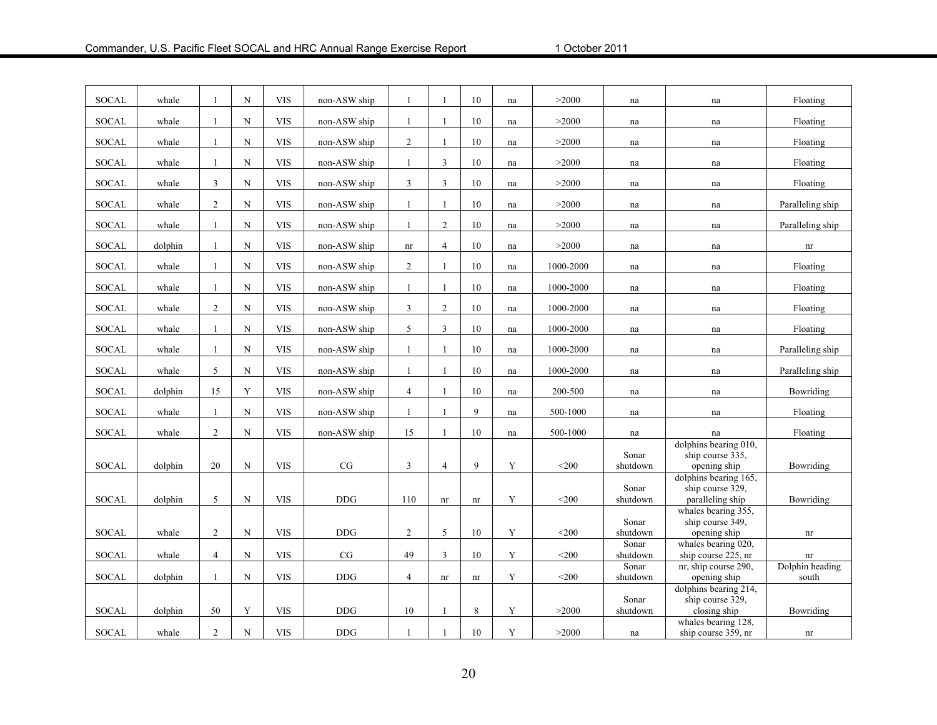| <b>SOCAL</b> | whale   | 1              | N           | <b>VIS</b> | non-ASW ship | 1              |                            | 10                         | na          | >2000        | na                | na                                                            | Floating                   |
|--------------|---------|----------------|-------------|------------|--------------|----------------|----------------------------|----------------------------|-------------|--------------|-------------------|---------------------------------------------------------------|----------------------------|
| <b>SOCAL</b> | whale   | 1              | $\mathbf N$ | <b>VIS</b> | non-ASW ship | 1              | 1                          | 10                         | na          | >2000        | na                | na                                                            | Floating                   |
| <b>SOCAL</b> | whale   | 1              | $\mathbf N$ | <b>VIS</b> | non-ASW ship | $\overline{2}$ | 1                          | 10                         | na          | >2000        | na                | na                                                            | Floating                   |
| <b>SOCAL</b> | whale   | 1              | $\mathbf N$ | <b>VIS</b> | non-ASW ship | 1              | 3                          | 10                         | na          | >2000        | na                | na                                                            | Floating                   |
| <b>SOCAL</b> | whale   | 3              | $\mathbf N$ | <b>VIS</b> | non-ASW ship | $\mathfrak{Z}$ | $\mathfrak{Z}$             | 10                         | na          | >2000        | na                | na                                                            | Floating                   |
| <b>SOCAL</b> | whale   | $\overline{2}$ | $\mathbf N$ | <b>VIS</b> | non-ASW ship | $\mathbf{1}$   |                            | 10                         | na          | >2000        | na                | na                                                            | Paralleling ship           |
| <b>SOCAL</b> | whale   | $\mathbf{1}$   | $\mathbf N$ | <b>VIS</b> | non-ASW ship | $\mathbf{1}$   | $\overline{2}$             | 10                         | na          | >2000        | na                | na                                                            | Paralleling ship           |
| <b>SOCAL</b> | dolphin | $\mathbf{1}$   | $_{\rm N}$  | <b>VIS</b> | non-ASW ship | nr             | $\overline{4}$             | 10                         | na          | >2000        | na                | na                                                            | nr                         |
| <b>SOCAL</b> | whale   | $\mathbf{1}$   | $\mathbf N$ | <b>VIS</b> | non-ASW ship | $\overline{c}$ | $\mathbf{1}$               | 10                         | na          | 1000-2000    | na                | na                                                            | Floating                   |
| <b>SOCAL</b> | whale   | $\mathbf{1}$   | $\mathbf N$ | <b>VIS</b> | non-ASW ship | $\mathbf{1}$   | 1                          | 10                         | na          | 1000-2000    | na                | na                                                            | Floating                   |
| <b>SOCAL</b> | whale   | $\overline{2}$ | $\mathbf N$ | <b>VIS</b> | non-ASW ship | 3              | $\overline{2}$             | 10                         | na          | 1000-2000    | na                | na                                                            | Floating                   |
| <b>SOCAL</b> | whale   | 1              | $\mathbf N$ | <b>VIS</b> | non-ASW ship | 5              | $\mathfrak{Z}$             | 10                         | na          | 1000-2000    | na                | na                                                            | Floating                   |
| <b>SOCAL</b> | whale   | 1              | $_{\rm N}$  | <b>VIS</b> | non-ASW ship | 1              | 1                          | 10                         | na          | 1000-2000    | na                | na                                                            | Paralleling ship           |
| <b>SOCAL</b> | whale   | 5              | $_{\rm N}$  | <b>VIS</b> | non-ASW ship | $\mathbf{1}$   | 1                          | 10                         | na          | 1000-2000    | na                | na                                                            | Paralleling ship           |
| <b>SOCAL</b> | dolphin | 15             | Y           | <b>VIS</b> | non-ASW ship | $\overline{4}$ | 1                          | $10\,$                     | na          | 200-500      | na                | na                                                            | Bowriding                  |
| SOCAL        | whale   |                | N           | <b>VIS</b> | non-ASW ship |                |                            | $\mathbf{Q}$               | na          | $500 - 1000$ | na                | na                                                            | Floating                   |
| <b>SOCAL</b> | whale   | 2              | $\mathbf N$ | <b>VIS</b> | non-ASW ship | 15             | 1                          | 10                         | na          | 500-1000     | na                | na                                                            | Floating                   |
| <b>SOCAL</b> | dolphin | 20             | $\mathbf N$ | <b>VIS</b> | $\rm{CG}$    | 3              | $\overline{4}$             | 9                          | Y           | $<$ 200      | Sonar<br>shutdown | dolphins bearing 010,<br>ship course 335,<br>opening ship     | Bowriding                  |
| <b>SOCAL</b> | dolphin | 5              | $\mathbf N$ | <b>VIS</b> | $\rm{DDG}$   | 110            | nr                         | nr                         | Y           | $<$ 200      | Sonar<br>shutdown | dolphins bearing 165,<br>ship course 329.<br>paralleling ship | Bowriding                  |
| <b>SOCAL</b> | whale   | $\overline{2}$ | $_{\rm N}$  | <b>VIS</b> | <b>DDG</b>   | $\overline{2}$ | 5                          | 10                         | Y           | $<$ 200      | Sonar<br>shutdown | whales bearing 355.<br>ship course 349,<br>opening ship       | $\mathop{\rm nr}\nolimits$ |
| <b>SOCAL</b> | whale   | $\overline{4}$ | $_{\rm N}$  | <b>VIS</b> | $\rm{CG}$    | 49             | 3                          | 10                         | Y           | $<$ 200      | Sonar<br>shutdown | whales bearing 020,<br>ship course 225, nr                    | nr                         |
| <b>SOCAL</b> | dolphin | 1              | N           | <b>VIS</b> | $\rm{DDG}$   | $\overline{4}$ | $\mathop{\rm nr}\nolimits$ | $\mathop{\rm nr}\nolimits$ | $\mathbf Y$ | $<$ 200      | Sonar<br>shutdown | nr, ship course 290,<br>opening ship                          | Dolphin heading<br>south   |
|              |         |                |             |            |              |                |                            |                            |             |              | Sonar             | dolphins bearing 214,<br>ship course 329,                     |                            |
| <b>SOCAL</b> | dolphin | 50             | Y           | <b>VIS</b> | <b>DDG</b>   | 10             | 1                          | $\,$ 8 $\,$                | Y           | >2000        | shutdown          | closing ship                                                  | Bowriding                  |
| <b>SOCAL</b> | whale   | $\overline{2}$ | ${\bf N}$   | <b>VIS</b> | <b>DDG</b>   | $\mathbf{1}$   | 1                          | $10\,$                     | Y           | >2000        | na                | whales bearing 128,<br>ship course 359, nr                    | $\mathop{\rm nr}\nolimits$ |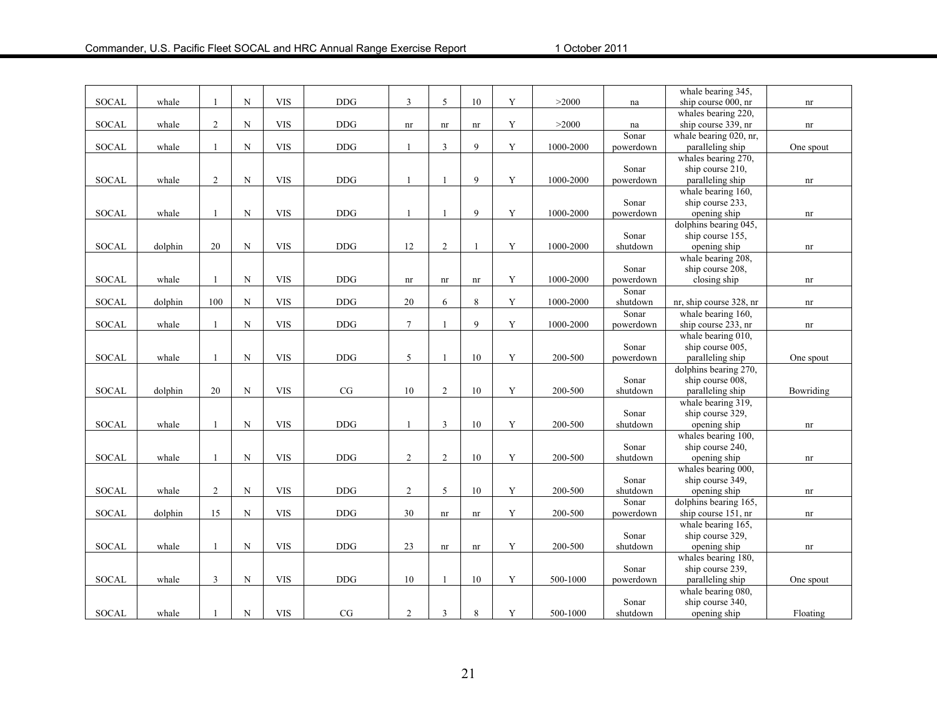|              |         |                |             |            |            |                  |                |    |             |           |           | whale bearing 345,      |           |
|--------------|---------|----------------|-------------|------------|------------|------------------|----------------|----|-------------|-----------|-----------|-------------------------|-----------|
| SOCAL        | whale   |                | $\mathbf N$ | <b>VIS</b> | <b>DDG</b> | 3                | 5              | 10 | Y           | >2000     | na        | ship course 000, nr     | nr        |
|              |         |                |             |            |            |                  |                |    |             |           |           | whales bearing 220,     |           |
| <b>SOCAL</b> | whale   | $\overline{2}$ | $\mathbf N$ | <b>VIS</b> | <b>DDG</b> | nr               | nr             | nr | Y           | >2000     | na        | ship course 339, nr     | nr        |
|              |         |                |             |            |            |                  |                |    |             |           | Sonar     | whale bearing 020, nr,  |           |
| <b>SOCAL</b> | whale   |                | ${\bf N}$   | <b>VIS</b> | <b>DDG</b> |                  | $\overline{3}$ | 9  | $\mathbf Y$ | 1000-2000 | powerdown | paralleling ship        | One spout |
|              |         |                |             |            |            |                  |                |    |             |           |           | whales bearing 270,     |           |
|              |         |                |             |            |            |                  |                |    |             |           | Sonar     | ship course 210,        |           |
| <b>SOCAL</b> | whale   | $\overline{2}$ | ${\bf N}$   | <b>VIS</b> | $\rm{DDG}$ | $\overline{1}$   | $\mathbf{1}$   | 9  | Y           | 1000-2000 | powerdown | paralleling ship        | nr        |
|              |         |                |             |            |            |                  |                |    |             |           |           | whale bearing 160,      |           |
|              |         |                |             |            |            |                  |                |    |             |           | Sonar     | ship course 233,        |           |
| <b>SOCAL</b> | whale   | $\mathbf{1}$   | $\mathbf N$ | <b>VIS</b> | <b>DDG</b> | $\overline{1}$   | $\overline{1}$ | 9  | $\mathbf Y$ | 1000-2000 | powerdown | opening ship            | nr        |
|              |         |                |             |            |            |                  |                |    |             |           |           | dolphins bearing 045,   |           |
|              |         |                |             |            |            |                  |                |    |             |           | Sonar     | ship course 155,        |           |
| <b>SOCAL</b> | dolphin | 20             | ${\bf N}$   | <b>VIS</b> | <b>DDG</b> | 12               | $\overline{2}$ | -1 | Y           | 1000-2000 | shutdown  | opening ship            | nr        |
|              |         |                |             |            |            |                  |                |    |             |           |           | whale bearing 208,      |           |
|              |         |                |             |            |            |                  |                |    |             |           | Sonar     | ship course 208,        |           |
| SOCAL        | whale   |                | ${\bf N}$   | <b>VIS</b> | <b>DDG</b> | nr               | nr             | nr | Y           | 1000-2000 | powerdown | closing ship            | nr        |
|              |         |                |             |            |            |                  |                |    |             |           | Sonar     |                         |           |
| SOCAL        | dolphin | 100            | ${\bf N}$   | <b>VIS</b> | $\rm{DDG}$ | 20               | 6              | 8  | Y           | 1000-2000 | shutdown  | nr, ship course 328, nr | nr        |
|              |         |                |             |            |            |                  |                |    |             |           | Sonar     | whale bearing 160,      |           |
| SOCAL        | whale   |                | $\mathbf N$ | <b>VIS</b> | <b>DDG</b> | $7\phantom{.0}$  | $\mathbf{1}$   | 9  | Y           | 1000-2000 | powerdown | ship course 233, nr     | nr        |
|              |         |                |             |            |            |                  |                |    |             |           |           | whale bearing 010,      |           |
|              |         |                |             |            |            |                  |                |    |             |           | Sonar     | ship course 005,        |           |
| <b>SOCAL</b> | whale   |                | ${\bf N}$   | <b>VIS</b> | <b>DDG</b> | 5                | $\overline{1}$ | 10 | Y           | 200-500   | powerdown | paralleling ship        | One spout |
|              |         |                |             |            |            |                  |                |    |             |           |           | dolphins bearing 270,   |           |
|              |         |                |             |            |            |                  |                |    |             |           | Sonar     | ship course 008,        |           |
| <b>SOCAL</b> | dolphin | 20             | ${\bf N}$   | <b>VIS</b> | $\rm{CG}$  | 10               | $\overline{2}$ | 10 | Y           | 200-500   | shutdown  | paralleling ship        | Bowriding |
|              |         |                |             |            |            |                  |                |    |             |           |           | whale bearing 319,      |           |
|              |         |                |             |            |            |                  |                |    |             |           | Sonar     | ship course 329,        |           |
| <b>SOCAL</b> | whale   | $\mathbf{1}$   | ${\bf N}$   | <b>VIS</b> | $\rm{DDG}$ | $\overline{1}$   | 3              | 10 | Y           | 200-500   | shutdown  |                         |           |
|              |         |                |             |            |            |                  |                |    |             |           |           | opening ship            | nr        |
|              |         |                |             |            |            |                  |                |    |             |           |           | whales bearing 100,     |           |
|              |         |                | $\mathbf N$ |            |            |                  | $\overline{2}$ | 10 | Y           |           | Sonar     | ship course 240,        |           |
| <b>SOCAL</b> | whale   |                |             | <b>VIS</b> | $\rm{DDG}$ | 2                |                |    |             | 200-500   | shutdown  | opening ship            | nr        |
|              |         |                |             |            |            |                  |                |    |             |           |           | whales bearing 000,     |           |
|              |         |                |             |            |            |                  |                |    |             |           | Sonar     | ship course 349,        |           |
| <b>SOCAL</b> | whale   | $\overline{2}$ | ${\bf N}$   | <b>VIS</b> | <b>DDG</b> | $\sqrt{2}$       | 5              | 10 | Y           | 200-500   | shutdown  | opening ship            | nr        |
|              |         |                |             |            |            |                  |                |    |             |           | Sonar     | dolphins bearing 165,   |           |
| <b>SOCAL</b> | dolphin | 15             | $\mathbf N$ | <b>VIS</b> | <b>DDG</b> | 30               | nr             | nr | Y           | 200-500   | powerdown | ship course 151, nr     | nr        |
|              |         |                |             |            |            |                  |                |    |             |           |           | whale bearing 165,      |           |
|              |         |                |             |            |            |                  |                |    |             |           | Sonar     | ship course 329,        |           |
| <b>SOCAL</b> | whale   | $\mathbf{1}$   | $\mathbf N$ | <b>VIS</b> | $\rm{DDG}$ | 23               | nr             | nr | Y           | 200-500   | shutdown  | opening ship            | nr        |
|              |         |                |             |            |            |                  |                |    |             |           |           | whales bearing 180,     |           |
|              |         |                |             |            |            |                  |                |    |             |           | Sonar     | ship course 239,        |           |
| <b>SOCAL</b> | whale   | 3              | ${\bf N}$   | <b>VIS</b> | <b>DDG</b> | 10               | -1             | 10 | Y           | 500-1000  | powerdown | paralleling ship        | One spout |
|              |         |                |             |            |            |                  |                |    |             |           |           | whale bearing 080,      |           |
|              |         |                |             |            |            |                  |                |    |             |           | Sonar     | ship course 340,        |           |
| <b>SOCAL</b> | whale   |                | ${\bf N}$   | <b>VIS</b> | CG         | $\boldsymbol{2}$ | $\mathfrak{Z}$ | 8  | $\mathbf Y$ | 500-1000  | shutdown  | opening ship            | Floating  |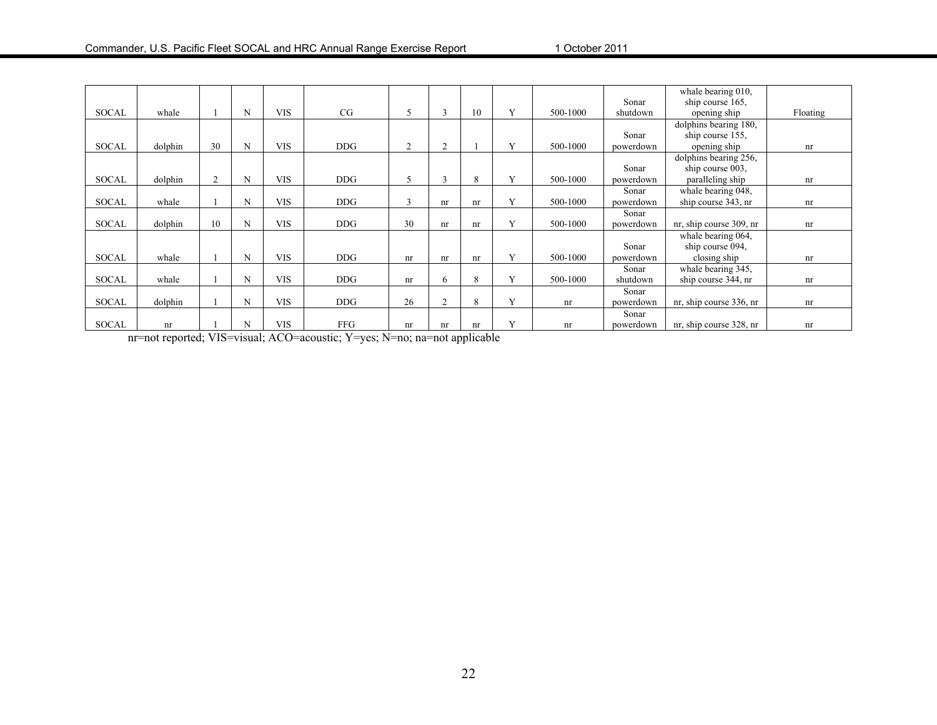|              |         |    |   |            |            |                |                |    |              |          |           | whale bearing 010,      |          |
|--------------|---------|----|---|------------|------------|----------------|----------------|----|--------------|----------|-----------|-------------------------|----------|
|              |         |    |   |            |            |                |                |    |              |          | Sonar     | ship course 165,        |          |
| <b>SOCAL</b> | whale   |    | N | <b>VIS</b> | CG         | $\overline{2}$ | 3              | 10 | Y            | 500-1000 | shutdown  | opening ship            | Floating |
|              |         |    |   |            |            |                |                |    |              |          |           | dolphins bearing 180,   |          |
|              |         |    |   |            |            |                |                |    |              |          | Sonar     | ship course 155,        |          |
| <b>SOCAL</b> | dolphin | 30 | N | <b>VIS</b> | DDG        | $\overline{2}$ | 2              |    | Y            | 500-1000 | powerdown | opening ship            | nr       |
|              |         |    |   |            |            |                |                |    |              |          |           | dolphins bearing 256,   |          |
|              |         |    |   |            |            |                |                |    |              |          | Sonar     | ship course 003,        |          |
| <b>SOCAL</b> | dolphin | 2  | N | <b>VIS</b> | <b>DDG</b> | 5              | $\mathbf{3}$   | 8  | $\mathbf{v}$ | 500-1000 | powerdown | paralleling ship        | nr       |
|              |         |    |   |            |            |                |                |    |              |          | Sonar     | whale bearing 048,      |          |
| <b>SOCAL</b> | whale   |    | N | <b>VIS</b> | DDG.       | $\mathcal{R}$  | nr             | nr | $\mathbf{V}$ | 500-1000 | powerdown | ship course 343, nr     | nr       |
|              |         |    |   |            |            |                |                |    |              |          | Sonar     |                         |          |
| <b>SOCAL</b> | dolphin | 10 | N | <b>VIS</b> | DDG        | 30             | nr             | nr | Y            | 500-1000 | powerdown | nr, ship course 309, nr | nr       |
|              |         |    |   |            |            |                |                |    |              |          |           | whale bearing 064,      |          |
|              |         |    |   |            |            |                |                |    |              |          | Sonar     | ship course 094,        |          |
| <b>SOCAL</b> | whale   |    | N | <b>VIS</b> | DDG        | nr             | nr             | nr | V            | 500-1000 | powerdown | closing ship            | nr       |
|              |         |    |   |            |            |                |                |    |              |          | Sonar     | whale bearing 345,      |          |
| <b>SOCAL</b> | whale   |    | N | <b>VIS</b> | DDG        | nr             | 6              | 8  | $\mathbf{v}$ | 500-1000 | shutdown  | ship course 344, nr     | nr       |
|              |         |    |   |            |            |                |                |    |              |          | Sonar     |                         |          |
| <b>SOCAL</b> | dolphin |    | N | <b>VIS</b> | DDG        | 26             | $\overline{2}$ | 8  | Y            | nr       | powerdown | nr, ship course 336, nr | nr       |
|              |         |    |   |            |            |                |                |    |              |          | Sonar     |                         |          |
| <b>SOCAL</b> | nr      |    | N | <b>VIS</b> | <b>FFG</b> | nr             | nr             | nr | Y            | nr       | powerdown | nr, ship course 328, nr | nr       |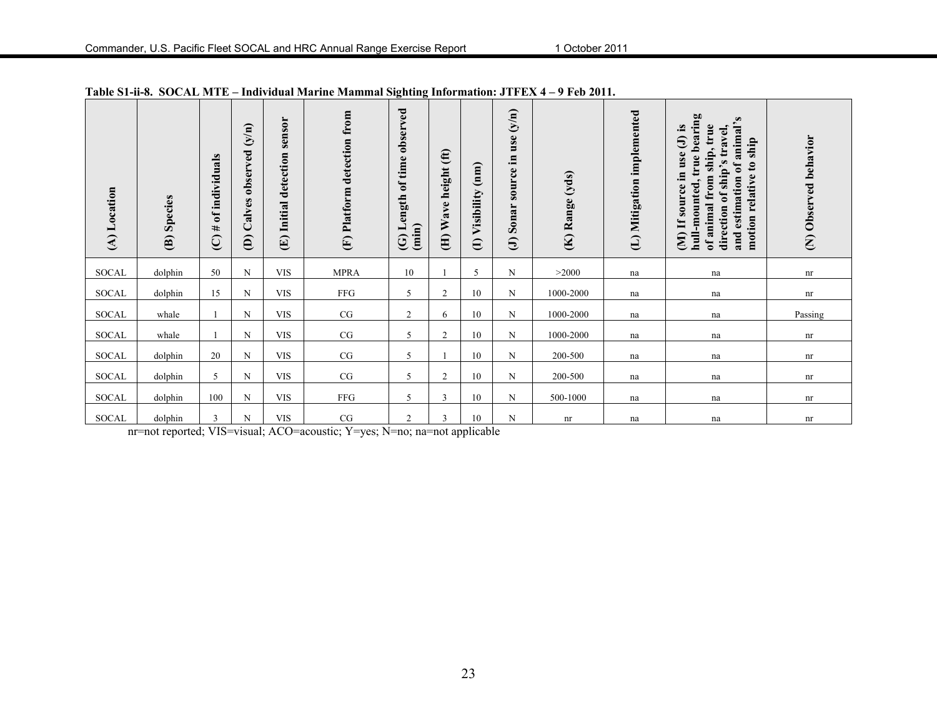| (A) Location | Species<br>$\mathbf{\widehat{e}}$ | individuals<br>$\mathbf{f}$<br>#<br>$\overline{C}$ | $\binom{N}{N}$<br>observed<br>alves<br>$\cup$<br>$\widehat{e}$ | sensor<br>detection<br>Initial<br>$\bigoplus$ | Platform detection from<br>E | observed<br>time<br>Length of<br>(imin)<br>$\odot$ | (f)<br>height<br>ave<br>⋗<br>$\bigoplus$ | (mm)<br>(I) Visibility | (y/n)<br>use<br>Ξ.<br>source<br>Sonar<br>$\Theta$ | (K) Range (yds) | (L) Mitigation implemented | true bearing<br>$\omega$<br>animal'<br><u>ୁ</u><br>true<br>$\bullet$<br>ship's travel<br>$\Theta$<br>ship<br>ship,<br>use<br>$\mathbf{c}$<br>estimation of<br>,≊<br>relative<br>from<br>$\bullet$<br>source<br>-mounted<br>бf<br>animal<br>direction<br>motion<br>$\mathbf{H}$<br>and<br>$\mathbf{\widehat{E}}$<br>È<br>ð | (N) Observed behavior |
|--------------|-----------------------------------|----------------------------------------------------|----------------------------------------------------------------|-----------------------------------------------|------------------------------|----------------------------------------------------|------------------------------------------|------------------------|---------------------------------------------------|-----------------|----------------------------|---------------------------------------------------------------------------------------------------------------------------------------------------------------------------------------------------------------------------------------------------------------------------------------------------------------------------|-----------------------|
| SOCAL        | dolphin                           | 50                                                 | $_{\rm N}$                                                     | <b>VIS</b>                                    | <b>MPRA</b>                  | 10                                                 |                                          | 5                      | N                                                 | >2000           | na                         | na                                                                                                                                                                                                                                                                                                                        | nr                    |
| <b>SOCAL</b> | dolphin                           | 15                                                 | N                                                              | <b>VIS</b>                                    | FFG                          | 5                                                  | $\overline{c}$                           | 10                     | N                                                 | 1000-2000       | na                         | na                                                                                                                                                                                                                                                                                                                        | nr                    |
| <b>SOCAL</b> | whale                             |                                                    | N                                                              | <b>VIS</b>                                    | CG                           | 2                                                  | 6                                        | 10                     | N                                                 | 1000-2000       | na                         | na                                                                                                                                                                                                                                                                                                                        | Passing               |
| SOCAL        | whale                             |                                                    | ${\bf N}$                                                      | <b>VIS</b>                                    | CG                           | 5                                                  | 2                                        | 10                     | $\mathbf N$                                       | 1000-2000       | na                         | na                                                                                                                                                                                                                                                                                                                        | nr                    |
| SOCAL        | dolphin                           | 20                                                 | N                                                              | <b>VIS</b>                                    | CG                           | 5                                                  |                                          | 10                     | N                                                 | 200-500         | na                         | na                                                                                                                                                                                                                                                                                                                        | nr                    |
| <b>SOCAL</b> | dolphin                           | 5                                                  | N                                                              | <b>VIS</b>                                    | CG                           | 5                                                  | $\overline{c}$                           | 10                     | N                                                 | 200-500         | na                         | na                                                                                                                                                                                                                                                                                                                        | nr                    |
| SOCAL        | dolphin                           | 100                                                | $_{\rm N}$                                                     | <b>VIS</b>                                    | FFG                          | 5                                                  | 3                                        | 10                     | N                                                 | 500-1000        | na                         | na                                                                                                                                                                                                                                                                                                                        | nr                    |
| SOCAL        | dolphin                           | 3                                                  | N                                                              | <b>VIS</b>                                    | CG                           | 2                                                  | 3                                        | 10                     | N                                                 | nr              | na                         | na                                                                                                                                                                                                                                                                                                                        | nr                    |

**Table S1-ii-8. SOCAL MTE – Individual Marine Mammal Sighting Information: JTFEX 4 – 9 Feb 2011.**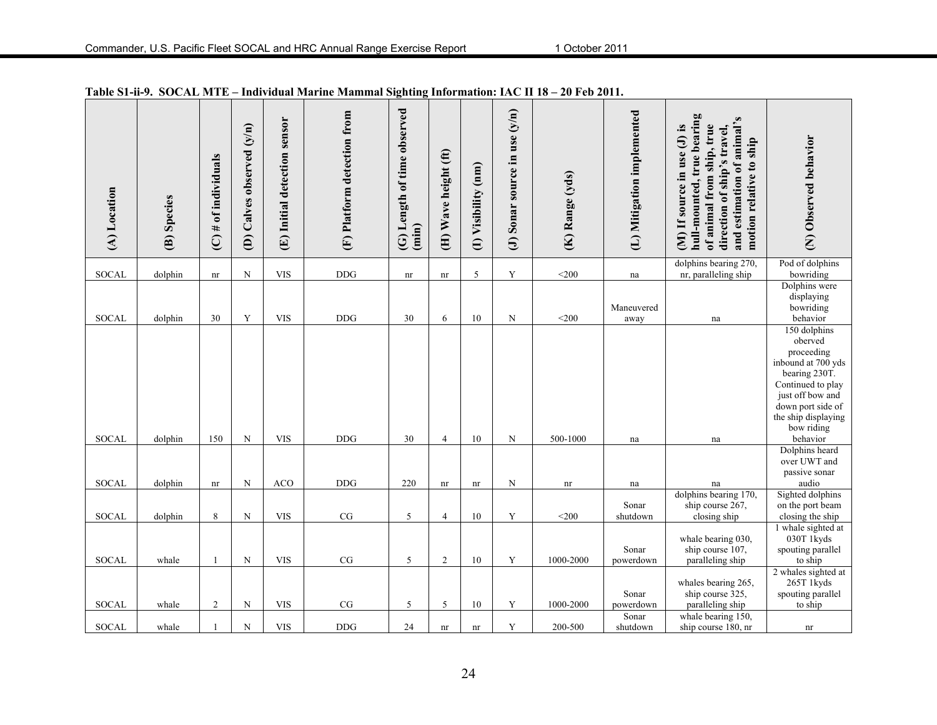| (A) Location | (B) Species | $(C)$ # of individuals     | (D) Calves observed (y/n) | (E) Initial detection sensor | (F) Platform detection from | (G) Length of time observed<br>(imin) | (H) Wave height (ft)       | (I) Visibility (nm)        | (J) Sonar source in use $(y/n)$ | (K) Range (yds) | (L) Mitigation implemented | hull-mounted, true bearing<br>and estimation of animal's<br>of animal from ship, true<br>(M) If source in use (J) is<br>direction of ship's travel,<br>motion relative to ship | (N) Observed behavior                                                                                                                                                                       |
|--------------|-------------|----------------------------|---------------------------|------------------------------|-----------------------------|---------------------------------------|----------------------------|----------------------------|---------------------------------|-----------------|----------------------------|--------------------------------------------------------------------------------------------------------------------------------------------------------------------------------|---------------------------------------------------------------------------------------------------------------------------------------------------------------------------------------------|
| SOCAL        | dolphin     | $\mathop{\rm nr}\nolimits$ | ${\bf N}$                 | <b>VIS</b>                   | <b>DDG</b>                  | nr                                    | $\mathop{\rm nr}\nolimits$ | $\sqrt{5}$                 | Y                               | $<$ 200         | na                         | dolphins bearing 270,<br>nr, paralleling ship                                                                                                                                  | Pod of dolphins<br>bowriding                                                                                                                                                                |
| <b>SOCAL</b> | dolphin     | 30                         | Y                         | <b>VIS</b>                   | <b>DDG</b>                  | 30                                    | 6                          | 10                         | $\mathbf N$                     | $<$ 200         | Maneuvered<br>away         | na                                                                                                                                                                             | Dolphins were<br>displaying<br>bowriding<br>behavior                                                                                                                                        |
| <b>SOCAL</b> | dolphin     | 150                        | $\mathbf N$               | <b>VIS</b>                   | <b>DDG</b>                  | 30                                    | $\overline{4}$             | 10                         | N                               | 500-1000        | na                         | na                                                                                                                                                                             | 150 dolphins<br>oberved<br>proceeding<br>inbound at 700 yds<br>bearing 230T.<br>Continued to play<br>just off bow and<br>down port side of<br>the ship displaying<br>bow riding<br>behavior |
| <b>SOCAL</b> | dolphin     | nr                         | N                         | <b>ACO</b>                   | <b>DDG</b>                  | 220                                   | nr                         | nr                         | N                               | nr              | na                         | na                                                                                                                                                                             | Dolphins heard<br>over UWT and<br>passive sonar<br>audio                                                                                                                                    |
| <b>SOCAL</b> | dolphin     | $\,$ 8 $\,$                | $\overline{\rm N}$        | <b>VIS</b>                   | $\rm{CG}$                   | 5                                     | $\overline{4}$             | 10                         | Y                               | $<$ 200         | Sonar<br>shutdown          | dolphins bearing 170,<br>ship course 267,<br>closing ship                                                                                                                      | Sighted dolphins<br>on the port beam<br>closing the ship                                                                                                                                    |
| <b>SOCAL</b> | whale       |                            | ${\bf N}$                 | <b>VIS</b>                   | CG                          | 5                                     | $\overline{2}$             | 10                         | Y                               | 1000-2000       | Sonar<br>powerdown         | whale bearing 030,<br>ship course 107,<br>paralleling ship                                                                                                                     | 1 whale sighted at<br>030T 1kyds<br>spouting parallel<br>to ship                                                                                                                            |
| <b>SOCAL</b> | whale       | $\overline{2}$             | N                         | <b>VIS</b>                   | $\rm{CG}$                   | 5                                     | 5                          | 10                         | Y                               | 1000-2000       | Sonar<br>powerdown         | whales bearing 265,<br>ship course 325,<br>paralleling ship                                                                                                                    | 2 whales sighted at<br>265T 1kyds<br>spouting parallel<br>to ship                                                                                                                           |
| <b>SOCAL</b> | whale       |                            | $\mathbf N$               | <b>VIS</b>                   | <b>DDG</b>                  | 24                                    | $\mathop{\rm nr}\nolimits$ | $\mathop{\rm nr}\nolimits$ | Y                               | 200-500         | Sonar<br>shutdown          | whale bearing 150,<br>ship course 180, nr                                                                                                                                      | nr                                                                                                                                                                                          |

**Table S1-ii-9. SOCAL MTE – Individual Marine Mammal Sighting Information: IAC II 18 – 20 Feb 2011.**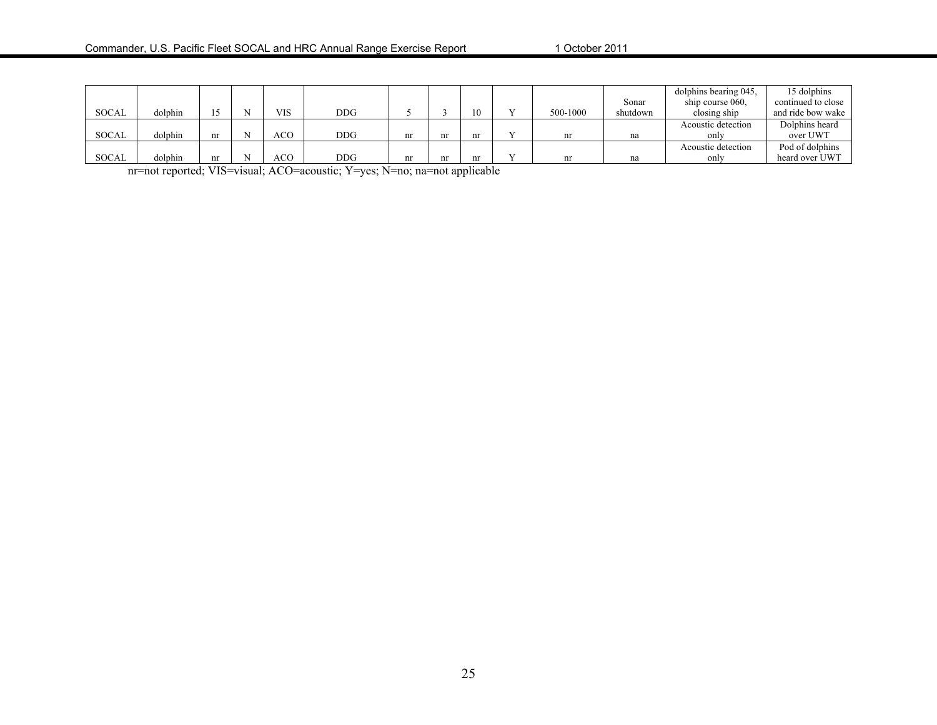|              |         |    |            |     |    |    |          |          | dolphins bearing 045. | 15 dolphins        |
|--------------|---------|----|------------|-----|----|----|----------|----------|-----------------------|--------------------|
|              |         |    |            |     |    |    |          | Sonar    | ship course 060.      | continued to close |
| SOCAL        | dolphin |    | <b>VIS</b> | DDG |    | 10 | 500-1000 | shutdown | closing ship          | and ride bow wake  |
|              |         |    |            |     |    |    |          |          | Acoustic detection    | Dolphins heard     |
| <b>SOCAL</b> | dolphin | nr | ACO.       | DDG | nr | nr |          | na       | only                  | over UWT           |
|              |         |    |            |     |    |    |          |          | Acoustic detection    | Pod of dolphins    |
| <b>SOCAL</b> | dolphin | nr | ACO        | DDG | nr | nr | nr       | na       | only                  | heard over UWT     |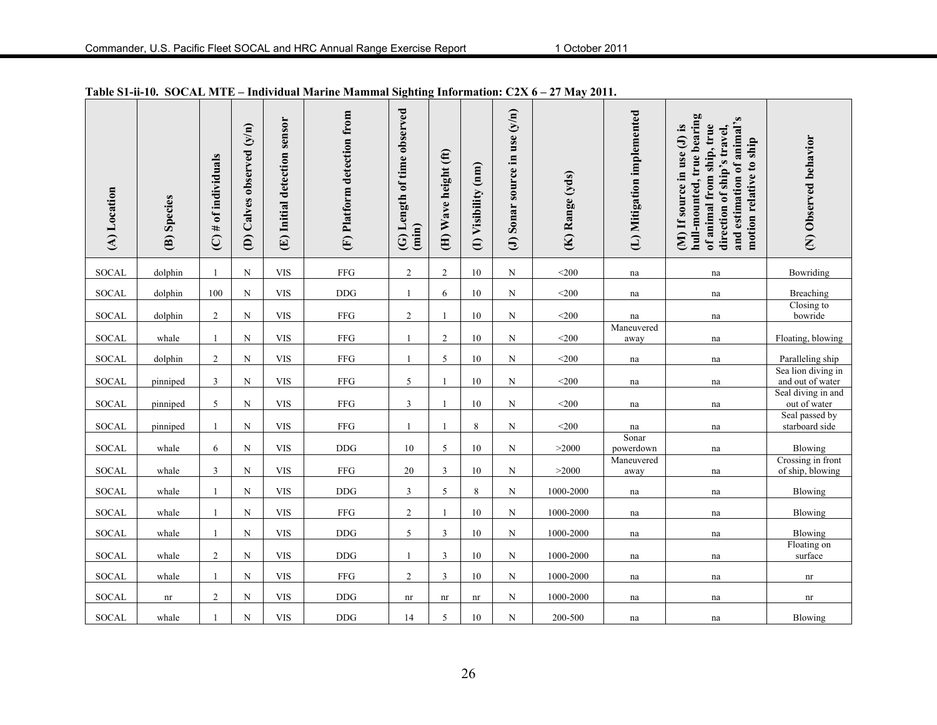| (A) Location | (B) Species | $(C)$ # of individuals | (D) Calves observed (y/n) | (E) Initial detection sensor | (F) Platform detection from | Length of time observed<br>(imin)<br>$\odot$ | (H) Wave height (ft) | (I) Visibility (nm) | (J) Sonar source in use $(y/n)$ | (K) Range (yds) | (L) Mitigation implemented | hull-mounted, true bearing<br>and estimation of animal's<br>of animal from ship, true<br>(M) If source in use (J) is<br>direction of ship's travel,<br>motion relative to ship | (N) Observed behavior                  |
|--------------|-------------|------------------------|---------------------------|------------------------------|-----------------------------|----------------------------------------------|----------------------|---------------------|---------------------------------|-----------------|----------------------------|--------------------------------------------------------------------------------------------------------------------------------------------------------------------------------|----------------------------------------|
| <b>SOCAL</b> | dolphin     | $\mathbf{1}$           | N                         | <b>VIS</b>                   | <b>FFG</b>                  | $\overline{c}$                               | $\overline{2}$       | 10                  | N                               | $<$ 200         | na                         | na                                                                                                                                                                             | Bowriding                              |
| <b>SOCAL</b> | dolphin     | 100                    | N                         | <b>VIS</b>                   | <b>DDG</b>                  | 1                                            | 6                    | 10                  | N                               | $<$ 200         | na                         | na                                                                                                                                                                             | Breaching                              |
| SOCAL        | dolphin     | $\overline{c}$         | $\mathbf N$               | <b>VIS</b>                   | ${\rm FFG}$                 | $\overline{c}$                               |                      | 10                  | N                               | $<$ 200         | na                         | na                                                                                                                                                                             | Closing to<br>bowride                  |
| <b>SOCAL</b> | whale       | $\mathbf{1}$           | ${\bf N}$                 | <b>VIS</b>                   | ${\rm FFG}$                 | $\mathbf{1}$                                 | 2                    | $10\,$              | N                               | $<$ 200         | Maneuvered<br>away         | na                                                                                                                                                                             | Floating, blowing                      |
| SOCAL        | dolphin     | $\overline{c}$         | $\mathbf N$               | <b>VIS</b>                   | ${\rm FFG}$                 | $\mathbf{1}$                                 | 5                    | 10                  | N                               | $<$ 200         | na                         | na                                                                                                                                                                             | Paralleling ship                       |
| <b>SOCAL</b> | pinniped    | 3                      | $_{\rm N}$                | <b>VIS</b>                   | ${\rm FFG}$                 | 5                                            |                      | 10                  | N                               | $<$ 200         | na                         | na                                                                                                                                                                             | Sea lion diving in<br>and out of water |
| SOCAL        | pinniped    | 5                      | ${\bf N}$                 | <b>VIS</b>                   | ${\rm FFG}$                 | $\mathfrak{Z}$                               |                      | $10\,$              | N                               | $<$ 200         | na                         | na                                                                                                                                                                             | Seal diving in and<br>out of water     |
| SOCAL        | pinniped    | 1                      | $\mathbf N$               | <b>VIS</b>                   | ${\rm FFG}$                 |                                              |                      | $\,$ 8 $\,$         | N                               | $<$ 200         | na                         | na                                                                                                                                                                             | Seal passed by<br>starboard side       |
| <b>SOCAL</b> | whale       | 6                      | ${\bf N}$                 | <b>VIS</b>                   | <b>DDG</b>                  | 10                                           | 5                    | 10                  | N                               | >2000           | Sonar<br>powerdown         | na                                                                                                                                                                             | Blowing                                |
| SOCAL        | whale       | 3                      | $\mathbf N$               | <b>VIS</b>                   | ${\rm FFG}$                 | $20\,$                                       | 3                    | 10                  | N                               | >2000           | Maneuvered<br>away         | na                                                                                                                                                                             | Crossing in front<br>of ship, blowing  |
| <b>SOCAL</b> | whale       | $\mathbf{1}$           | $\mathbf N$               | <b>VIS</b>                   | DDG                         | $\mathfrak{Z}$                               | 5                    | $\,8\,$             | ${\bf N}$                       | 1000-2000       | na                         | na                                                                                                                                                                             | Blowing                                |
| SOCAL        | whale       | $\mathbf{1}$           | ${\bf N}$                 | <b>VIS</b>                   | ${\rm FFG}$                 | $\overline{c}$                               | -1                   | $10\,$              | N                               | 1000-2000       | na                         | na                                                                                                                                                                             | Blowing                                |
| <b>SOCAL</b> | whale       | $\mathbf{1}$           | ${\bf N}$                 | <b>VIS</b>                   | DDG                         | 5                                            | $\mathfrak{Z}$       | 10                  | N                               | 1000-2000       | na                         | na                                                                                                                                                                             | Blowing                                |
| <b>SOCAL</b> | whale       | $\overline{2}$         | ${\bf N}$                 | <b>VIS</b>                   | <b>DDG</b>                  | $\mathbf{1}$                                 | $\mathbf{3}$         | 10                  | N                               | 1000-2000       | na                         | na                                                                                                                                                                             | Floating on<br>surface                 |
| SOCAL        | whale       |                        | ${\bf N}$                 | <b>VIS</b>                   | ${\rm FFG}$                 | $\overline{c}$                               | $\mathfrak{Z}$       | 10                  | N                               | 1000-2000       | na                         | na                                                                                                                                                                             | nr                                     |
| <b>SOCAL</b> | nr          | $\overline{2}$         | $\mathbf N$               | <b>VIS</b>                   | <b>DDG</b>                  | nr                                           | nr                   | nr                  | $\mathbf N$                     | 1000-2000       | na                         | na                                                                                                                                                                             | nr                                     |
| <b>SOCAL</b> | whale       |                        | ${\bf N}$                 | <b>VIS</b>                   | <b>DDG</b>                  | 14                                           | 5                    | $10\,$              | N                               | 200-500         | na                         | na                                                                                                                                                                             | Blowing                                |

|  |  | Table S1-ii-10. SOCAL MTE – Individual Marine Mammal Sighting Information: C2X 6 – 27 May 2011. |  |
|--|--|-------------------------------------------------------------------------------------------------|--|
|  |  |                                                                                                 |  |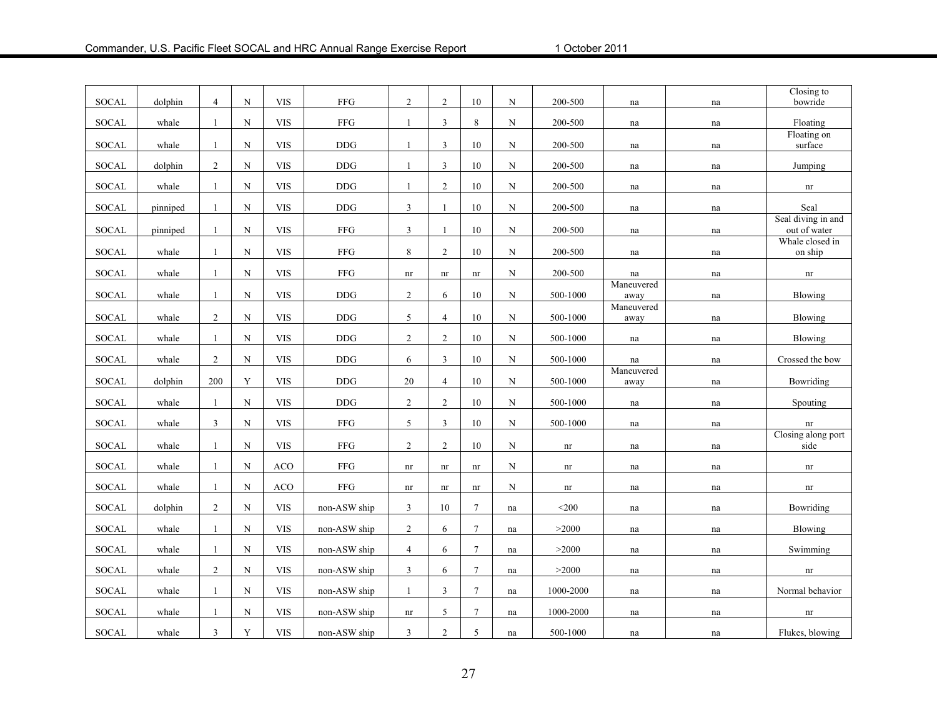| <b>SOCAL</b> | dolphin  | 4              | $_{\rm N}$  | <b>VIS</b>   | <b>FFG</b>   | $\overline{c}$             | 2                          | $10\,$           | N           | 200-500                    | na                  | na | Closing to<br>bowride              |
|--------------|----------|----------------|-------------|--------------|--------------|----------------------------|----------------------------|------------------|-------------|----------------------------|---------------------|----|------------------------------------|
| SOCAL        | whale    | $\mathbf{1}$   | $_{\rm N}$  | <b>VIS</b>   | FFG          | $\mathbf{1}$               | 3                          | $\,8\,$          | $\mathbf N$ | 200-500                    | na                  | na | Floating                           |
| SOCAL        | whale    | $\mathbf{1}$   | $\mathbf N$ | <b>VIS</b>   | <b>DDG</b>   | $\mathbf{1}$               | 3                          | 10               | ${\bf N}$   | 200-500                    | na                  | na | Floating on<br>surface             |
|              |          |                |             |              |              |                            |                            |                  |             |                            |                     |    |                                    |
| <b>SOCAL</b> | dolphin  | $\overline{2}$ | N           | <b>VIS</b>   | $\rm{DDG}$   | 1                          | $\mathfrak{Z}$             | 10               | N           | 200-500                    | na                  | na | Jumping                            |
| <b>SOCAL</b> | whale    | $\mathbf{1}$   | N           | <b>VIS</b>   | $\rm{DDG}$   | $\mathbf{1}$               | $\overline{2}$             | $10\,$           | N           | $200 - 500$                | $\operatorname{na}$ | na | $\mathop{\rm nr}\nolimits$         |
| <b>SOCAL</b> | pinniped | 1              | $_{\rm N}$  | <b>VIS</b>   | $\rm{DDG}$   | 3                          | 1                          | 10               | N           | 200-500                    | na                  | na | Seal                               |
| <b>SOCAL</b> | pinniped | 1              | $\mathbf N$ | <b>VIS</b>   | FFG          | 3                          | $\mathbf{1}$               | $10\,$           | $\mathbf N$ | 200-500                    | na                  | na | Seal diving in and<br>out of water |
| <b>SOCAL</b> | whale    | $\mathbf{1}$   | $\mathbf N$ | <b>VIS</b>   | ${\rm FFG}$  | $\,$ $\,$                  | $\overline{2}$             | $10\,$           | N           | 200-500                    |                     |    | Whale closed in<br>on ship         |
|              |          |                |             |              |              |                            |                            |                  |             |                            | na                  | na |                                    |
| <b>SOCAL</b> | whale    | $\mathbf{1}$   | $\mathbf N$ | <b>VIS</b>   | FFG          | $\mathop{\rm nr}\nolimits$ | nr                         | nr               | $\mathbf N$ | 200-500                    | na<br>Maneuvered    | na | nr                                 |
| <b>SOCAL</b> | whale    | $\mathbf{1}$   | $\mathbf N$ | <b>VIS</b>   | $DDG$        | $\overline{c}$             | 6                          | $10\,$           | $\mathbf N$ | 500-1000                   | away                | na | Blowing                            |
| <b>SOCAL</b> | whale    | $\overline{2}$ | ${\bf N}$   | <b>VIS</b>   | $DDG$        | 5                          | $\overline{4}$             | $10\,$           | $\mathbf N$ | 500-1000                   | Maneuvered<br>away  | na | Blowing                            |
| <b>SOCAL</b> | whale    | 1              | $_{\rm N}$  | <b>VIS</b>   | $\rm{DDG}$   | $\overline{c}$             | $\overline{2}$             | 10               | $\mathbf N$ | 500-1000                   | na                  | na | Blowing                            |
| <b>SOCAL</b> | whale    | 2              | $\mathbf N$ | <b>VIS</b>   | <b>DDG</b>   | 6                          | 3                          | 10               | N           | 500-1000                   | na                  | na | Crossed the bow                    |
| <b>SOCAL</b> | dolphin  | 200            | Y           | <b>VIS</b>   | <b>DDG</b>   | 20                         | $\overline{4}$             | 10               | N           | 500-1000                   | Maneuvered<br>away  | na | Bowriding                          |
| <b>SOCAL</b> | whale    | $\mathbf{1}$   | N           | <b>VIS</b>   | $DDG$        | $\sqrt{2}$                 | $\overline{2}$             | $10\,$           | N           | 500-1000                   | na                  | na | Spouting                           |
| <b>SOCAL</b> | whale    | $\mathfrak{Z}$ | $\mathbf N$ | <b>VIS</b>   | ${\rm FFG}$  | 5                          | $\mathbf{3}$               | 10               | $\mathbf N$ | 500-1000                   | na                  | na | nr                                 |
|              |          |                |             | <b>VIS</b>   | ${\rm FFG}$  |                            |                            | 10               |             |                            |                     |    | Closing along port                 |
| <b>SOCAL</b> | whale    | $\mathbf{1}$   | $\mathbf N$ |              |              | $\overline{c}$             | $\overline{2}$             |                  | N           | $\mathop{\rm nr}\nolimits$ | na                  | na | side                               |
| <b>SOCAL</b> | whale    | 1              | $\mathbf N$ | <b>ACO</b>   | FFG          | nr                         | $\mathop{\rm nr}\nolimits$ | nr               | N           | nr                         | na                  | na | $\mathop{\rm nr}\nolimits$         |
| <b>SOCAL</b> | whale    | $\mathbf{1}$   | $_{\rm N}$  | ACO          | ${\rm FFG}$  | nr                         | $\mathop{\rm nr}\nolimits$ | nr               | N           | $\mathop{\rm nr}\nolimits$ | na                  | na | $\mathop{\rm nr}\nolimits$         |
| <b>SOCAL</b> | dolphin  | $\overline{2}$ | N           | <b>VIS</b>   | non-ASW ship | 3                          | 10                         | $\overline{7}$   | na          | $<$ 200                    | na                  | na | Bowriding                          |
| <b>SOCAL</b> | whale    | $\mathbf{1}$   | $\mathbf N$ | <b>VIS</b>   | non-ASW ship | $\overline{2}$             | 6                          | $7\phantom{.0}$  | na          | >2000                      | na                  | na | Blowing                            |
| <b>SOCAL</b> | whale    | 1              | $\mathbf N$ | <b>VIS</b>   | non-ASW ship | $\overline{4}$             | 6                          | $\boldsymbol{7}$ | na          | $>2000$                    | $\operatorname{na}$ | na | Swimming                           |
| <b>SOCAL</b> | whale    | $\overline{c}$ | $_{\rm N}$  | <b>VIS</b>   | non-ASW ship | $\overline{3}$             | 6                          | $7\phantom{.0}$  | na          | >2000                      | na                  | na | nr                                 |
| <b>SOCAL</b> | whale    | $\mathbf{1}$   | $\mathbf N$ | $_{\rm VIS}$ | non-ASW ship | 1                          | 3                          | $7\phantom{.0}$  | na          | 1000-2000                  | na                  | na | Normal behavior                    |
| <b>SOCAL</b> | whale    |                | $_{\rm N}$  | <b>VIS</b>   | non-ASW ship | nr                         | 5                          | $\tau$           | na          | 1000-2000                  | na                  | na | nr                                 |
| <b>SOCAL</b> | whale    | 3              | $\mathbf Y$ | $_{\rm VIS}$ | non-ASW ship | 3                          | $\overline{c}$             | $\sqrt{5}$       | na          | 500-1000                   | na                  | na | Flukes, blowing                    |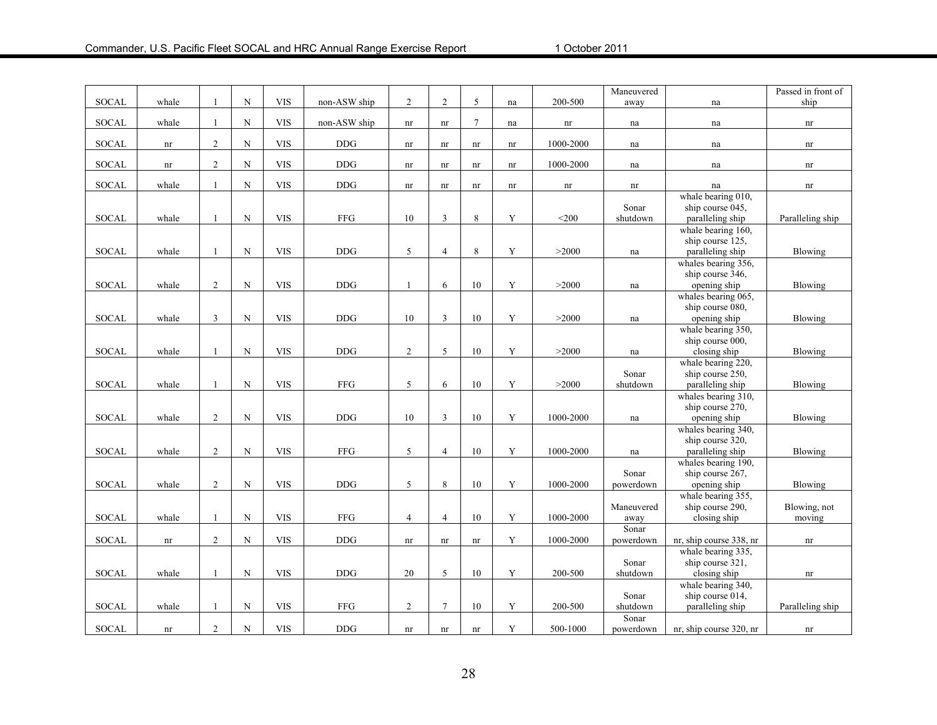|              |                            |                |                    |            |                      |                            |                            |                            |                            |                            | Maneuvered          |                         | Passed in front of         |
|--------------|----------------------------|----------------|--------------------|------------|----------------------|----------------------------|----------------------------|----------------------------|----------------------------|----------------------------|---------------------|-------------------------|----------------------------|
| <b>SOCAL</b> | whale                      | 1              | ${\bf N}$          | <b>VIS</b> | non-ASW ship         | $\overline{2}$             | $\overline{2}$             | 5                          | na                         | 200-500                    | away                | na                      | ship                       |
|              | whale                      | 1              | ${\bf N}$          | <b>VIS</b> |                      |                            |                            | $\tau$                     |                            |                            |                     |                         |                            |
| SOCAL        |                            |                |                    |            | non-ASW ship         | nr                         | nr                         |                            | na                         | $\mathop{\rm nr}\nolimits$ | na                  | na                      | $\mathop{\rm nr}\nolimits$ |
| SOCAL        | nr                         | $\overline{2}$ | $\mathbf N$        | <b>VIS</b> | <b>DDG</b>           | nr                         | nr                         | nr                         | nr                         | 1000-2000                  | na                  | na                      | nr                         |
|              |                            |                |                    |            |                      |                            |                            |                            |                            |                            |                     |                         |                            |
| <b>SOCAL</b> | $\mathop{\rm nr}\nolimits$ | $\overline{2}$ | $\mathbf N$        | <b>VIS</b> | $\rm{DDG}$           | nr                         | $\mathop{\rm nr}\nolimits$ | $\mathop{\rm nr}\nolimits$ | $\mathop{\rm nr}\nolimits$ | 1000-2000                  | na                  | na                      | nr                         |
| SOCAL        | whale                      | $\mathbf{1}$   | $\mathbf N$        | <b>VIS</b> | $\operatorname{DDG}$ | nr                         | $\mathop{\rm nr}\nolimits$ | $\mathop{\rm nr}\nolimits$ | nr                         | nr                         | nr                  | na                      | $\mathop{\rm nr}\nolimits$ |
|              |                            |                |                    |            |                      |                            |                            |                            |                            |                            |                     | whale bearing 010,      |                            |
|              |                            |                |                    |            |                      |                            |                            |                            |                            |                            | Sonar               | ship course 045.        |                            |
| <b>SOCAL</b> | whale                      | 1              | N                  | <b>VIS</b> | ${\rm FFG}$          | $10\,$                     | 3                          | 8                          | Y                          | $<$ 200                    | shutdown            | paralleling ship        | Paralleling ship           |
|              |                            |                |                    |            |                      |                            |                            |                            |                            |                            |                     | whale bearing 160,      |                            |
|              |                            |                |                    |            |                      |                            |                            |                            |                            |                            |                     | ship course 125,        |                            |
| SOCAL        | whale                      | $\mathbf{1}$   | ${\bf N}$          | <b>VIS</b> | <b>DDG</b>           | 5                          | $\overline{4}$             | 8                          | $\mathbf Y$                | >2000                      | $\operatorname{na}$ | paralleling ship        | Blowing                    |
|              |                            |                |                    |            |                      |                            |                            |                            |                            |                            |                     | whales bearing 356,     |                            |
|              |                            |                |                    |            |                      |                            |                            |                            |                            |                            |                     | ship course 346,        |                            |
| <b>SOCAL</b> | whale                      | $\overline{2}$ | $\mathbf N$        | <b>VIS</b> | <b>DDG</b>           | $\mathbf{1}$               | 6                          | 10                         | Y                          | >2000                      | na                  | opening ship            | Blowing                    |
|              |                            |                |                    |            |                      |                            |                            |                            |                            |                            |                     | whales bearing 065,     |                            |
|              |                            |                |                    |            |                      |                            |                            |                            |                            |                            |                     | ship course 080,        |                            |
| <b>SOCAL</b> | whale                      | $\mathfrak{Z}$ | $\mathbf N$        | <b>VIS</b> | <b>DDG</b>           | 10                         | 3                          | 10                         | Y                          | >2000                      | na                  | opening ship            | Blowing                    |
|              |                            |                |                    |            |                      |                            |                            |                            |                            |                            |                     | whale bearing 350,      |                            |
|              |                            |                |                    |            |                      |                            |                            |                            |                            |                            |                     | ship course 000,        |                            |
| <b>SOCAL</b> | whale                      | $\mathbf{1}$   | ${\bf N}$          | <b>VIS</b> | <b>DDG</b>           | $\overline{c}$             | 5                          | 10                         | Y                          | >2000                      | na                  | closing ship            | Blowing                    |
|              |                            |                |                    |            |                      |                            |                            |                            |                            |                            |                     | whale bearing 220,      |                            |
|              |                            |                |                    |            |                      |                            |                            |                            |                            |                            | Sonar               | ship course 250,        |                            |
| <b>SOCAL</b> | whale                      | $\mathbf{1}$   | $\mathbf N$        | <b>VIS</b> | FFG                  | 5                          | 6                          | 10                         | Y                          | >2000                      | shutdown            | paralleling ship        | <b>Blowing</b>             |
|              |                            |                |                    |            |                      |                            |                            |                            |                            |                            |                     | whales bearing 310,     |                            |
|              |                            |                |                    |            |                      |                            |                            |                            |                            |                            |                     | ship course 270,        |                            |
| <b>SOCAL</b> | whale                      | $\overline{2}$ | ${\bf N}$          | <b>VIS</b> | <b>DDG</b>           | $10\,$                     | $\overline{3}$             | 10                         | $\mathbf Y$                | 1000-2000                  | na                  | opening ship            | Blowing                    |
|              |                            |                |                    |            |                      |                            |                            |                            |                            |                            |                     | whales bearing 340,     |                            |
|              |                            |                |                    |            |                      |                            |                            |                            |                            |                            |                     | ship course 320,        |                            |
| <b>SOCAL</b> | whale                      | $\overline{2}$ | $\mathbf N$        | <b>VIS</b> | FFG                  | $\sqrt{5}$                 | $\overline{4}$             | 10                         | Y                          | 1000-2000                  | na                  | paralleling ship        | Blowing                    |
|              |                            |                |                    |            |                      |                            |                            |                            |                            |                            |                     | whales bearing 190,     |                            |
|              |                            |                |                    |            |                      |                            |                            |                            |                            |                            | Sonar               | ship course 267,        |                            |
| <b>SOCAL</b> | whale                      | $\overline{c}$ | $\mathbf N$        | <b>VIS</b> | <b>DDG</b>           | $\sqrt{5}$                 | $\,8\,$                    | 10                         | $\mathbf Y$                | 1000-2000                  | powerdown           | opening ship            | Blowing                    |
|              |                            |                |                    |            |                      |                            |                            |                            |                            |                            |                     | whale bearing 355,      |                            |
|              |                            |                |                    |            |                      |                            |                            |                            |                            |                            | Maneuvered          | ship course 290,        | Blowing, not               |
| <b>SOCAL</b> | whale                      | $\mathbf{1}$   | ${\bf N}$          | <b>VIS</b> | FFG                  | $\overline{4}$             | $\overline{4}$             | 10                         | Y                          | 1000-2000                  | away                | closing ship            | moving                     |
|              |                            |                |                    |            |                      |                            |                            |                            |                            |                            | Sonar               |                         |                            |
| <b>SOCAL</b> | $\mathop{\rm nr}\nolimits$ | $\overline{2}$ | ${\bf N}$          | <b>VIS</b> | <b>DDG</b>           | $\mathop{\rm nr}\nolimits$ | $\mathop{\rm nr}\nolimits$ | $\mathop{\rm nr}\nolimits$ | Y                          | 1000-2000                  | powerdown           | nr, ship course 338, nr | nr                         |
|              |                            |                |                    |            |                      |                            |                            |                            |                            |                            |                     | whale bearing 335,      |                            |
|              |                            |                |                    |            |                      |                            |                            |                            |                            |                            | Sonar               | ship course 321,        |                            |
| <b>SOCAL</b> | whale                      | $\mathbf{1}$   | $\overline{\rm N}$ | <b>VIS</b> | <b>DDG</b>           | 20                         | 5                          | 10                         | $\mathbf Y$                | 200-500                    | shutdown            | closing ship            | $\mathop{\rm nr}\nolimits$ |
|              |                            |                |                    |            |                      |                            |                            |                            |                            |                            |                     | whale bearing 340,      |                            |
|              |                            |                |                    |            |                      |                            |                            |                            |                            |                            | Sonar               | ship course 014,        |                            |
| <b>SOCAL</b> | whale                      | -1             | ${\bf N}$          | <b>VIS</b> | FFG                  | 2                          | $\tau$                     | 10                         | Y                          | 200-500                    | shutdown            | paralleling ship        | Paralleling ship           |
|              |                            |                |                    |            |                      |                            |                            |                            |                            |                            | Sonar               |                         |                            |
| <b>SOCAL</b> | nr                         | $\overline{2}$ | ${\bf N}$          | <b>VIS</b> | <b>DDG</b>           | nr                         | nr                         | nr                         | $\mathbf Y$                | 500-1000                   | powerdown           | nr, ship course 320, nr | nr                         |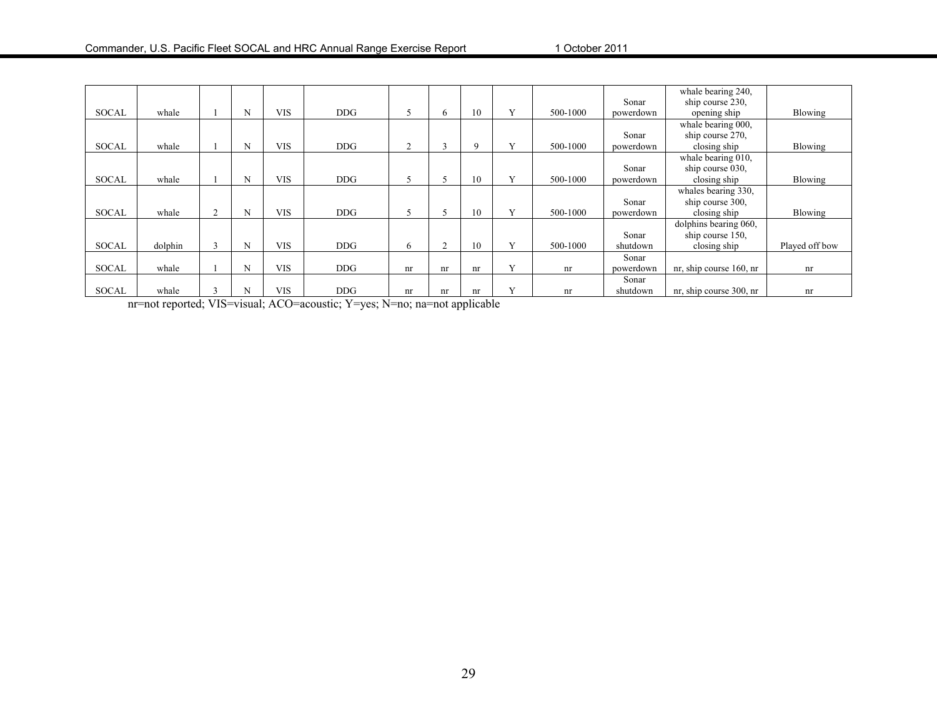|              |         |   |            |            |    |        |    |              |          |           | whale bearing 240,      |                |
|--------------|---------|---|------------|------------|----|--------|----|--------------|----------|-----------|-------------------------|----------------|
|              |         |   |            |            |    |        |    |              |          | Sonar     | ship course 230,        |                |
| SOCAL        | whale   | N | <b>VIS</b> | DDG        |    | 6      | 10 | $\mathbf{v}$ | 500-1000 | powerdown | opening ship            | Blowing        |
|              |         |   |            |            |    |        |    |              |          |           | whale bearing 000,      |                |
|              |         |   |            |            |    |        |    |              |          | Sonar     | ship course 270,        |                |
| SOCAL        | whale   | N | <b>VIS</b> | <b>DDG</b> | 2  |        | 9  | v            | 500-1000 | powerdown | closing ship            | Blowing        |
|              |         |   |            |            |    |        |    |              |          |           | whale bearing 010,      |                |
|              |         |   |            |            |    |        |    |              |          | Sonar     | ship course 030.        |                |
| SOCAL        | whale   | N | <b>VIS</b> | <b>DDG</b> |    |        | 10 |              | 500-1000 | powerdown | closing ship            | Blowing        |
|              |         |   |            |            |    |        |    |              |          |           | whales bearing 330,     |                |
|              |         |   |            |            |    |        |    |              |          | Sonar     | ship course 300,        |                |
| <b>SOCAL</b> | whale   | N | <b>VIS</b> | DDG        |    |        | 10 |              | 500-1000 | powerdown | closing ship            | Blowing        |
|              |         |   |            |            |    |        |    |              |          |           | dolphins bearing 060,   |                |
|              |         |   |            |            |    |        |    |              |          | Sonar     | ship course 150,        |                |
| <b>SOCAL</b> | dolphin | N | <b>VIS</b> | DDG        | 6  | $\sim$ | 10 | $\mathbf{v}$ | 500-1000 | shutdown  | closing ship            | Played off bow |
|              |         |   |            |            |    |        |    |              |          | Sonar     |                         |                |
| <b>SOCAL</b> | whale   | N | <b>VIS</b> | DDG        | nr | nr     | nr | $\mathbf{v}$ | nr       | powerdown | nr, ship course 160, nr | nr             |
|              |         |   |            |            |    |        |    |              |          | Sonar     |                         |                |
| <b>SOCAL</b> | whale   |   | <b>VIS</b> | DDG        | nr | nr     | nr | $\mathbf{v}$ | nr       | shutdown  | nr, ship course 300, nr | nr             |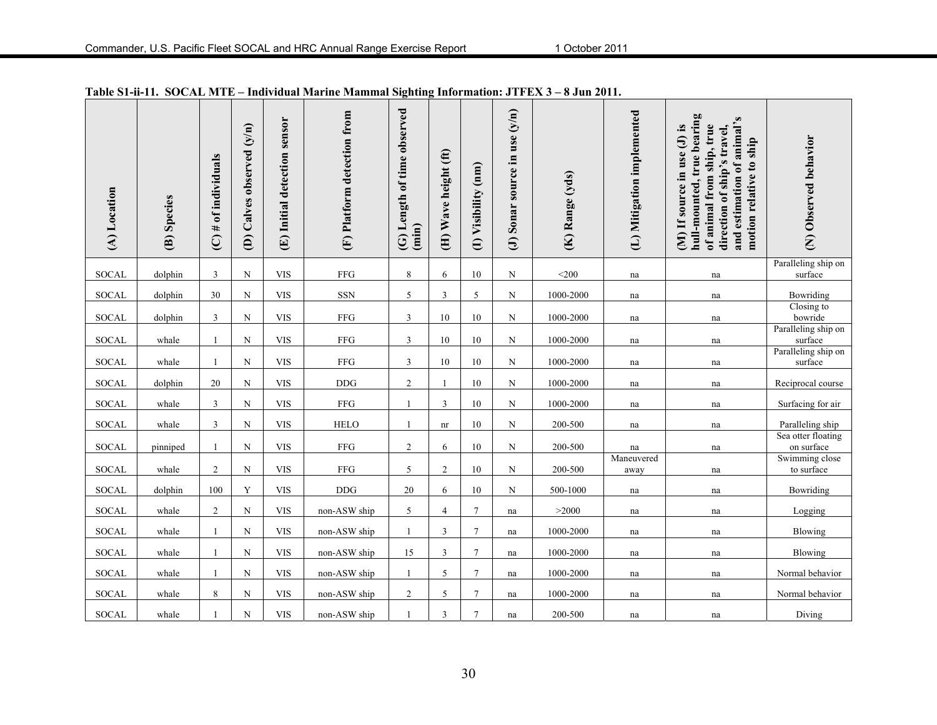| (A) Location | (B) Species | $(C)$ # of individuals | (D) Calves observed (y/n) | (E) Initial detection sensor | (F) Platform detection from | Length of time observed<br>(imin)<br>$\ddot{\bm{\theta}}$ | (H) Wave height (ft) | (I) Visibility (nm) | (J) Sonar source in use $(y/n)$ | (K) Range (yds) | (L) Mitigation implemented | hull-mounted, true bearing<br>and estimation of animal's<br>of animal from ship, true<br>(M) If source in use (J) is<br>direction of ship's travel,<br>motion relative to ship | (N) Observed behavior            |
|--------------|-------------|------------------------|---------------------------|------------------------------|-----------------------------|-----------------------------------------------------------|----------------------|---------------------|---------------------------------|-----------------|----------------------------|--------------------------------------------------------------------------------------------------------------------------------------------------------------------------------|----------------------------------|
| <b>SOCAL</b> | dolphin     | $\mathfrak{Z}$         | N                         | <b>VIS</b>                   | ${\rm FFG}$                 | 8                                                         | 6                    | 10                  | N                               | $<$ 200         | na                         | na                                                                                                                                                                             | Paralleling ship on<br>surface   |
| <b>SOCAL</b> | dolphin     | 30                     | ${\bf N}$                 | <b>VIS</b>                   | <b>SSN</b>                  | $\sqrt{5}$                                                | $\overline{3}$       | $\sqrt{5}$          | $\mathbf N$                     | 1000-2000       | na                         | na                                                                                                                                                                             | Bowriding                        |
| <b>SOCAL</b> | dolphin     | $\overline{3}$         | ${\bf N}$                 | <b>VIS</b>                   | ${\rm FFG}$                 | $\overline{3}$                                            | 10                   | 10                  | $\mathbf N$                     | 1000-2000       | na                         | na                                                                                                                                                                             | Closing to<br>bowride            |
| <b>SOCAL</b> | whale       | $\mathbf{1}$           | ${\bf N}$                 | <b>VIS</b>                   | ${\rm FFG}$                 | $\mathfrak{Z}$                                            | 10                   | 10                  | N                               | 1000-2000       | na                         | na                                                                                                                                                                             | Paralleling ship on<br>surface   |
| <b>SOCAL</b> | whale       | $\mathbf{1}$           | $_{\rm N}$                | <b>VIS</b>                   | ${\rm FFG}$                 | 3                                                         | 10                   | 10                  | N                               | 1000-2000       | na                         | na                                                                                                                                                                             | Paralleling ship on<br>surface   |
| <b>SOCAL</b> | dolphin     | 20                     | ${\bf N}$                 | <b>VIS</b>                   | <b>DDG</b>                  | $\sqrt{2}$                                                | 1                    | 10                  | $\mathbf N$                     | 1000-2000       | na                         | na                                                                                                                                                                             | Reciprocal course                |
| <b>SOCAL</b> | whale       | 3                      | N                         | <b>VIS</b>                   | ${\rm FFG}$                 |                                                           | 3                    | 10                  | N                               | 1000-2000       | na                         | na                                                                                                                                                                             | Surfacing for air                |
| <b>SOCAL</b> | whale       | 3                      | ${\bf N}$                 | <b>VIS</b>                   | ${\rm HELO}$                | $\mathbf{1}$                                              | nr                   | 10                  | $\mathbf N$                     | 200-500         | na                         | na                                                                                                                                                                             | Paralleling ship                 |
| <b>SOCAL</b> | pinniped    | 1                      | ${\bf N}$                 | <b>VIS</b>                   | ${\rm FFG}$                 | $\overline{2}$                                            | 6                    | $10\,$              | $\mathbf N$                     | 200-500         | na                         | na                                                                                                                                                                             | Sea otter floating<br>on surface |
| <b>SOCAL</b> | whale       | $\overline{2}$         | ${\bf N}$                 | <b>VIS</b>                   | ${\rm FFG}$                 | 5                                                         | $\overline{2}$       | 10                  | N                               | 200-500         | Maneuvered<br>away         | na                                                                                                                                                                             | Swimming close<br>to surface     |
| <b>SOCAL</b> | dolphin     | 100                    | Y                         | <b>VIS</b>                   | <b>DDG</b>                  | 20                                                        | 6                    | 10                  | N                               | 500-1000        | na                         | na                                                                                                                                                                             | Bowriding                        |
| <b>SOCAL</b> | whale       | $\overline{2}$         | ${\bf N}$                 | <b>VIS</b>                   | non-ASW ship                | 5                                                         | $\overline{4}$       | $\tau$              | na                              | >2000           | na                         | na                                                                                                                                                                             | Logging                          |
| <b>SOCAL</b> | whale       | $\mathbf{1}$           | ${\bf N}$                 | <b>VIS</b>                   | non-ASW ship                |                                                           | 3                    | $\tau$              | na                              | 1000-2000       | na                         | na                                                                                                                                                                             | Blowing                          |
| <b>SOCAL</b> | whale       | $\mathbf{1}$           | ${\bf N}$                 | <b>VIS</b>                   | non-ASW ship                | 15                                                        | 3                    | $\tau$              | na                              | 1000-2000       | na                         | na                                                                                                                                                                             | Blowing                          |
| <b>SOCAL</b> | whale       | $\mathbf{1}$           | $\mathbf N$               | <b>VIS</b>                   | non-ASW ship                |                                                           | 5                    | $\tau$              | na                              | 1000-2000       | na                         | na                                                                                                                                                                             | Normal behavior                  |
| <b>SOCAL</b> | whale       | 8                      | ${\bf N}$                 | <b>VIS</b>                   | non-ASW ship                | $\overline{c}$                                            | 5                    | $\overline{7}$      | na                              | 1000-2000       | na                         | na                                                                                                                                                                             | Normal behavior                  |
| <b>SOCAL</b> | whale       | 1                      | ${\bf N}$                 | <b>VIS</b>                   | non-ASW ship                | $\mathbf{1}$                                              | 3                    | $\overline{7}$      | na                              | 200-500         | na                         | na                                                                                                                                                                             | Diving                           |

**Table S1-ii-11. SOCAL MTE – Individual Marine Mammal Sighting Information: JTFEX 3 – 8 Jun 2011.**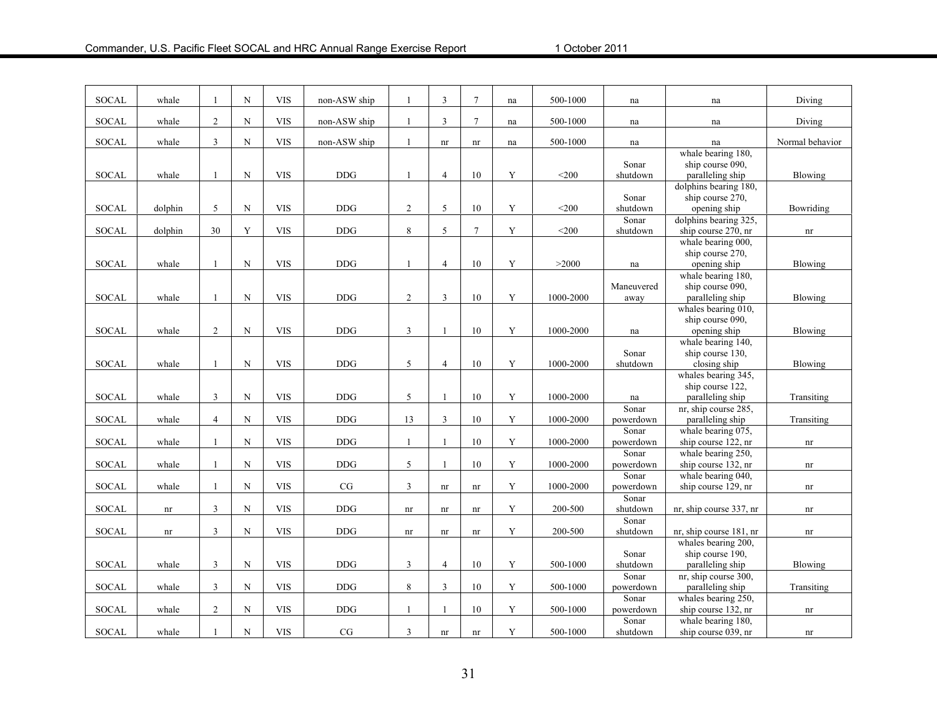| <b>SOCAL</b> | whale                      |                | ${\bf N}$   | <b>VIS</b> | non-ASW ship | $\mathbf{1}$               | 3              | $7\phantom{.0}$            | na          | 500-1000     | na                 | na                                                            | Diving          |
|--------------|----------------------------|----------------|-------------|------------|--------------|----------------------------|----------------|----------------------------|-------------|--------------|--------------------|---------------------------------------------------------------|-----------------|
| <b>SOCAL</b> | whale                      | $\overline{2}$ | ${\bf N}$   | <b>VIS</b> | non-ASW ship | -1                         | $\mathfrak{Z}$ | $7\phantom{.0}$            | na          | 500-1000     | na                 | na                                                            | Diving          |
| <b>SOCAL</b> | whale                      | 3              | $\mathbf N$ | <b>VIS</b> | non-ASW ship | -1                         | nr             | nr                         | na          | 500-1000     | na                 | na                                                            | Normal behavior |
| <b>SOCAL</b> | whale                      | $\mathbf{1}$   | ${\bf N}$   | <b>VIS</b> | <b>DDG</b>   | $\overline{1}$             | $\overline{4}$ | 10                         | Y           | $<$ 200      | Sonar<br>shutdown  | whale bearing 180,<br>ship course 090,<br>paralleling ship    | Blowing         |
| <b>SOCAL</b> | dolphin                    | 5              | $\mathbf N$ | <b>VIS</b> | <b>DDG</b>   | $\boldsymbol{2}$           | 5              | 10                         | Y           | $<$ 200 $\,$ | Sonar<br>shutdown  | dolphins bearing 180,<br>ship course 270,<br>opening ship     | Bowriding       |
|              |                            |                |             |            |              |                            |                |                            |             |              | Sonar              | dolphins bearing 325,                                         |                 |
| <b>SOCAL</b> | dolphin                    | 30             | Y           | <b>VIS</b> | <b>DDG</b>   | 8                          | 5              | $\tau$                     | Y           | $<$ 200      | shutdown           | ship course 270, nr<br>whale bearing 000,<br>ship course 270, | nr              |
| <b>SOCAL</b> | whale                      |                | ${\bf N}$   | <b>VIS</b> | <b>DDG</b>   | $\mathbf{1}$               | $\overline{4}$ | 10                         | $\mathbf Y$ | >2000        | na                 | opening ship<br>whale bearing 180,                            | <b>Blowing</b>  |
| <b>SOCAL</b> | whale                      |                | ${\bf N}$   | <b>VIS</b> | <b>DDG</b>   | $\overline{2}$             | $\mathfrak{Z}$ | 10                         | Y           | 1000-2000    | Maneuvered<br>away | ship course 090,<br>paralleling ship                          | Blowing         |
| <b>SOCAL</b> | whale                      | $\sqrt{2}$     | ${\bf N}$   | <b>VIS</b> | <b>DDG</b>   | $\mathfrak{Z}$             | $\mathbf{1}$   | 10                         | $\mathbf Y$ | 1000-2000    | na                 | whales bearing 010,<br>ship course 090,<br>opening ship       | Blowing         |
| <b>SOCAL</b> | whale                      | -1             | ${\bf N}$   | <b>VIS</b> | <b>DDG</b>   | 5                          | $\overline{4}$ | 10                         | Y           | 1000-2000    | Sonar<br>shutdown  | whale bearing 140,<br>ship course 130,<br>closing ship        | Blowing         |
| <b>SOCAL</b> | whale                      | 3              | ${\bf N}$   | <b>VIS</b> | <b>DDG</b>   | 5                          | $\overline{1}$ | 10                         | Y           | 1000-2000    | na                 | whales bearing 345,<br>ship course 122.<br>paralleling ship   | Transiting      |
| <b>SOCAL</b> | whale                      | $\overline{4}$ | ${\bf N}$   | <b>VIS</b> | <b>DDG</b>   | 13                         | $\mathfrak{Z}$ | 10                         | Y           | 1000-2000    | Sonar<br>powerdown | nr, ship course 285,<br>paralleling ship                      | Transiting      |
| SOCAL        | whale                      |                | ${\bf N}$   | <b>VIS</b> | $\rm{DDG}$   | $\mathbf{1}$               | $\mathbf{1}$   | 10                         | Y           | 1000-2000    | Sonar<br>powerdown | whale bearing 075,<br>ship course 122, nr                     | nr              |
| SOCAL        | whale                      |                | N           | <b>VIS</b> | <b>DDG</b>   | 5                          | $\overline{1}$ | 10                         | Y           | 1000-2000    | Sonar<br>powerdown | whale bearing 250,<br>ship course 132, nr                     | nr              |
|              |                            |                |             |            |              |                            |                |                            |             |              | Sonar              | whale bearing 040,                                            |                 |
| SOCAL        | whale                      |                | ${\bf N}$   | <b>VIS</b> | CG           | 3                          | nr             | nr                         | Y           | 1000-2000    | powerdown          | ship course 129, nr                                           | nr              |
| <b>SOCAL</b> | nr                         | $\overline{3}$ | ${\bf N}$   | <b>VIS</b> | DDG          | nr                         | nr             | nr                         | Y           | 200-500      | Sonar<br>shutdown  | nr, ship course 337, nr                                       | nr              |
| <b>SOCAL</b> | $\mathop{\rm nr}\nolimits$ | $\overline{3}$ | ${\bf N}$   | <b>VIS</b> | <b>DDG</b>   | $\mathop{\rm nr}\nolimits$ | nr             | $\mathop{\rm nr}\nolimits$ | $\mathbf Y$ | 200-500      | Sonar<br>shutdown  | nr, ship course 181, nr                                       | nr              |
|              |                            |                |             |            |              |                            |                |                            |             |              |                    | whales bearing 200,                                           |                 |
| <b>SOCAL</b> | whale                      | 3              | ${\bf N}$   | <b>VIS</b> | <b>DDG</b>   | 3                          | $\overline{4}$ | 10                         | Y           | 500-1000     | Sonar<br>shutdown  | ship course 190,<br>paralleling ship                          | Blowing         |
|              |                            |                |             |            |              |                            |                |                            |             |              | Sonar              | nr, ship course 300,                                          |                 |
| SOCAL        | whale                      | 3              | ${\bf N}$   | <b>VIS</b> | <b>DDG</b>   | $\,8\,$                    | 3              | 10                         | Y           | 500-1000     | powerdown          | paralleling ship                                              | Transiting      |
| <b>SOCAL</b> | whale                      | 2              | ${\bf N}$   | <b>VIS</b> | <b>DDG</b>   | $\overline{1}$             | $\mathbf{1}$   | 10                         | Y           | 500-1000     | Sonar<br>powerdown | whales bearing 250,<br>ship course 132, nr                    | nr              |
|              |                            |                | $\mathbf N$ | <b>VIS</b> | $\rm{CG}$    |                            |                |                            | $\mathbf Y$ |              | Sonar              | whale bearing 180,                                            |                 |
| <b>SOCAL</b> | whale                      |                |             |            |              | $\mathfrak{Z}$             | nr             | nr                         |             | 500-1000     | shutdown           | ship course 039, nr                                           | nr              |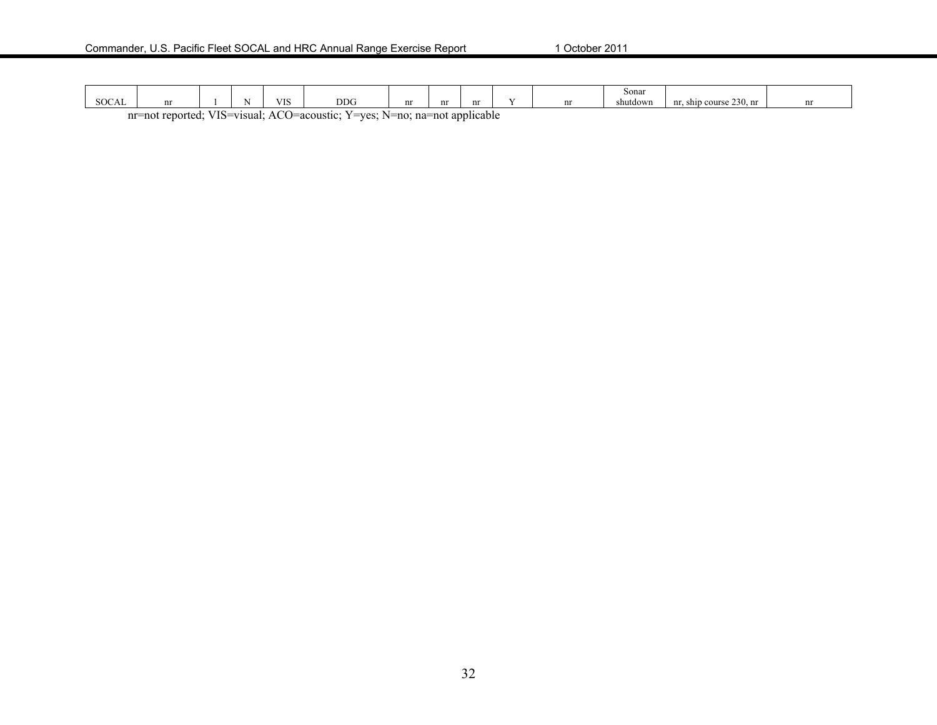|                                                                                                                                            |  |  |              |            |            |          |  |    |  | Sonar    |                            |   |
|--------------------------------------------------------------------------------------------------------------------------------------------|--|--|--------------|------------|------------|----------|--|----|--|----------|----------------------------|---|
| 00017<br>SUCAL                                                                                                                             |  |  | $\mathbf{v}$ | <b>VIS</b> | <b>DDG</b> | $\cdots$ |  | nr |  | shutdown | course 230, nr<br>nr. ship | m |
| T T T C<br>$\sim$<br>/IS=visual∶<br>applicable<br>reported:<br>nr=not<br>J=acoustic:<br>$v = \frac{1}{2}$<br>$N=no$<br>na=not<br>ΑO<br>-15 |  |  |              |            |            |          |  |    |  |          |                            |   |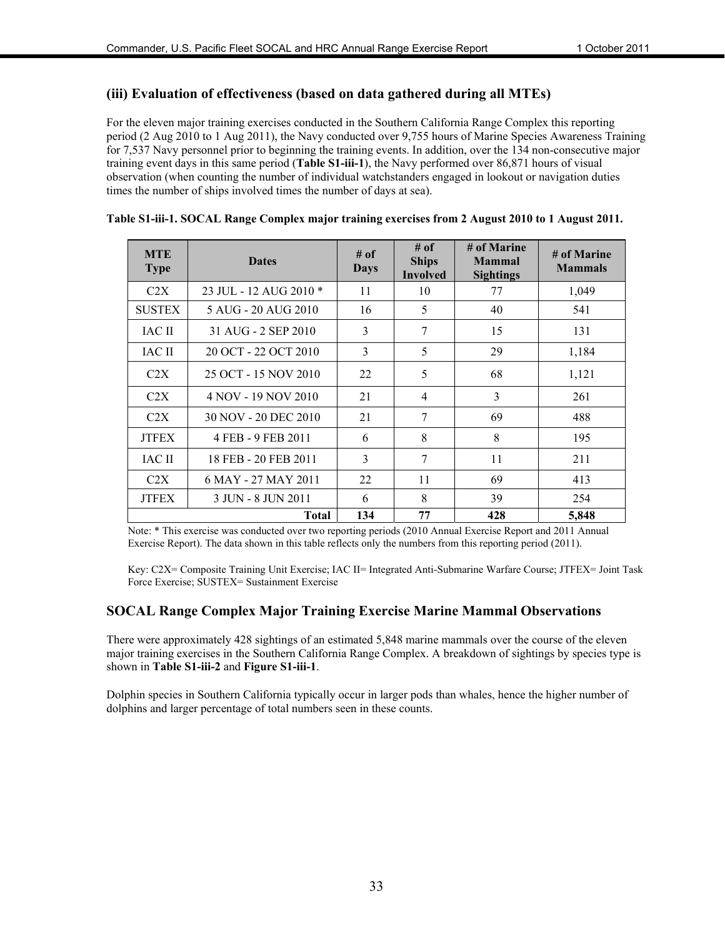#### **(iii) Evaluation of effectiveness (based on data gathered during all MTEs)**

For the eleven major training exercises conducted in the Southern California Range Complex this reporting period (2 Aug 2010 to 1 Aug 2011), the Navy conducted over 9,755 hours of Marine Species Awareness Training for 7,537 Navy personnel prior to beginning the training events. In addition, over the 134 non-consecutive major training event days in this same period (**Table S1-iii-1**), the Navy performed over 86,871 hours of visual observation (when counting the number of individual watchstanders engaged in lookout or navigation duties times the number of ships involved times the number of days at sea).

| <b>MTE</b><br><b>Type</b> | <b>Dates</b>           | $#$ of<br>Days | # of<br><b>Ships</b><br><b>Involved</b> | # of Marine<br><b>Mammal</b><br><b>Sightings</b> | # of Marine<br><b>Mammals</b> |
|---------------------------|------------------------|----------------|-----------------------------------------|--------------------------------------------------|-------------------------------|
| C2X                       | 23 JUL - 12 AUG 2010 * | 11             | 10                                      | 77                                               | 1,049                         |
| <b>SUSTEX</b>             | 5 AUG - 20 AUG 2010    | 16             | 5                                       | 40                                               | 541                           |
| IAC II                    | 31 AUG - 2 SEP 2010    | 3              | 7                                       | 15                                               | 131                           |
| <b>IAC II</b>             | 20 OCT - 22 OCT 2010   | 3              | 5                                       | 29                                               | 1,184                         |
| C2X                       | 25 OCT - 15 NOV 2010   | 22             | 5                                       | 68                                               | 1,121                         |
| C2X                       | 4 NOV - 19 NOV 2010    | 21             | $\overline{4}$                          | 3                                                | 261                           |
| C2X                       | 30 NOV - 20 DEC 2010   | 21             | 7                                       | 69                                               | 488                           |
| <b>JTFEX</b>              | 4 FEB - 9 FEB 2011     | 6              | 8                                       | 8                                                | 195                           |
| IAC II                    | 18 FEB - 20 FEB 2011   | 3              | 7                                       | 11                                               | 211                           |
| C2X                       | 6 MAY - 27 MAY 2011    | 22             | 11                                      | 69                                               | 413                           |
| <b>JTFEX</b>              | 3 JUN - 8 JUN 2011     | 6              | 8                                       | 39                                               | 254                           |
|                           | <b>Total</b>           | 134            | 77                                      | 428                                              | 5,848                         |

#### **Table S1-iii-1. SOCAL Range Complex major training exercises from 2 August 2010 to 1 August 2011.**

Note: \* This exercise was conducted over two reporting periods (2010 Annual Exercise Report and 2011 Annual Exercise Report). The data shown in this table reflects only the numbers from this reporting period (2011).

Key: C2X= Composite Training Unit Exercise; IAC II= Integrated Anti-Submarine Warfare Course; JTFEX= Joint Task Force Exercise; SUSTEX= Sustainment Exercise

#### **SOCAL Range Complex Major Training Exercise Marine Mammal Observations**

There were approximately 428 sightings of an estimated 5,848 marine mammals over the course of the eleven major training exercises in the Southern California Range Complex. A breakdown of sightings by species type is shown in **Table S1-iii-2** and **Figure S1-iii-1**.

Dolphin species in Southern California typically occur in larger pods than whales, hence the higher number of dolphins and larger percentage of total numbers seen in these counts.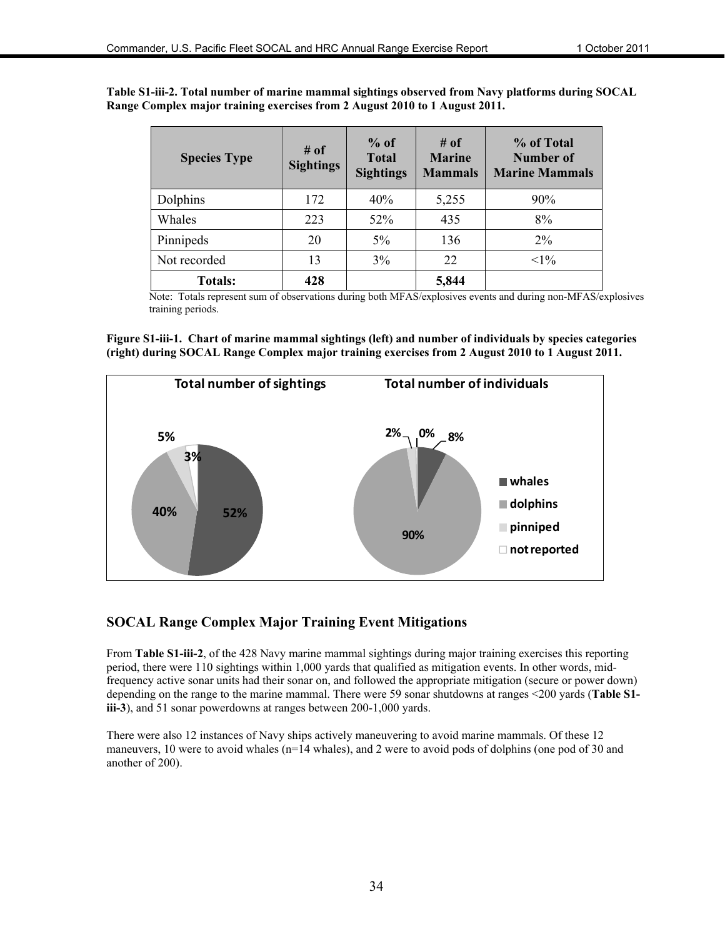| Table S1-iii-2. Total number of marine mammal sightings observed from Navy platforms during SOCAL |  |
|---------------------------------------------------------------------------------------------------|--|
| Range Complex major training exercises from 2 August 2010 to 1 August 2011.                       |  |

| <b>Species Type</b> | $#$ of<br><b>Sightings</b> | $%$ of<br><b>Total</b><br><b>Sightings</b> | # of<br><b>Marine</b><br><b>Mammals</b> | % of Total<br><b>Number of</b><br><b>Marine Mammals</b> |
|---------------------|----------------------------|--------------------------------------------|-----------------------------------------|---------------------------------------------------------|
| Dolphins            | 172                        | 40%                                        | 5,255                                   | 90%                                                     |
| Whales              | 223                        | 52%                                        | 435                                     | 8%                                                      |
| Pinnipeds           | 20                         | $5\%$                                      | 136                                     | $2\%$                                                   |
| Not recorded        | 13                         | 3%                                         | 22                                      | $<1\%$                                                  |
| <b>Totals:</b>      | 428                        |                                            | 5,844                                   |                                                         |

Note: Totals represent sum of observations during both MFAS/explosives events and during non-MFAS/explosives training periods.

**Figure S1-iii-1. Chart of marine mammal sightings (left) and number of individuals by species categories (right) during SOCAL Range Complex major training exercises from 2 August 2010 to 1 August 2011.** 



#### **SOCAL Range Complex Major Training Event Mitigations**

From **Table S1-iii-2**, of the 428 Navy marine mammal sightings during major training exercises this reporting period, there were 110 sightings within 1,000 yards that qualified as mitigation events. In other words, midfrequency active sonar units had their sonar on, and followed the appropriate mitigation (secure or power down) depending on the range to the marine mammal. There were 59 sonar shutdowns at ranges <200 yards (**Table S1 iii-3**), and 51 sonar powerdowns at ranges between 200-1,000 yards.

There were also 12 instances of Navy ships actively maneuvering to avoid marine mammals. Of these 12 maneuvers, 10 were to avoid whales (n=14 whales), and 2 were to avoid pods of dolphins (one pod of 30 and another of 200).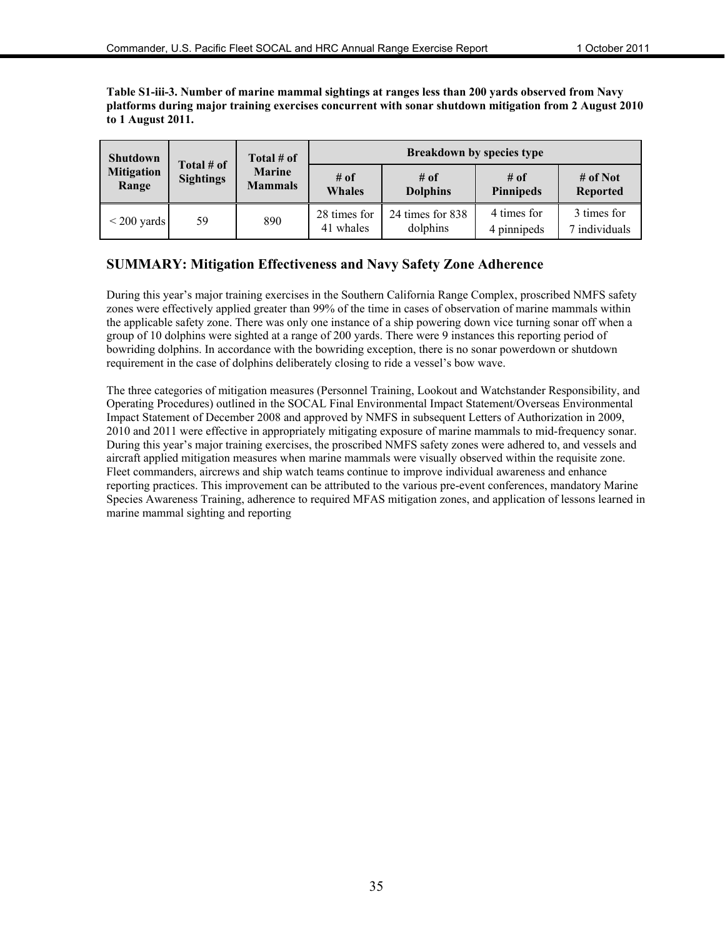**Table S1-iii-3. Number of marine mammal sightings at ranges less than 200 yards observed from Navy platforms during major training exercises concurrent with sonar shutdown mitigation from 2 August 2010 to 1 August 2011.** 

| <b>Shutdown</b>            |                                | Total $#$ of                    |                           |                              | <b>Breakdown by species type</b> |                              |
|----------------------------|--------------------------------|---------------------------------|---------------------------|------------------------------|----------------------------------|------------------------------|
| <b>Mitigation</b><br>Range | Total # of<br><b>Sightings</b> | <b>Marine</b><br><b>Mammals</b> | # of<br><b>Whales</b>     | $#$ of<br><b>Dolphins</b>    | $#$ of<br><b>Pinnipeds</b>       | # of Not<br><b>Reported</b>  |
| $\leq$ 200 yards           | 59                             | 890                             | 28 times for<br>41 whales | 24 times for 838<br>dolphins | 4 times for<br>4 pinnipeds       | 3 times for<br>7 individuals |

## **SUMMARY: Mitigation Effectiveness and Navy Safety Zone Adherence**

During this year's major training exercises in the Southern California Range Complex, proscribed NMFS safety zones were effectively applied greater than 99% of the time in cases of observation of marine mammals within the applicable safety zone. There was only one instance of a ship powering down vice turning sonar off when a group of 10 dolphins were sighted at a range of 200 yards. There were 9 instances this reporting period of bowriding dolphins. In accordance with the bowriding exception, there is no sonar powerdown or shutdown requirement in the case of dolphins deliberately closing to ride a vessel's bow wave.

The three categories of mitigation measures (Personnel Training, Lookout and Watchstander Responsibility, and Operating Procedures) outlined in the SOCAL Final Environmental Impact Statement/Overseas Environmental Impact Statement of December 2008 and approved by NMFS in subsequent Letters of Authorization in 2009, 2010 and 2011 were effective in appropriately mitigating exposure of marine mammals to mid-frequency sonar. During this year's major training exercises, the proscribed NMFS safety zones were adhered to, and vessels and aircraft applied mitigation measures when marine mammals were visually observed within the requisite zone. Fleet commanders, aircrews and ship watch teams continue to improve individual awareness and enhance reporting practices. This improvement can be attributed to the various pre-event conferences, mandatory Marine Species Awareness Training, adherence to required MFAS mitigation zones, and application of lessons learned in marine mammal sighting and reporting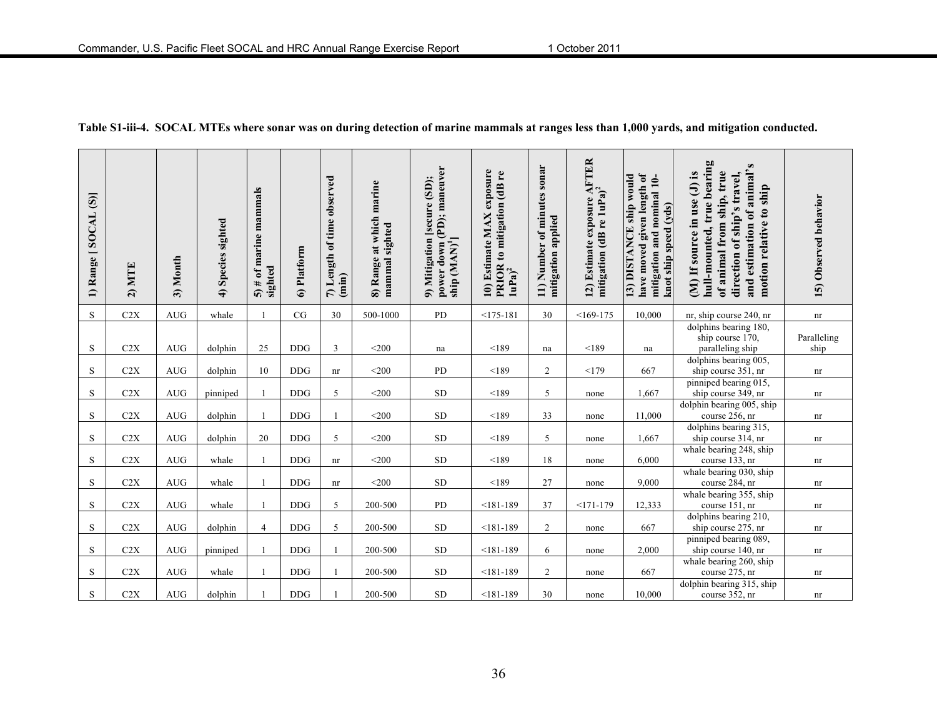| 1) Range [SOCAL (S)] | <b>MTE</b><br>$\widehat{a}$ | 3) Month             | 4) Species sighted | 5) $\#$ of marine mammals<br>sighted | 6) Platform | 7) Length of time observed<br>(imin) | at which marine<br>mammal sighted<br>8) Range | power down (PD); maneuver<br>9) Mitigation [secure (SD);<br>ship (MAN) <sup>1</sup> ] | 10) Estimate MAX exposure<br>PRIOR to mitigation (dB re<br>1uPa) <sup>2</sup> | sonar<br>Number of minutes<br>mitigation applied<br>$\overline{11}$ | 12) Estimate exposure AFTER<br>mitigation (dB re 1uPa) <sup>2</sup> | have moved given length of<br>13) DISTANCE ship would<br>mitigation and nominal 10-<br>knot ship speed $(\mathrm{yds})$ | hull-mounted, true bearing<br>and estimation of animal's<br>(M) If source in use (J) is<br>of animal from ship, true<br>direction of ship's travel,<br>motion relative to ship | 15) Observed behavior      |
|----------------------|-----------------------------|----------------------|--------------------|--------------------------------------|-------------|--------------------------------------|-----------------------------------------------|---------------------------------------------------------------------------------------|-------------------------------------------------------------------------------|---------------------------------------------------------------------|---------------------------------------------------------------------|-------------------------------------------------------------------------------------------------------------------------|--------------------------------------------------------------------------------------------------------------------------------------------------------------------------------|----------------------------|
| S                    | C2X                         | $\operatorname{AUG}$ | whale              |                                      | CG          | 30                                   | 500-1000                                      | PD                                                                                    | $<$ 175-181                                                                   | 30                                                                  | $<169-175$                                                          | 10,000                                                                                                                  | nr, ship course 240, nr                                                                                                                                                        | $\mathop{\rm nr}\nolimits$ |
| S                    | C2X                         | AUG                  | dolphin            | 25                                   | <b>DDG</b>  | 3                                    | $<$ 200                                       | na                                                                                    | < 189                                                                         | na                                                                  | < 189                                                               | na                                                                                                                      | dolphins bearing 180,<br>ship course 170,<br>paralleling ship                                                                                                                  | Paralleling<br>ship        |
| S                    | C2X                         | AUG                  | dolphin            | 10                                   | <b>DDG</b>  | $\mathop{\rm nr}\nolimits$           | $<$ 200                                       | PD                                                                                    | < 189                                                                         | 2                                                                   | <179                                                                | 667                                                                                                                     | dolphins bearing 005,<br>ship course 351, nr                                                                                                                                   | nr                         |
| S                    | C2X                         | <b>AUG</b>           | pinniped           |                                      | <b>DDG</b>  | 5                                    | $<$ 200                                       | <b>SD</b>                                                                             | < 189                                                                         | 5                                                                   | none                                                                | 1,667                                                                                                                   | pinniped bearing 015,<br>ship course 349, nr                                                                                                                                   | nr                         |
| S                    | C2X                         | AUG                  | dolphin            |                                      | <b>DDG</b>  |                                      | $<$ 200                                       | ${\rm SD}$                                                                            | < 189                                                                         | 33                                                                  | none                                                                | 11,000                                                                                                                  | dolphin bearing 005, ship<br>course 256, nr                                                                                                                                    | nr                         |
| ${\bf S}$            | C2X                         | $\operatorname{AUG}$ | dolphin            | 20                                   | <b>DDG</b>  | 5                                    | $<$ 200                                       | ${\rm SD}$                                                                            | < 189                                                                         | 5                                                                   | none                                                                | 1,667                                                                                                                   | dolphins bearing 315,<br>ship course 314, nr                                                                                                                                   | nr                         |
| S                    | C2X                         | $\operatorname{AUG}$ | whale              |                                      | $\rm{DDG}$  | $\mathop{\rm nr}\nolimits$           | $<$ 200 $\,$                                  | ${\rm SD}$                                                                            | < 189                                                                         | 18                                                                  | none                                                                | 6,000                                                                                                                   | whale bearing 248, ship<br>course 133, nr                                                                                                                                      | nr                         |
| S                    | C2X                         | <b>AUG</b>           | whale              |                                      | $\rm{DDG}$  | nr                                   | $<$ 200                                       | <b>SD</b>                                                                             | < 189                                                                         | 27                                                                  | none                                                                | 9,000                                                                                                                   | whale bearing 030, ship<br>course 284, nr                                                                                                                                      | $\mathop{\rm nr}\nolimits$ |
| S                    | C2X                         | $\operatorname{AUG}$ | whale              |                                      | <b>DDG</b>  | 5                                    | 200-500                                       | PD                                                                                    | $< 181 - 189$                                                                 | 37                                                                  | $<171-179$                                                          | 12,333                                                                                                                  | whale bearing 355, ship<br>course 151, nr                                                                                                                                      | nr                         |
| S                    | C2X                         | <b>AUG</b>           | dolphin            | $\overline{4}$                       | <b>DDG</b>  | 5                                    | 200-500                                       | <b>SD</b>                                                                             | $< 181 - 189$                                                                 | $\overline{2}$                                                      | none                                                                | 667                                                                                                                     | dolphins bearing 210,<br>ship course 275, nr                                                                                                                                   | nr                         |
| S                    | C2X                         | <b>AUG</b>           | pinniped           |                                      | <b>DDG</b>  |                                      | 200-500                                       | SD                                                                                    | $< 181 - 189$                                                                 | 6                                                                   | none                                                                | 2,000                                                                                                                   | pinniped bearing 089,<br>ship course 140, nr                                                                                                                                   | nr                         |
| S                    | C2X                         | <b>AUG</b>           | whale              |                                      | <b>DDG</b>  |                                      | 200-500                                       | <b>SD</b>                                                                             | $< 181 - 189$                                                                 | $\overline{2}$                                                      | none                                                                | 667                                                                                                                     | whale bearing 260, ship<br>course 275, nr                                                                                                                                      | nr                         |
| S                    | C2X                         | $\operatorname{AUG}$ | dolphin            |                                      | $\rm DDG$   |                                      | 200-500                                       | ${\rm SD}$                                                                            | $< 181 - 189$                                                                 | 30                                                                  | none                                                                | 10,000                                                                                                                  | dolphin bearing 315, ship<br>course 352, nr                                                                                                                                    | nr                         |

**Table S1-iii-4. SOCAL MTEs where sonar was on during detection of marine mammals at ranges less than 1,000 yards, and mitigation conducted.**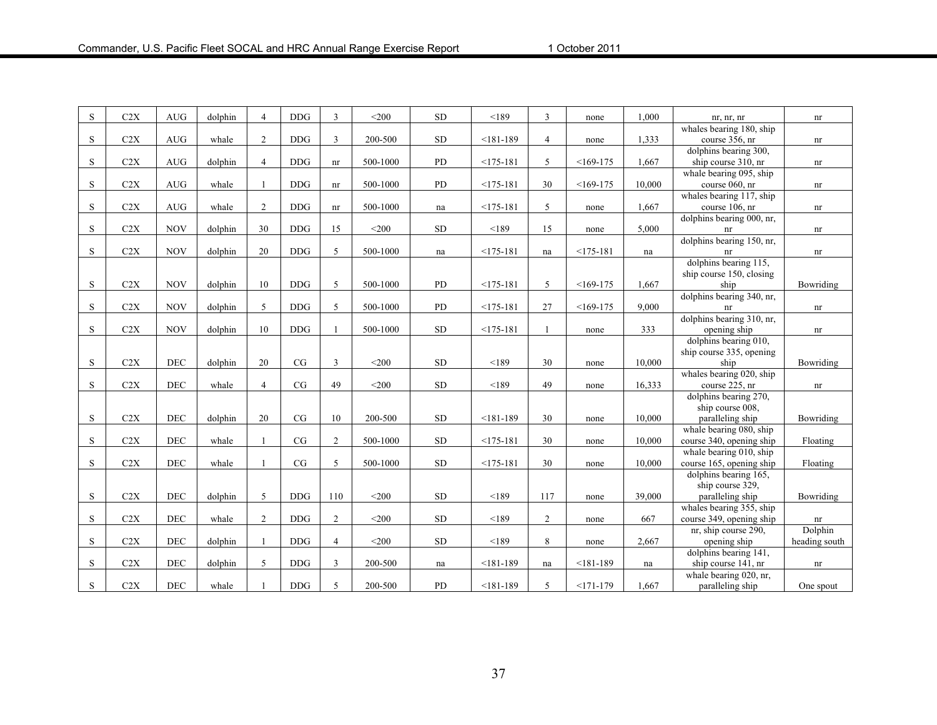| S           | C2X | AUG        | dolphin | $\overline{4}$ | <b>DDG</b> | 3              | $<$ 200  | <b>SD</b> | < 189         | 3              | none          | 1,000  | nr, nr, nr                                 | nr            |
|-------------|-----|------------|---------|----------------|------------|----------------|----------|-----------|---------------|----------------|---------------|--------|--------------------------------------------|---------------|
|             |     |            |         |                |            |                |          |           |               |                |               |        | whales bearing 180, ship                   |               |
| S.          | C2X | <b>AUG</b> | whale   | 2              | <b>DDG</b> | 3              | 200-500  | <b>SD</b> | $< 181 - 189$ | $\overline{4}$ | none          | 1,333  | course 356, nr                             | nr            |
|             |     |            |         |                |            |                |          |           |               |                |               |        | dolphins bearing 300,                      |               |
| S           | C2X | <b>AUG</b> | dolphin | $\overline{4}$ | <b>DDG</b> | nr             | 500-1000 | PD        | $<175-181$    | 5              | $<169-175$    | 1,667  | ship course 310, nr                        | nr            |
|             |     |            |         |                |            |                |          |           |               | 30             |               |        | whale bearing 095, ship                    |               |
| S           | C2X | <b>AUG</b> | whale   |                | $\rm{DDG}$ | nr             | 500-1000 | PD        | $<$ 175-181   |                | $<169-175$    | 10,000 | course 060, nr<br>whales bearing 117, ship | nr            |
| S           | C2X | <b>AUG</b> | whale   | 2              | <b>DDG</b> | nr             | 500-1000 | na        | $<$ 175-181   | 5              | none          | 1,667  | course 106, nr                             | nr            |
|             |     |            |         |                |            |                |          |           |               |                |               |        | dolphins bearing 000, nr,                  |               |
| S           | C2X | <b>NOV</b> | dolphin | 30             | <b>DDG</b> | 15             | $<$ 200  | SD        | < 189         | 15             | none          | 5,000  | nr                                         | nr            |
|             |     |            |         |                |            |                |          |           |               |                |               |        | dolphins bearing 150, nr,                  |               |
| S           | C2X | <b>NOV</b> | dolphin | 20             | <b>DDG</b> | 5              | 500-1000 | na        | $<$ 175-181   | na             | $<175-181$    | na     | nr                                         | nr            |
|             |     |            |         |                |            |                |          |           |               |                |               |        | dolphins bearing 115.                      |               |
|             |     |            |         |                |            |                |          |           |               |                |               |        | ship course 150, closing                   |               |
| S           | C2X | <b>NOV</b> | dolphin | 10             | <b>DDG</b> | 5              | 500-1000 | <b>PD</b> | $<175-181$    | 5              | $<169-175$    | 1,667  | ship                                       | Bowriding     |
|             |     |            |         |                |            |                |          |           |               |                |               |        | dolphins bearing 340, nr,                  |               |
| S           | C2X | <b>NOV</b> | dolphin | 5              | <b>DDG</b> | 5              | 500-1000 | PD        | $<175-181$    | 27             | $<169-175$    | 9,000  | nr                                         | nr            |
|             |     |            |         |                |            |                |          |           |               |                |               |        | dolphins bearing 310, nr,                  |               |
| S           | C2X | <b>NOV</b> | dolphin | $10\,$         | <b>DDG</b> |                | 500-1000 | <b>SD</b> | $<175-181$    | $\mathbf{1}$   | none          | 333    | opening ship                               | nr            |
|             |     |            |         |                |            |                |          |           |               |                |               |        | dolphins bearing 010,                      |               |
|             |     |            |         |                |            |                |          |           |               |                |               |        | ship course 335, opening                   |               |
| S           | C2X | <b>DEC</b> | dolphin | 20             | CG         | 3              | $<$ 200  | <b>SD</b> | < 189         | 30             | none          | 10,000 | ship                                       | Bowriding     |
|             | C2X | <b>DEC</b> |         |                | CG         | 49             | $<$ 200  | <b>SD</b> |               | 49             |               |        | whales bearing 020, ship                   |               |
| S           |     |            | whale   | $\overline{4}$ |            |                |          |           | < 189         |                | none          | 16,333 | course 225, nr                             | nr            |
|             |     |            |         |                |            |                |          |           |               |                |               |        | dolphins bearing 270,<br>ship course 008.  |               |
| S           | C2X | <b>DEC</b> | dolphin | 20             | CG         | 10             | 200-500  | <b>SD</b> | $< 181 - 189$ | 30             | none          | 10,000 | paralleling ship                           | Bowriding     |
|             |     |            |         |                |            |                |          |           |               |                |               |        | whale bearing 080, ship                    |               |
| S           | C2X | <b>DEC</b> | whale   |                | CG         | $\overline{2}$ | 500-1000 | <b>SD</b> | $<$ 175-181   | 30             | none          | 10,000 | course 340, opening ship                   | Floating      |
|             |     |            |         |                |            |                |          |           |               |                |               |        | whale bearing 010, ship                    |               |
| S           | C2X | DEC        | whale   |                | CG         | 5              | 500-1000 | <b>SD</b> | $<175-181$    | 30             | none          | 10,000 | course 165, opening ship                   | Floating      |
|             |     |            |         |                |            |                |          |           |               |                |               |        | dolphins bearing 165,                      |               |
|             |     |            |         |                |            |                |          |           |               |                |               |        | ship course 329,                           |               |
| $\mathbf S$ | C2X | DEC        | dolphin | 5              | <b>DDG</b> | 110            | $<$ 200  | <b>SD</b> | < 189         | 117            | none          | 39,000 | paralleling ship                           | Bowriding     |
|             |     |            |         |                |            |                |          |           |               |                |               |        | whales bearing 355, ship                   |               |
| S           | C2X | <b>DEC</b> | whale   | $\overline{2}$ | <b>DDG</b> | $\overline{2}$ | $<$ 200  | <b>SD</b> | < 189         | $\overline{2}$ | none          | 667    | course 349, opening ship                   | nr            |
|             |     |            |         |                |            |                |          |           |               |                |               |        | nr, ship course 290,                       | Dolphin       |
| S.          | C2X | <b>DEC</b> | dolphin | $\mathbf{1}$   | <b>DDG</b> | $\overline{4}$ | $<$ 200  | <b>SD</b> | < 189         | 8              | none          | 2,667  | opening ship                               | heading south |
|             |     |            |         |                |            |                |          |           |               |                |               |        | dolphins bearing 141,                      |               |
| S           | C2X | DEC        | dolphin | 5              | <b>DDG</b> | 3              | 200-500  | na        | $< 181 - 189$ | na             | $< 181 - 189$ | na     | ship course 141, nr                        | nr            |
|             |     |            |         |                |            |                |          |           |               |                |               |        | whale bearing 020, nr,                     |               |
| S           | C2X | DEC        | whale   |                | <b>DDG</b> | 5              | 200-500  | PD        | $< 181 - 189$ | 5              | $<171-179$    | 1,667  | paralleling ship                           | One spout     |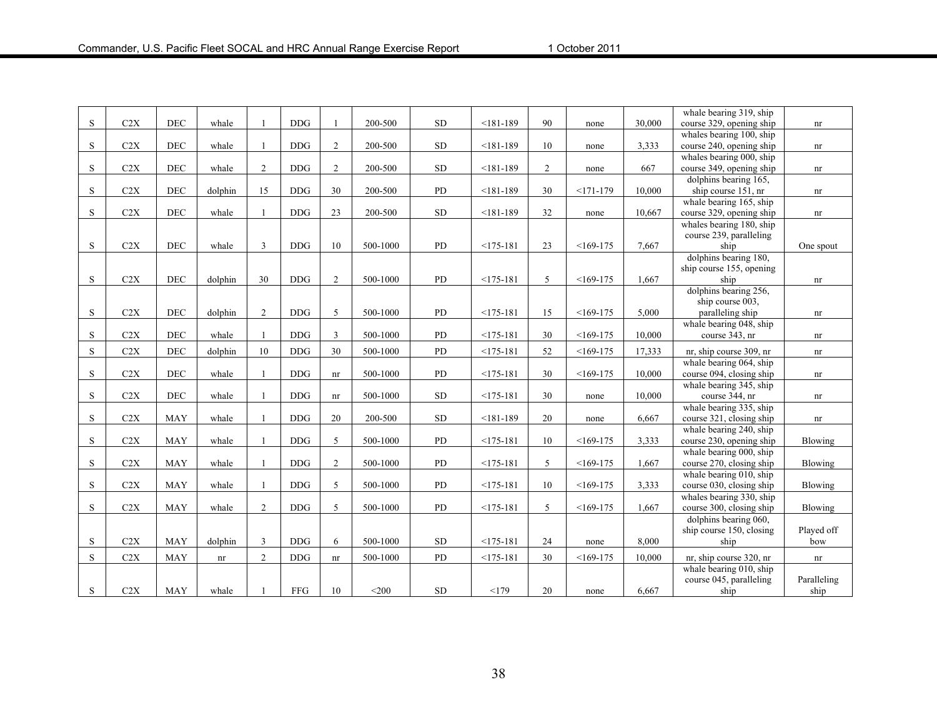|           |           |            |                            |                |            |                |          |           |               |                |            |        | whale bearing 319, ship  |                            |
|-----------|-----------|------------|----------------------------|----------------|------------|----------------|----------|-----------|---------------|----------------|------------|--------|--------------------------|----------------------------|
| S         | C2X       | <b>DEC</b> | whale                      |                | <b>DDG</b> |                | 200-500  | <b>SD</b> | $< 181 - 189$ | 90             | none       | 30,000 | course 329, opening ship | nr                         |
|           |           |            |                            |                |            |                |          |           |               |                |            |        | whales bearing 100, ship |                            |
| S         | C2X       | <b>DEC</b> | whale                      |                | <b>DDG</b> | $\overline{2}$ | 200-500  | <b>SD</b> | $< 181 - 189$ | 10             | none       | 3,333  | course 240, opening ship | nr                         |
|           |           |            |                            |                |            |                |          |           |               |                |            |        | whales bearing 000, ship |                            |
| S         | C2X       | <b>DEC</b> | whale                      | 2              | <b>DDG</b> | $\overline{2}$ | 200-500  | <b>SD</b> | $< 181 - 189$ | $\overline{2}$ | none       | 667    | course 349, opening ship | nr                         |
|           |           |            |                            |                |            |                |          |           |               |                |            |        | dolphins bearing 165,    |                            |
| S         | C2X       | <b>DEC</b> | dolphin                    | 15             | <b>DDG</b> | 30             | 200-500  | PD        | $< 181 - 189$ | 30             | $<171-179$ | 10,000 | ship course 151, nr      | $\mathop{\rm nr}\nolimits$ |
|           |           |            |                            |                |            |                |          |           |               |                |            |        | whale bearing 165, ship  |                            |
| ${\bf S}$ | C2X       | <b>DEC</b> | whale                      |                | <b>DDG</b> | 23             | 200-500  | <b>SD</b> | $< 181 - 189$ | 32             | none       | 10,667 | course 329, opening ship | nr                         |
|           |           |            |                            |                |            |                |          |           |               |                |            |        | whales bearing 180, ship |                            |
|           |           |            |                            |                |            |                |          |           |               |                |            |        | course 239, paralleling  |                            |
| S         | C2X       | DEC        | whale                      | 3              | <b>DDG</b> | 10             | 500-1000 | PD        | $<$ 175-181   | 23             | $<169-175$ | 7,667  | ship                     | One spout                  |
|           |           |            |                            |                |            |                |          |           |               |                |            |        | dolphins bearing 180,    |                            |
|           |           |            |                            |                |            |                |          |           |               |                |            |        | ship course 155, opening |                            |
| S         | $\rm C2X$ | <b>DEC</b> | dolphin                    | 30             | <b>DDG</b> | 2              | 500-1000 | PD        | $<175-181$    | 5              | $<169-175$ | 1,667  | ship                     | $\mathop{\rm nr}\nolimits$ |
|           |           |            |                            |                |            |                |          |           |               |                |            |        | dolphins bearing 256,    |                            |
|           |           |            |                            |                |            |                |          |           |               |                |            |        | ship course 003,         |                            |
| S         | C2X       | <b>DEC</b> | dolphin                    | 2              | <b>DDG</b> | 5              | 500-1000 | <b>PD</b> | $<175-181$    | 15             | $<169-175$ | 5,000  | paralleling ship         | nr                         |
|           |           |            |                            |                |            |                |          |           |               |                |            |        | whale bearing 048, ship  |                            |
| S         | C2X       | DEC        | whale                      |                | <b>DDG</b> | 3              | 500-1000 | PD        | $<$ 175-181   | 30             | $<169-175$ | 10,000 | course 343, nr           | nr                         |
| S         | C2X       | <b>DEC</b> | dolphin                    | 10             | <b>DDG</b> | 30             | 500-1000 | <b>PD</b> | $<175-181$    | 52             | $<169-175$ | 17,333 | nr, ship course 309, nr  | nr                         |
|           |           |            |                            |                |            |                |          |           |               |                |            |        | whale bearing 064, ship  |                            |
| S         | C2X       | <b>DEC</b> | whale                      |                | <b>DDG</b> | nr             | 500-1000 | PD        | $<$ 175-181   | 30             | $<169-175$ | 10,000 | course 094, closing ship | $\mathop{\rm nr}\nolimits$ |
|           |           |            |                            |                |            |                |          |           |               |                |            |        | whale bearing 345, ship  |                            |
| S         | C2X       | DEC        | whale                      |                | <b>DDG</b> | nr             | 500-1000 | <b>SD</b> | $<$ 175-181   | 30             | none       | 10,000 | course 344, nr           | nr                         |
|           |           |            |                            |                |            |                |          |           |               |                |            |        | whale bearing 335, ship  |                            |
| S         | C2X       | <b>MAY</b> | whale                      |                | <b>DDG</b> | 20             | 200-500  | <b>SD</b> | $< 181 - 189$ | 20             | none       | 6,667  | course 321, closing ship | nr                         |
|           |           |            |                            |                |            |                |          |           |               |                |            |        | whale bearing 240, ship  |                            |
| S         | C2X       | <b>MAY</b> | whale                      |                | <b>DDG</b> | 5              | 500-1000 | <b>PD</b> | $<175-181$    | 10             | $<169-175$ | 3,333  | course 230, opening ship | Blowing                    |
|           |           |            |                            |                |            |                |          |           |               |                |            |        | whale bearing 000, ship  |                            |
| S         | C2X       | <b>MAY</b> | whale                      |                | <b>DDG</b> | $\overline{2}$ | 500-1000 | PD        | $<$ 175-181   | 5              | $<169-175$ | 1,667  | course 270, closing ship | Blowing                    |
|           |           |            |                            |                |            |                |          |           |               |                |            |        | whale bearing 010, ship  |                            |
| S         | C2X       | <b>MAY</b> | whale                      |                | <b>DDG</b> | 5              | 500-1000 | PD        | $<175-181$    | 10             | $<169-175$ | 3,333  | course 030, closing ship | Blowing                    |
|           |           |            |                            |                |            |                |          |           |               |                |            |        | whales bearing 330, ship |                            |
| S         | $\rm C2X$ | <b>MAY</b> | whale                      | 2              | <b>DDG</b> | 5              | 500-1000 | PD        | $<175-181$    | 5              | $<169-175$ | 1,667  | course 300, closing ship | Blowing                    |
|           |           |            |                            |                |            |                |          |           |               |                |            |        | dolphins bearing 060,    |                            |
|           |           |            |                            |                |            |                |          |           |               |                |            |        | ship course 150, closing | Played off                 |
| S         | C2X       | <b>MAY</b> | dolphin                    | 3              | <b>DDG</b> | 6              | 500-1000 | <b>SD</b> | $<175-181$    | 24             | none       | 8,000  | ship                     | bow                        |
| S         | C2X       | <b>MAY</b> | $\mathop{\rm nr}\nolimits$ | $\overline{2}$ | <b>DDG</b> | nr             | 500-1000 | PD        | $<$ 175-181   | 30             | $<169-175$ | 10,000 | nr, ship course 320, nr  | nr                         |
|           |           |            |                            |                |            |                |          |           |               |                |            |        | whale bearing 010, ship  |                            |
|           |           |            |                            |                |            |                |          |           |               |                |            |        | course 045, paralleling  | Paralleling                |
| S         | C2X       | <b>MAY</b> | whale                      |                | <b>FFG</b> | 10             | $<$ 200  | <b>SD</b> | <179          | 20             | none       | 6,667  | ship                     | ship                       |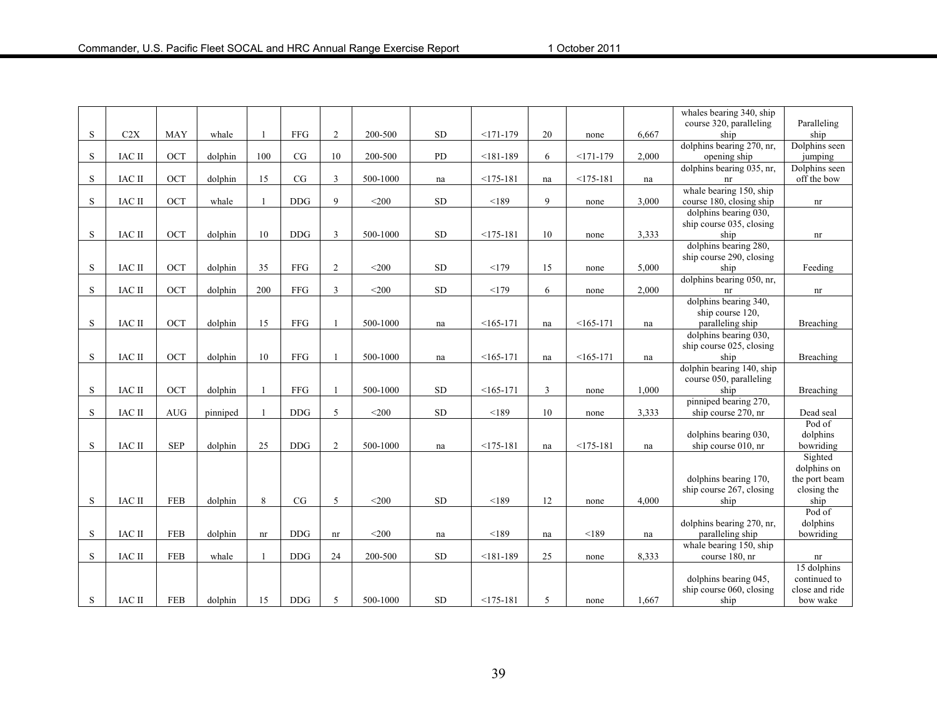|             |               |            |          |              |             |                |          |           |               |    |             |       | whales bearing 340, ship         |                    |
|-------------|---------------|------------|----------|--------------|-------------|----------------|----------|-----------|---------------|----|-------------|-------|----------------------------------|--------------------|
|             |               |            |          |              |             |                |          |           |               |    |             |       | course 320, paralleling          | Paralleling        |
| S           | C2X           | <b>MAY</b> | whale    |              | ${\rm FFG}$ | $\overline{2}$ | 200-500  | SD        | $<171-179$    | 20 | none        | 6,667 | ship                             | ship               |
|             |               |            |          |              |             |                |          |           |               |    |             |       | dolphins bearing 270, nr,        | Dolphins seen      |
| S           | <b>IAC II</b> | <b>OCT</b> | dolphin  | 100          | CG          | 10             | 200-500  | PD        | $< 181 - 189$ | 6  | $<171-179$  | 2,000 | opening ship                     | jumping            |
|             |               |            |          |              |             |                |          |           |               |    |             |       | dolphins bearing 035, nr,        | Dolphins seen      |
| S           | <b>IAC II</b> | OCT        | dolphin  | 15           | CG          | $\overline{3}$ | 500-1000 | na        | $<$ 175-181   | na | $<$ 175-181 | na    | nr                               | off the bow        |
|             |               |            |          |              |             |                |          |           |               |    |             |       | whale bearing 150, ship          |                    |
| S           | IAC II        | OCT        | whale    | $\mathbf{1}$ | <b>DDG</b>  | 9              | $<$ 200  | SD        | < 189         | 9  | none        | 3,000 | course 180, closing ship         | nr                 |
|             |               |            |          |              |             |                |          |           |               |    |             |       | dolphins bearing 030,            |                    |
| S           | <b>IAC II</b> | OCT        | dolphin  | 10           | <b>DDG</b>  | 3              | 500-1000 | <b>SD</b> | $<175-181$    | 10 | none        | 3,333 | ship course 035, closing<br>ship |                    |
|             |               |            |          |              |             |                |          |           |               |    |             |       | dolphins bearing 280,            | nr                 |
|             |               |            |          |              |             |                |          |           |               |    |             |       | ship course 290, closing         |                    |
| S           | IAC II        | OCT        | dolphin  | 35           | FFG         | 2              | $<$ 200  | SD        | <179          | 15 | none        | 5,000 | ship                             | Feeding            |
|             |               |            |          |              |             |                |          |           |               |    |             |       | dolphins bearing 050, nr,        |                    |
| S           | <b>IAC II</b> | <b>OCT</b> | dolphin  | 200          | <b>FFG</b>  | $\overline{3}$ | $<$ 200  | SD        | <179          | 6  | none        | 2,000 | nr                               | nr                 |
|             |               |            |          |              |             |                |          |           |               |    |             |       | dolphins bearing 340,            |                    |
|             |               |            |          |              |             |                |          |           |               |    |             |       | ship course 120,                 |                    |
| S           | <b>IAC II</b> | OCT        | dolphin  | 15           | <b>FFG</b>  |                | 500-1000 | na        | $<165-171$    | na | $<165-171$  | na    | paralleling ship                 | Breaching          |
|             |               |            |          |              |             |                |          |           |               |    |             |       | dolphins bearing 030,            |                    |
|             |               |            |          |              |             |                |          |           |               |    |             |       | ship course 025, closing         |                    |
| $\mathbf S$ | <b>IAC II</b> | OCT        | dolphin  | 10           | <b>FFG</b>  |                | 500-1000 | na        | $<165-171$    | na | $<165-171$  | na    | ship                             | Breaching          |
|             |               |            |          |              |             |                |          |           |               |    |             |       | dolphin bearing 140, ship        |                    |
|             |               |            |          |              |             |                |          |           |               |    |             |       | course 050, paralleling          |                    |
| S           | <b>IAC II</b> | OCT        | dolphin  |              | <b>FFG</b>  |                | 500-1000 | <b>SD</b> | $<165-171$    | 3  | none        | 1,000 | ship                             | Breaching          |
|             |               |            |          |              |             |                |          |           |               |    |             |       | pinniped bearing 270,            |                    |
| S           | <b>IAC II</b> | <b>AUG</b> | pinniped |              | <b>DDG</b>  | 5              | $<$ 200  | <b>SD</b> | < 189         | 10 | none        | 3,333 | ship course 270, nr              | Dead seal          |
|             |               |            |          |              |             |                |          |           |               |    |             |       | dolphins bearing 030,            | Pod of<br>dolphins |
| S           | <b>IAC II</b> | <b>SEP</b> | dolphin  | 25           | <b>DDG</b>  | $\overline{2}$ | 500-1000 | na        | $<175-181$    | na | $<$ 175-181 | na    | ship course 010, nr              | bowriding          |
|             |               |            |          |              |             |                |          |           |               |    |             |       |                                  | Sighted            |
|             |               |            |          |              |             |                |          |           |               |    |             |       |                                  | dolphins on        |
|             |               |            |          |              |             |                |          |           |               |    |             |       | dolphins bearing 170,            | the port beam      |
|             |               |            |          |              |             |                |          |           |               |    |             |       | ship course 267, closing         | closing the        |
| S           | IAC II        | <b>FEB</b> | dolphin  | 8            | CG          | 5              | $<$ 200  | <b>SD</b> | < 189         | 12 | none        | 4,000 | ship                             | ship               |
|             |               |            |          |              |             |                |          |           |               |    |             |       |                                  | Pod of             |
|             |               |            |          |              |             |                |          |           |               |    |             |       | dolphins bearing 270, nr,        | dolphins           |
| S           | IAC II        | <b>FEB</b> | dolphin  | nr           | <b>DDG</b>  | nr             | $<$ 200  | na        | < 189         | na | < 189       | na    | paralleling ship                 | bowriding          |
|             |               |            |          |              |             |                |          |           |               |    |             |       | whale bearing 150, ship          |                    |
| S           | IAC II        | <b>FEB</b> | whale    |              | <b>DDG</b>  | 24             | 200-500  | <b>SD</b> | $< 181 - 189$ | 25 | none        | 8,333 | course 180, nr                   | nr                 |
|             |               |            |          |              |             |                |          |           |               |    |             |       |                                  | 15 dolphins        |
|             |               |            |          |              |             |                |          |           |               |    |             |       | dolphins bearing 045,            | continued to       |
|             |               |            |          |              |             |                |          |           |               |    |             |       | ship course 060, closing         | close and ride     |
| S           | <b>IAC II</b> | <b>FEB</b> | dolphin  | 15           | <b>DDG</b>  | 5              | 500-1000 | SD        | $<175-181$    | 5  | none        | 1,667 | ship                             | bow wake           |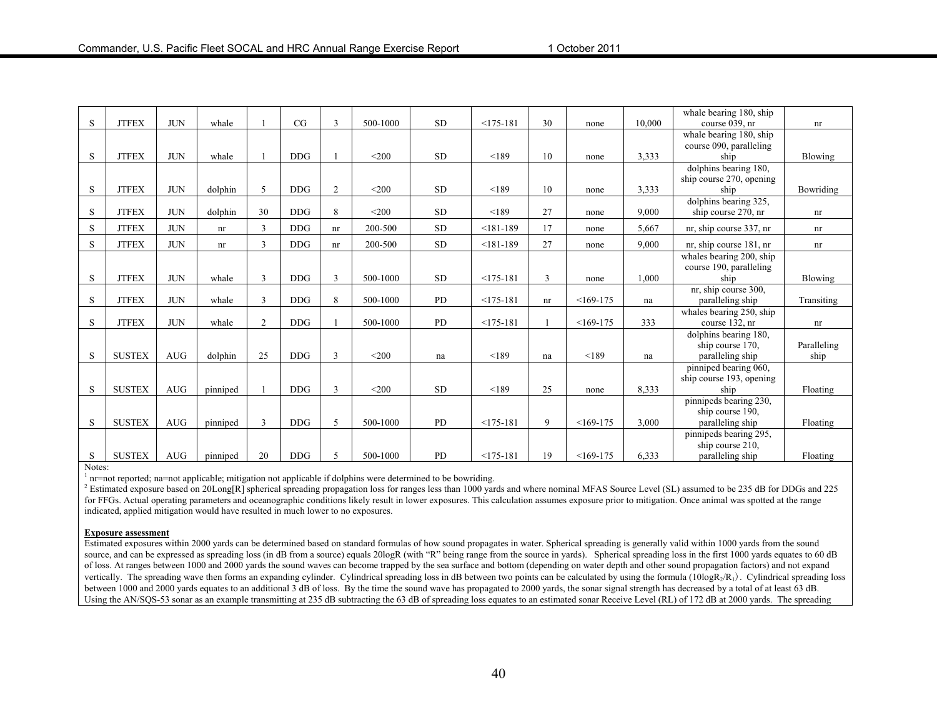|    |               |            |          |                |            |                |          |           |               |    |            |        | whale bearing 180, ship              |             |
|----|---------------|------------|----------|----------------|------------|----------------|----------|-----------|---------------|----|------------|--------|--------------------------------------|-------------|
| S  | <b>JTFEX</b>  | <b>JUN</b> | whale    |                | CG         | 3              | 500-1000 | <b>SD</b> | $<$ 175-181   | 30 | none       | 10.000 | course 039. nr                       | nr          |
|    |               |            |          |                |            |                |          |           |               |    |            |        | whale bearing 180, ship              |             |
|    |               |            |          |                |            |                |          |           |               |    |            |        | course 090, paralleling              |             |
| S  | <b>JTFEX</b>  | <b>JUN</b> | whale    |                | <b>DDG</b> |                | $<$ 200  | <b>SD</b> | < 189         | 10 | none       | 3,333  | ship                                 | Blowing     |
|    |               |            |          |                |            |                |          |           |               |    |            |        | dolphins bearing 180,                |             |
|    |               |            |          |                |            |                |          |           |               |    |            |        | ship course 270, opening             |             |
| S. | <b>JTFEX</b>  | <b>JUN</b> | dolphin  | 5              | <b>DDG</b> | $\overline{c}$ | $<$ 200  | <b>SD</b> | < 189         | 10 | none       | 3,333  | ship                                 | Bowriding   |
|    |               |            |          |                |            |                |          |           |               |    |            |        | dolphins bearing 325,                |             |
| S  | <b>JTFEX</b>  | <b>JUN</b> | dolphin  | 30             | <b>DDG</b> | 8              | $<$ 200  | <b>SD</b> | < 189         | 27 | none       | 9,000  | ship course 270, nr                  | nr          |
| S. | <b>JTFEX</b>  | <b>JUN</b> | nr       | 3              | <b>DDG</b> | nr             | 200-500  | <b>SD</b> | $< 181 - 189$ | 17 | none       | 5,667  | nr, ship course 337, nr              | nr          |
| S. | <b>JTFEX</b>  | <b>JUN</b> | nr       | 3              | <b>DDG</b> | nr             | 200-500  | <b>SD</b> | $< 181 - 189$ | 27 | none       | 9,000  | nr, ship course 181, nr              | nr          |
|    |               |            |          |                |            |                |          |           |               |    |            |        | whales bearing 200, ship             |             |
|    |               |            |          |                |            |                |          |           |               |    |            |        | course 190, paralleling              |             |
| S  | <b>JTFEX</b>  | <b>JUN</b> | whale    | 3              | <b>DDG</b> | 3              | 500-1000 | <b>SD</b> | $<175-181$    | 3  | none       | 1.000  | ship                                 | Blowing     |
|    |               |            |          |                |            |                |          |           |               |    |            |        | nr, ship course 300,                 |             |
| S. | <b>JTFEX</b>  | <b>JUN</b> | whale    | 3              | <b>DDG</b> | 8              | 500-1000 | <b>PD</b> | $<175-181$    | nr | $<169-175$ | na     | paralleling ship                     | Transiting  |
|    |               |            |          |                |            |                |          |           |               |    |            |        |                                      |             |
|    |               |            |          |                |            |                |          |           |               |    |            |        | whales bearing 250, ship             |             |
| S  | <b>JTFEX</b>  | <b>JUN</b> | whale    | $\overline{2}$ | <b>DDG</b> |                | 500-1000 | <b>PD</b> | $<$ 175-181   |    | $<169-175$ | 333    | course 132, nr                       | nr          |
|    |               |            |          |                |            |                |          |           |               |    |            |        | dolphins bearing 180,                |             |
|    |               |            |          |                |            |                |          |           |               |    |            |        | ship course 170,                     | Paralleling |
| S. | <b>SUSTEX</b> | AUG        | dolphin  | 25             | <b>DDG</b> | 3              | $<$ 200  | na        | < 189         | na | < 189      | na     | paralleling ship                     | ship        |
|    |               |            |          |                |            |                |          |           |               |    |            |        | pinniped bearing 060,                |             |
|    |               |            |          |                |            |                |          |           |               |    |            |        | ship course 193, opening             |             |
| S  | <b>SUSTEX</b> | <b>AUG</b> | pinniped |                | <b>DDG</b> | 3              | $<$ 200  | <b>SD</b> | < 189         | 25 | none       | 8,333  | ship                                 | Floating    |
|    |               |            |          |                |            |                |          |           |               |    |            |        | pinnipeds bearing 230,               |             |
|    |               |            |          |                |            |                |          |           |               |    |            |        | ship course 190.                     |             |
| S  | <b>SUSTEX</b> | AUG        | pinniped | 3              | <b>DDG</b> | 5              | 500-1000 | PD        | $<175-181$    | 9  | $<169-175$ | 3,000  | paralleling ship                     | Floating    |
|    |               |            |          |                |            |                |          |           |               |    |            |        | pinnipeds bearing 295,               |             |
| S  | <b>SUSTEX</b> | <b>AUG</b> | pinniped | 20             | <b>DDG</b> | 5              | 500-1000 | <b>PD</b> | $<175-181$    | 19 | $<169-175$ | 6,333  | ship course 210.<br>paralleling ship | Floating    |

#### Notes:

 $<sup>1</sup>$  nr=not reported; na=not applicable; mitigation not applicable if dolphins were determined to be bowriding.</sup>

<sup>2</sup> Estimated exposure based on 20Long[R] spherical spreading propagation loss for ranges less than 1000 yards and where nominal MFAS Source Level (SL) assumed to be 235 dB for DDGs and 225 for FFGs. Actual operating parameters and oceanographic conditions likely result in lower exposures. This calculation assumes exposure prior to mitigation. Once animal was spotted at the range indicated, applied mitigation would have resulted in much lower to no exposures.

#### **Exposure assessment**

Estimated exposures within 2000 yards can be determined based on standard formulas of how sound propagates in water. Spherical spreading is generally valid within 1000 yards from the sound source, and can be expressed as spreading loss (in dB from a source) equals 20logR (with "R" being range from the source in yards). Spherical spreading loss in the first 1000 yards equates to 60 dB of loss. At ranges between 1000 and 2000 yards the sound waves can become trapped by the sea surface and bottom (depending on water depth and other sound propagation factors) and not expand vertically. The spreading wave then forms an expanding cylinder. Cylindrical spreading loss in dB between two points can be calculated by using the formula (10logR<sub>2</sub>/R<sub>1</sub>). Cylindrical spreading loss between 1000 and 2000 yards equates to an additional 3 dB of loss. By the time the sound wave has propagated to 2000 yards, the sonar signal strength has decreased by a total of at least 63 dB. Using the AN/SQS-53 sonar as an example transmitting at 235 dB subtracting the 63 dB of spreading loss equates to an estimated sonar Receive Level (RL) of 172 dB at 2000 yards. The spreading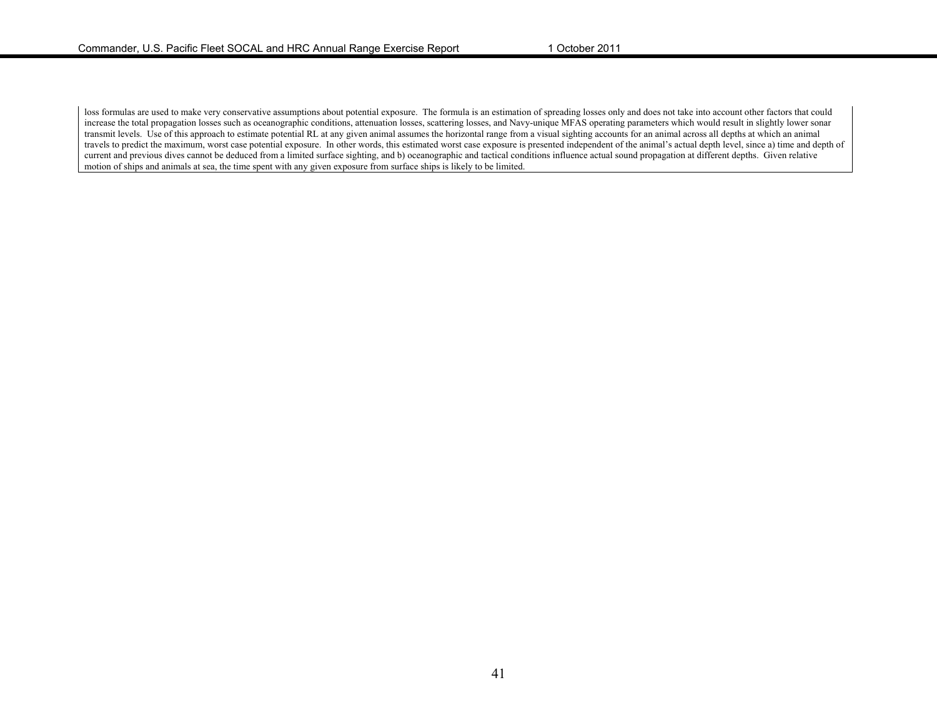loss formulas are used to make very conservative assumptions about potential exposure. The formula is an estimation of spreading losses only and does not take into account other factors that could increase the total propagation losses such as oceanographic conditions, attenuation losses, scattering losses, and Navy-unique MFAS operating parameters which would result in slightly lower sonar transmit levels. Use of this approach to estimate potential RL at any given animal assumes the horizontal range from a visual sighting accounts for an animal across all depths at which an animal travels to predict the maximum, worst case potential exposure. In other words, this estimated worst case exposure is presented independent of the animal's actual depth level, since a) time and depth of current and previous dives cannot be deduced from a limited surface sighting, and b) oceanographic and tactical conditions influence actual sound propagation at different depths. Given relative motion of ships and animals at sea, the time spent with any given exposure from surface ships is likely to be limited.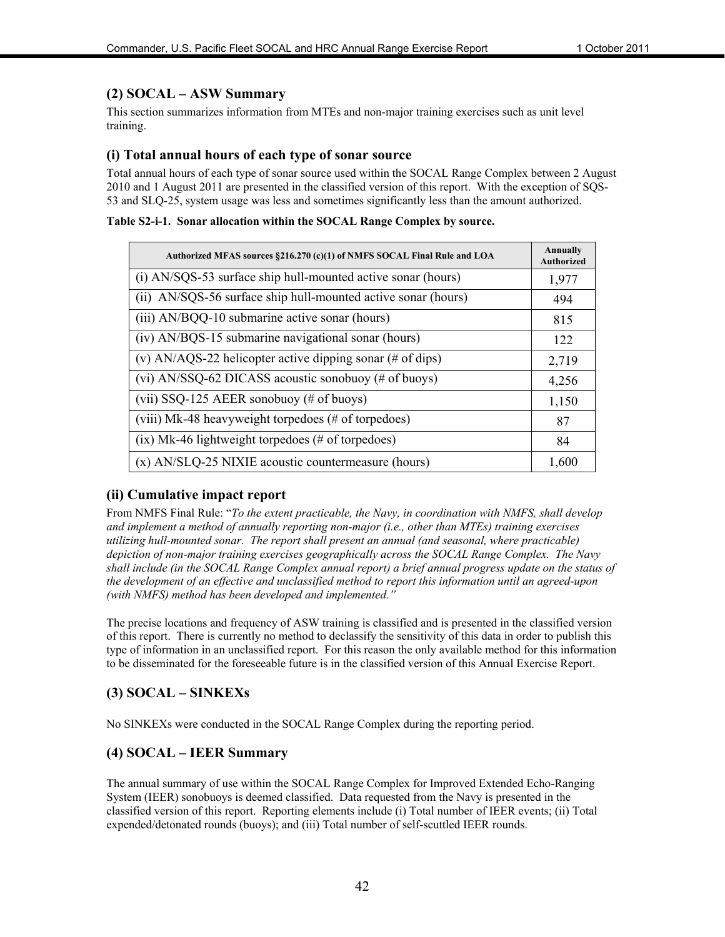#### **(2) SOCAL – ASW Summary**

This section summarizes information from MTEs and non-major training exercises such as unit level training.

#### **(i) Total annual hours of each type of sonar source**

Total annual hours of each type of sonar source used within the SOCAL Range Complex between 2 August 2010 and 1 August 2011 are presented in the classified version of this report. With the exception of SQS-53 and SLQ-25, system usage was less and sometimes significantly less than the amount authorized.

#### **Table S2-i-1. Sonar allocation within the SOCAL Range Complex by source.**

| Authorized MFAS sources §216.270 (c)(1) of NMFS SOCAL Final Rule and LOA     | Annually<br><b>Authorized</b> |
|------------------------------------------------------------------------------|-------------------------------|
| (i) AN/SQS-53 surface ship hull-mounted active sonar (hours)                 | 1,977                         |
| (ii) AN/SQS-56 surface ship hull-mounted active sonar (hours)                | 494                           |
| (iii) AN/BQQ-10 submarine active sonar (hours)                               | 815                           |
| (iv) AN/BQS-15 submarine navigational sonar (hours)                          | 122                           |
| (v) AN/AQS-22 helicopter active dipping sonar $(\# \text{ of } \text{dips})$ | 2,719                         |
| (vi) AN/SSQ-62 DICASS acoustic sonobuoy (# of buoys)                         | 4,256                         |
| (vii) SSQ-125 AEER sonobuoy (# of buoys)                                     | 1,150                         |
| (viii) Mk-48 heavyweight torpedoes (# of torpedoes)                          | 87                            |
| $(ix)$ Mk-46 lightweight torpedoes (# of torpedoes)                          | 84                            |
| $(x)$ AN/SLQ-25 NIXIE acoustic countermeasure (hours)                        | 1,600                         |

#### **(ii) Cumulative impact report**

From NMFS Final Rule: "*To the extent practicable, the Navy, in coordination with NMFS, shall develop and implement a method of annually reporting non-major (i.e., other than MTEs) training exercises utilizing hull-mounted sonar. The report shall present an annual (and seasonal, where practicable) depiction of non-major training exercises geographically across the SOCAL Range Complex. The Navy shall include (in the SOCAL Range Complex annual report) a brief annual progress update on the status of the development of an effective and unclassified method to report this information until an agreed-upon (with NMFS) method has been developed and implemented."*

The precise locations and frequency of ASW training is classified and is presented in the classified version of this report. There is currently no method to declassify the sensitivity of this data in order to publish this type of information in an unclassified report. For this reason the only available method for this information to be disseminated for the foreseeable future is in the classified version of this Annual Exercise Report.

#### **(3) SOCAL – SINKEXs**

No SINKEXs were conducted in the SOCAL Range Complex during the reporting period.

#### **(4) SOCAL – IEER Summary**

The annual summary of use within the SOCAL Range Complex for Improved Extended Echo-Ranging System (IEER) sonobuoys is deemed classified. Data requested from the Navy is presented in the classified version of this report. Reporting elements include (i) Total number of IEER events; (ii) Total expended/detonated rounds (buoys); and (iii) Total number of self-scuttled IEER rounds.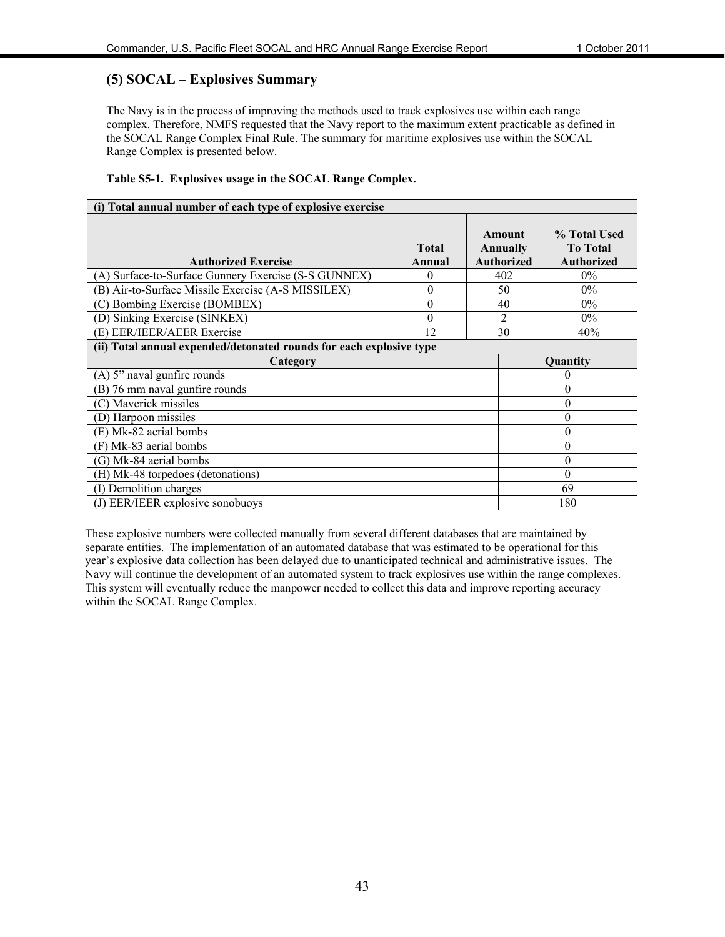#### **(5) SOCAL – Explosives Summary**

The Navy is in the process of improving the methods used to track explosives use within each range complex. Therefore, NMFS requested that the Navy report to the maximum extent practicable as defined in the SOCAL Range Complex Final Rule. The summary for maritime explosives use within the SOCAL Range Complex is presented below.

#### **Table S5-1. Explosives usage in the SOCAL Range Complex.**

| (i) Total annual number of each type of explosive exercise          |                        |                                         |                                                      |
|---------------------------------------------------------------------|------------------------|-----------------------------------------|------------------------------------------------------|
| <b>Authorized Exercise</b>                                          | <b>Total</b><br>Annual | Amount<br>Annually<br><b>Authorized</b> | % Total Used<br><b>To Total</b><br><b>Authorized</b> |
| (A) Surface-to-Surface Gunnery Exercise (S-S GUNNEX)                | $\theta$               | 402                                     | $0\%$                                                |
| (B) Air-to-Surface Missile Exercise (A-S MISSILEX)                  | 0                      | 50                                      | $0\%$                                                |
| (C) Bombing Exercise (BOMBEX)                                       | $\theta$               | 40                                      | $0\%$                                                |
| Sinking Exercise (SINKEX)<br>(D)                                    | $\theta$               | $\overline{2}$                          | $0\%$                                                |
| (E) EER/IEER/AEER Exercise                                          | 12                     | 30                                      | 40%                                                  |
| (ii) Total annual expended/detonated rounds for each explosive type |                        |                                         |                                                      |
| Category                                                            |                        |                                         | Quantity                                             |
| (A) 5" naval gunfire rounds                                         |                        |                                         | $\theta$                                             |
| (B) 76 mm naval gunfire rounds                                      |                        |                                         | $\theta$                                             |
| (C) Maverick missiles                                               |                        |                                         | $\theta$                                             |
| (D) Harpoon missiles                                                |                        |                                         | $\theta$                                             |
| (E) Mk-82 aerial bombs                                              |                        |                                         | $\theta$                                             |
| (F) Mk-83 aerial bombs                                              |                        |                                         | $\theta$                                             |
| (G) Mk-84 aerial bombs                                              |                        |                                         | $\theta$                                             |
| (H) Mk-48 torpedoes (detonations)                                   |                        |                                         | $\theta$                                             |
| (I) Demolition charges                                              |                        |                                         | 69                                                   |
| (J) EER/IEER explosive sonobuoys                                    |                        |                                         | 180                                                  |

These explosive numbers were collected manually from several different databases that are maintained by separate entities. The implementation of an automated database that was estimated to be operational for this year's explosive data collection has been delayed due to unanticipated technical and administrative issues. The Navy will continue the development of an automated system to track explosives use within the range complexes. This system will eventually reduce the manpower needed to collect this data and improve reporting accuracy within the SOCAL Range Complex.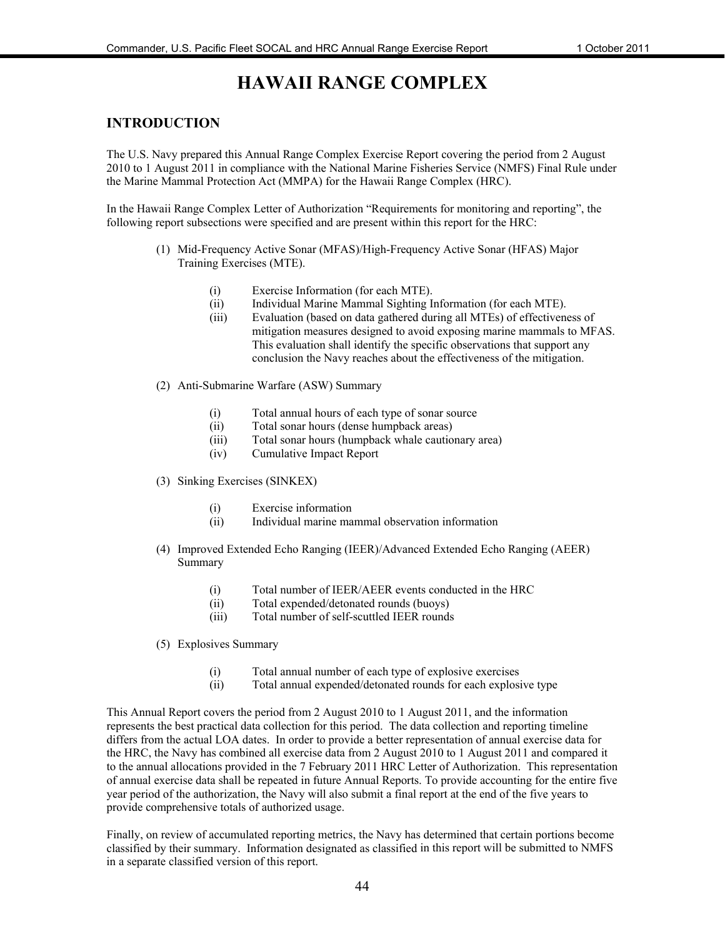# **HAWAII RANGE COMPLEX**

#### **INTRODUCTION**

The U.S. Navy prepared this Annual Range Complex Exercise Report covering the period from 2 August 2010 to 1 August 2011 in compliance with the National Marine Fisheries Service (NMFS) Final Rule under the Marine Mammal Protection Act (MMPA) for the Hawaii Range Complex (HRC).

In the Hawaii Range Complex Letter of Authorization "Requirements for monitoring and reporting", the following report subsections were specified and are present within this report for the HRC:

- (1) Mid-Frequency Active Sonar (MFAS)/High-Frequency Active Sonar (HFAS) Major Training Exercises (MTE).
	- (i) Exercise Information (for each MTE).
	- (ii) Individual Marine Mammal Sighting Information (for each MTE).
	- (iii) Evaluation (based on data gathered during all MTEs) of effectiveness of mitigation measures designed to avoid exposing marine mammals to MFAS. This evaluation shall identify the specific observations that support any conclusion the Navy reaches about the effectiveness of the mitigation.
- (2) Anti-Submarine Warfare (ASW) Summary
	- (i) Total annual hours of each type of sonar source
	- (ii) Total sonar hours (dense humpback areas)
	- (iii) Total sonar hours (humpback whale cautionary area)
	- (iv) Cumulative Impact Report
- (3) Sinking Exercises (SINKEX)
	- (i) Exercise information
	- (ii) Individual marine mammal observation information
- (4) Improved Extended Echo Ranging (IEER)/Advanced Extended Echo Ranging (AEER) Summary
	- (i) Total number of IEER/AEER events conducted in the HRC
	- (ii) Total expended/detonated rounds (buoys)
	- (iii) Total number of self-scuttled IEER rounds
- (5) Explosives Summary
	- (i) Total annual number of each type of explosive exercises
	- (ii) Total annual expended/detonated rounds for each explosive type

This Annual Report covers the period from 2 August 2010 to 1 August 2011, and the information represents the best practical data collection for this period. The data collection and reporting timeline differs from the actual LOA dates. In order to provide a better representation of annual exercise data for the HRC, the Navy has combined all exercise data from 2 August 2010 to 1 August 2011 and compared it to the annual allocations provided in the 7 February 2011 HRC Letter of Authorization. This representation of annual exercise data shall be repeated in future Annual Reports. To provide accounting for the entire five year period of the authorization, the Navy will also submit a final report at the end of the five years to provide comprehensive totals of authorized usage.

Finally, on review of accumulated reporting metrics, the Navy has determined that certain portions become classified by their summary. Information designated as classified in this report will be submitted to NMFS in a separate classified version of this report.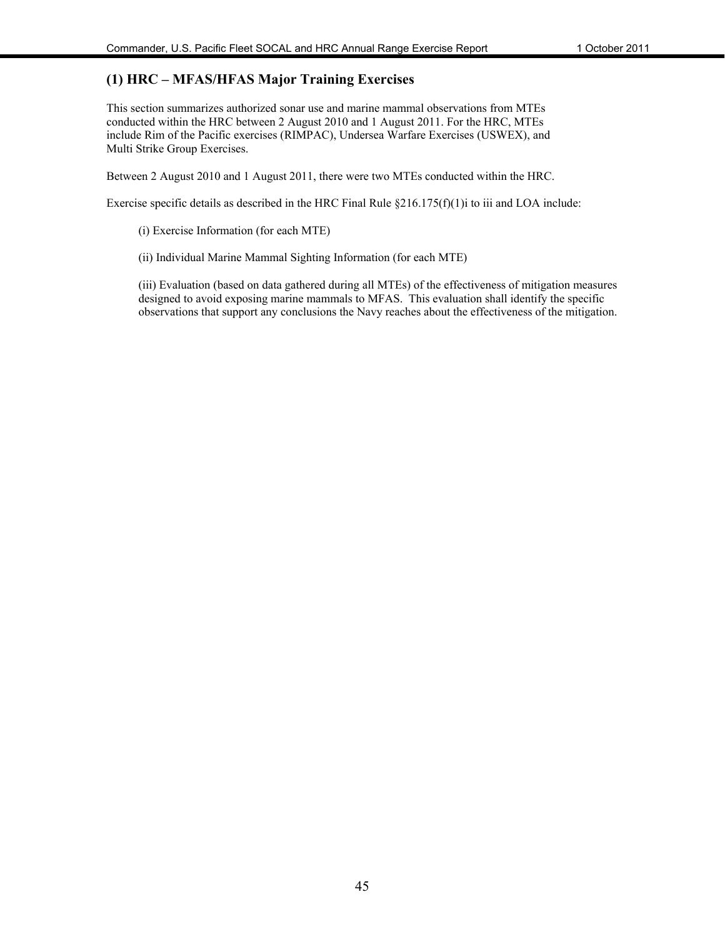#### **(1) HRC – MFAS/HFAS Major Training Exercises**

This section summarizes authorized sonar use and marine mammal observations from MTEs conducted within the HRC between 2 August 2010 and 1 August 2011. For the HRC, MTEs include Rim of the Pacific exercises (RIMPAC), Undersea Warfare Exercises (USWEX), and Multi Strike Group Exercises.

Between 2 August 2010 and 1 August 2011, there were two MTEs conducted within the HRC.

Exercise specific details as described in the HRC Final Rule  $\S216.175(f)(1)$  to iii and LOA include:

- (i) Exercise Information (for each MTE)
- (ii) Individual Marine Mammal Sighting Information (for each MTE)

(iii) Evaluation (based on data gathered during all MTEs) of the effectiveness of mitigation measures designed to avoid exposing marine mammals to MFAS. This evaluation shall identify the specific observations that support any conclusions the Navy reaches about the effectiveness of the mitigation.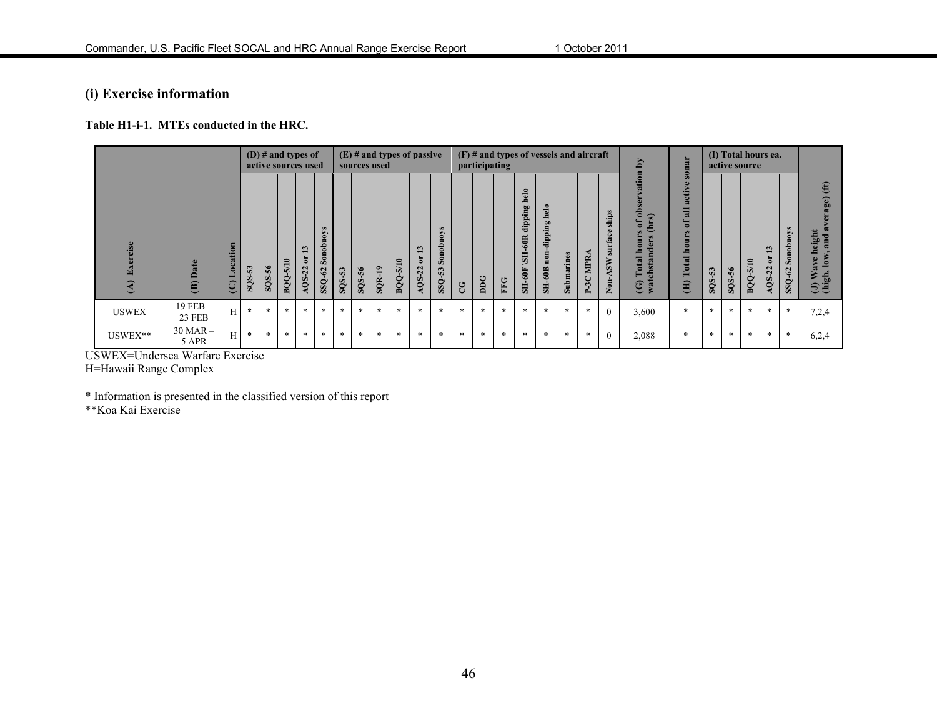## **(i) Exercise information**

**Table H1-i-1. MTEs conducted in the HRC.** 

|                           |                        |                                        |                                                |                          | (D) # and types of<br>active sources used |                         |                                                             |        |                                           | sources used  |                                        | $(E)$ # and types of passive                             |                                                              |        |              | $(F)$ # and types of vessels and aircraft<br>participating |                                                                                   |                                                                                       |            |                |                                                                       | Δy                                                                                                    | onar                                                                                                                                                           |        |        | (I) Total hours ea.<br>active source |                                          |                                     |                                                                                                                    |
|---------------------------|------------------------|----------------------------------------|------------------------------------------------|--------------------------|-------------------------------------------|-------------------------|-------------------------------------------------------------|--------|-------------------------------------------|---------------|----------------------------------------|----------------------------------------------------------|--------------------------------------------------------------|--------|--------------|------------------------------------------------------------|-----------------------------------------------------------------------------------|---------------------------------------------------------------------------------------|------------|----------------|-----------------------------------------------------------------------|-------------------------------------------------------------------------------------------------------|----------------------------------------------------------------------------------------------------------------------------------------------------------------|--------|--------|--------------------------------------|------------------------------------------|-------------------------------------|--------------------------------------------------------------------------------------------------------------------|
| Exercise<br>$\widehat{A}$ | (B) Date               | tion<br>ocai<br>$\widehat{\mathbb{C}}$ | $\mathbf{\omega}$<br><b>v</b><br>$\frac{2}{5}$ | $-56$<br>SQ <sub>S</sub> | 5/10<br>BQQ.                              | 3<br>ă<br>$-22$<br>AQS. | $\bullet$<br>$\mathbf{S}$<br>nob<br>$\mathcal{S}$<br>SSQ-62 | SQS-53 | $\frac{56}{5}$<br>$\overline{\text{SOS}}$ | <b>SQR-19</b> | $\mathbf{r}$<br>$\overline{5}$<br>BQQ. | $\mathbf{c}$<br>$\blacksquare$<br>ä<br>$-22$<br>$\infty$ | $\bullet$<br>Š<br>$_{\rm nob}$<br>$\mathbf{S}$<br>53<br>SSQ. | CG     | $_{\rm DDG}$ | FFG                                                        | helo<br>50<br>÷.<br>dip<br>60R<br><b>HIS</b><br>$\mathrm{SH}\text{-}60\mathrm{F}$ | $\overline{e}$<br>흐<br>$\overline{\mathbf{a}}$<br>İppi<br>ᄒ<br>non<br>$\text{SH-60B}$ | Submarines | MPR.<br>$P-3C$ | hips<br>$\bullet$<br>త<br>5ur<br>$\tilde{s}$<br>$\sum_{n=1}^{\infty}$ | ation<br>$\frac{1}{2}$<br>5<br>ā<br>E<br>ō<br>otal<br>sta<br>atcl<br>$\widehat{\mathbf{C}}$<br>$\geq$ | $\overline{a}$<br>$\bullet$<br>$\Rightarrow$<br>acti<br>$\overline{\mathbf{a}}$<br>$\bullet$<br>$\overline{u}$<br>$\bullet$<br>٠<br>otal<br>⊨<br>$\widehat{H}$ | SQS-53 | SQS-56 | <b>BQQ-5/10</b>                      | $\mathbf{\hat{z}}$<br>ö<br>$-22$<br>AQS. | $\bullet$<br>Von<br>Sonob<br>SSQ-62 | (ft)<br>rage)<br>Ġ.<br>heigh<br>and<br>low,<br>$\overline{\mathbf{a}}$<br>$\frac{1}{2}$ Wa<br>(high, $\frac{1}{2}$ |
| <b>USWEX</b>              | $19$ FEB $-$<br>23 FEB | H                                      | $\ast$                                         | $\ast$                   | $\ast$                                    | $\ast$                  | $\ast$                                                      | $\ast$ | $\ast$                                    | *             | $\ast$                                 | $\ast$                                                   | $\ast$                                                       | $\ast$ | $\ast$       | $\ast$                                                     | $\ast$                                                                            | $\ast$                                                                                | $\ast$     | $\ast$         | $\theta$                                                              | 3,600                                                                                                 | $\ast$                                                                                                                                                         | $\ast$ | $\ast$ | $\ast$                               | $\ast$                                   | $\ast$                              | 7,2,4                                                                                                              |
| USWEX**                   | $30$ MAR $-$<br>5 APR  | H                                      | $\ast$                                         | $\ast$                   | $\ast$                                    | $\ast$                  | $\ast$                                                      | $\ast$ | $\ast$                                    | $\ast$        | $\ast$                                 | $\ast$                                                   | $\ast$                                                       | $\ast$ | $\ast$       | ∗                                                          | $\ast$                                                                            | $\ast$                                                                                | $\ast$     | $\ast$         | $\theta$                                                              | 2,088                                                                                                 | $\ast$                                                                                                                                                         | $\ast$ | $\ast$ | $\ast$                               | *                                        | $\ast$                              | 6,2,4                                                                                                              |

USWEX=Undersea Warfare Exercise H=Hawaii Range Complex

\* Information is presented in the classified version of this report

\*\*Koa Kai Exercise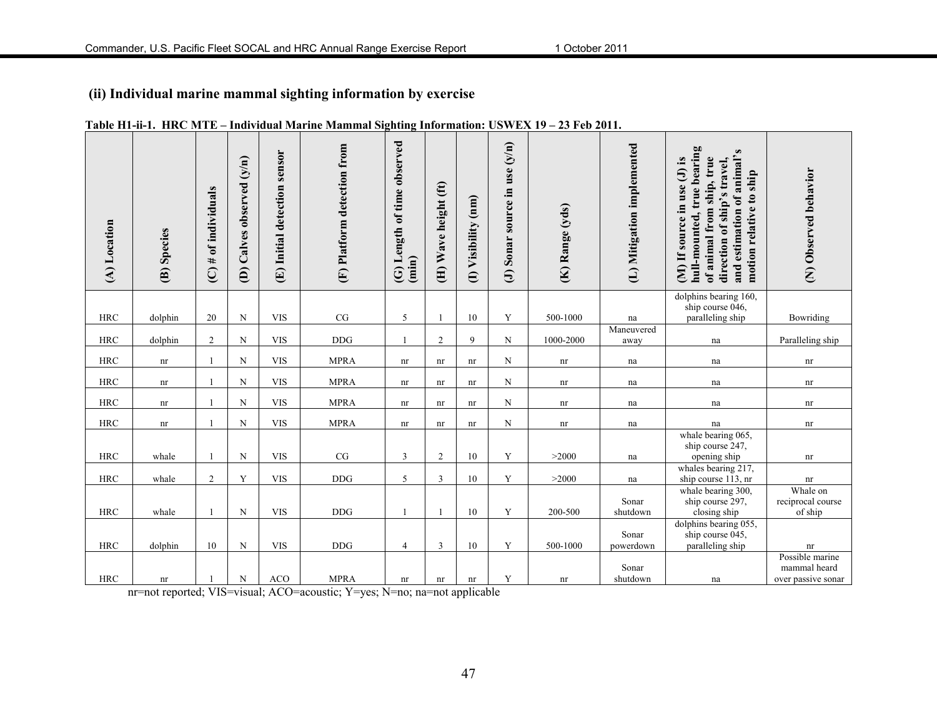## **(ii) Individual marine mammal sighting information by exercise**

| (A) Location | (B) Species                | $(C)$ # of individuals | Calves observed (y/n)<br>$\widehat{e}$ | sensor<br>(E) Initial detection | (F) Platform detection from | (G) Length of time observed<br>$(\min)$ | (H) Wave height (ft) | Visibility (nm)<br>$\oplus$ | use $(y/n)$<br>source in<br>Sonar<br>$\Theta$ | (K) Range (yds) | (L) Mitigation implemented | hull-mounted, true bearing<br>and estimation of animal's<br>of animal from ship, true<br>$(M)$ If source in use $(J)$ is<br>direction of ship's travel,<br>motion relative to ship | (N) Observed behavior              |
|--------------|----------------------------|------------------------|----------------------------------------|---------------------------------|-----------------------------|-----------------------------------------|----------------------|-----------------------------|-----------------------------------------------|-----------------|----------------------------|------------------------------------------------------------------------------------------------------------------------------------------------------------------------------------|------------------------------------|
|              |                            |                        |                                        |                                 |                             |                                         |                      |                             |                                               |                 |                            | dolphins bearing 160,<br>ship course 046,                                                                                                                                          |                                    |
| <b>HRC</b>   | dolphin                    | 20                     | $\mathbf N$                            | <b>VIS</b>                      | CG                          | 5                                       |                      | 10                          | Y                                             | 500-1000        | na<br>Maneuvered           | paralleling ship                                                                                                                                                                   | Bowriding                          |
| <b>HRC</b>   | dolphin                    | $\overline{c}$         | N                                      | <b>VIS</b>                      | <b>DDG</b>                  | 1                                       | $\overline{2}$       | 9                           | N                                             | $1000 - 2000$   | away                       | na                                                                                                                                                                                 | Paralleling ship                   |
| <b>HRC</b>   | $\mathop{\rm nr}\nolimits$ |                        | N                                      | <b>VIS</b>                      | <b>MPRA</b>                 | nr                                      | nr                   | $\mathop{\rm nr}\nolimits$  | N                                             | nr              | na                         | na                                                                                                                                                                                 | nr                                 |
|              |                            |                        |                                        |                                 |                             |                                         |                      |                             |                                               |                 |                            |                                                                                                                                                                                    |                                    |
| <b>HRC</b>   | nr                         |                        | N                                      | <b>VIS</b>                      | <b>MPRA</b>                 | nr                                      | nr                   | nr                          | N                                             | nr              | na                         | na                                                                                                                                                                                 | nr                                 |
| <b>HRC</b>   | nr                         | $\mathbf{1}$           | N                                      | <b>VIS</b>                      | <b>MPRA</b>                 | nr                                      | nr                   | nr                          | $\mathbf N$                                   | nr              | na                         | na                                                                                                                                                                                 | nr                                 |
| <b>HRC</b>   | $\mathop{\rm nr}\nolimits$ |                        | N                                      | <b>VIS</b>                      | <b>MPRA</b>                 | nr                                      | nr                   | nr                          | $\mathbf N$                                   | nr              | na                         | na                                                                                                                                                                                 | nr                                 |
|              |                            |                        |                                        |                                 |                             |                                         |                      |                             |                                               |                 |                            | whale bearing 065,<br>ship course 247,                                                                                                                                             |                                    |
| <b>HRC</b>   | whale                      |                        | N                                      | <b>VIS</b>                      | CG                          | 3                                       | $\overline{2}$       | 10                          | Y                                             | >2000           | na                         | opening ship                                                                                                                                                                       | nr                                 |
| <b>HRC</b>   | whale                      | $\overline{c}$         | Y                                      | <b>VIS</b>                      | <b>DDG</b>                  | 5                                       | $\overline{3}$       | 10                          | Y                                             | >2000           | na                         | whales bearing 217,<br>ship course 113, nr                                                                                                                                         | $\mathop{\rm nr}\nolimits$         |
|              |                            |                        |                                        |                                 |                             |                                         |                      |                             |                                               |                 |                            | whale bearing 300,                                                                                                                                                                 | Whale on                           |
|              |                            |                        |                                        |                                 |                             |                                         |                      |                             |                                               |                 | Sonar                      | ship course 297,                                                                                                                                                                   | reciprocal course                  |
| <b>HRC</b>   | whale                      |                        | N                                      | <b>VIS</b>                      | <b>DDG</b>                  | $\mathbf{1}$                            |                      | 10                          | Y                                             | 200-500         | shutdown                   | closing ship<br>dolphins bearing 055,                                                                                                                                              | of ship                            |
|              |                            |                        |                                        |                                 |                             |                                         |                      |                             |                                               |                 | Sonar                      | ship course 045,                                                                                                                                                                   |                                    |
| <b>HRC</b>   | dolphin                    | 10                     | N                                      | <b>VIS</b>                      | <b>DDG</b>                  | $\overline{4}$                          | 3                    | 10                          | Y                                             | 500-1000        | powerdown                  | paralleling ship                                                                                                                                                                   | nr                                 |
|              |                            |                        |                                        |                                 |                             |                                         |                      |                             |                                               |                 |                            |                                                                                                                                                                                    | Possible marine                    |
| <b>HRC</b>   | nr                         |                        | $\mathbf N$                            | <b>ACO</b>                      | <b>MPRA</b>                 | nr                                      | nr                   | nr                          | Y                                             | nr              | Sonar<br>shutdown          | na                                                                                                                                                                                 | mammal heard<br>over passive sonar |

#### **Table H1-ii-1. HRC MTE – Individual Marine Mammal Sighting Information: USWEX 19 – 23 Feb 2011.**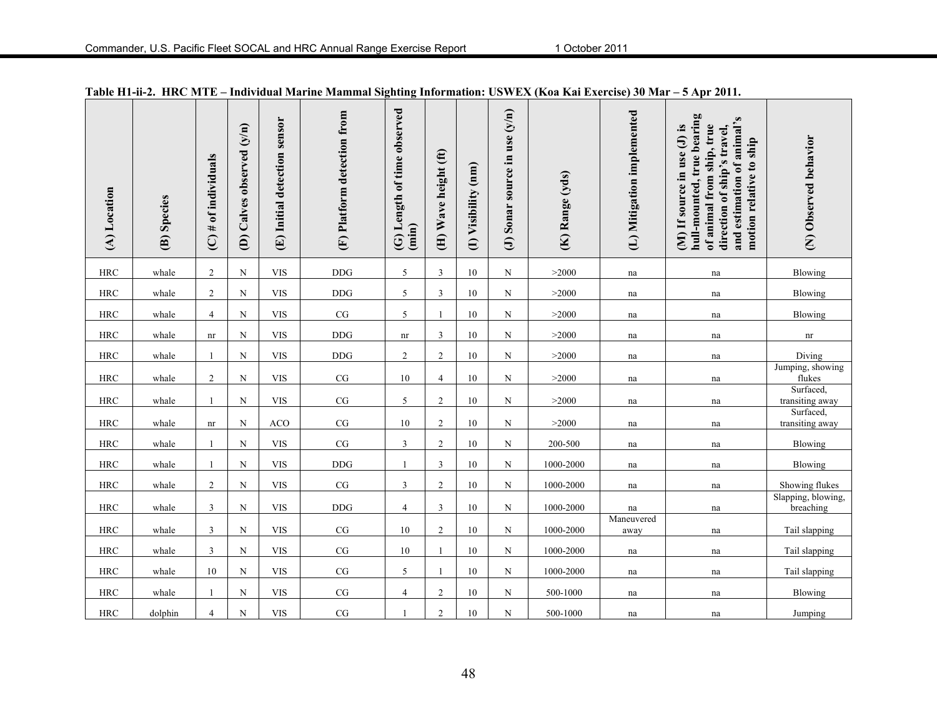| (A) Location | (B) Species | $(C)$ # of individuals     | (D) Calves observed (y/n) | sensor<br>Initial detection<br>$\bigoplus$ | (F) Platform detection from | (G) Length of time observed<br>(imin) | (H) Wave height (ft) | (I) Visibility (nm) | (J) Sonar source in use $(y/n)$ | (K) Range (yds) | (L) Mitigation implemented | hull-mounted, true bearing<br>and estimation of animal's<br>of animal from ship, true<br>(M) If source in use (J) is<br>direction of ship's travel,<br>motion relative to ship | (N) Observed behavior           |
|--------------|-------------|----------------------------|---------------------------|--------------------------------------------|-----------------------------|---------------------------------------|----------------------|---------------------|---------------------------------|-----------------|----------------------------|--------------------------------------------------------------------------------------------------------------------------------------------------------------------------------|---------------------------------|
| $\rm HRC$    | whale       | $\overline{2}$             | $\mathbf N$               | <b>VIS</b>                                 | <b>DDG</b>                  | 5                                     | 3                    | 10                  | N                               | >2000           | na                         | na                                                                                                                                                                             | Blowing                         |
| <b>HRC</b>   | whale       | $\overline{c}$             | N                         | <b>VIS</b>                                 | <b>DDG</b>                  | 5                                     | 3                    | 10                  | N                               | >2000           | na                         | na                                                                                                                                                                             | Blowing                         |
| <b>HRC</b>   | whale       | $\overline{4}$             | N                         | <b>VIS</b>                                 | $\rm{CG}$                   | 5                                     |                      | 10                  | N                               | >2000           | na                         | na                                                                                                                                                                             | Blowing                         |
| $\rm HRC$    | whale       | $\mathop{\rm nr}\nolimits$ | N                         | <b>VIS</b>                                 | $\rm{DDG}$                  | nr                                    | 3                    | 10                  | N                               | >2000           | na                         | $\operatorname{na}$                                                                                                                                                            | $\mathop{\rm nr}\nolimits$      |
| <b>HRC</b>   | whale       | -1                         | N                         | <b>VIS</b>                                 | <b>DDG</b>                  | $\overline{2}$                        | $\overline{2}$       | 10                  | N                               | >2000           | na                         | na                                                                                                                                                                             | Diving                          |
| <b>HRC</b>   | whale       | $\overline{2}$             | N                         | <b>VIS</b>                                 | $\rm{CG}$                   | 10                                    | 4                    | 10                  | N                               | >2000           | na                         | na                                                                                                                                                                             | Jumping, showing<br>flukes      |
| $\rm HRC$    | whale       | $\overline{1}$             | N                         | <b>VIS</b>                                 | $\rm{CG}$                   | 5                                     | $\overline{c}$       | 10                  | N                               | >2000           | na                         | na                                                                                                                                                                             | Surfaced,<br>transiting away    |
| <b>HRC</b>   | whale       | nr                         | N                         | <b>ACO</b>                                 | $\rm{CG}$                   | 10                                    | 2                    | 10                  | N                               | >2000           | na                         | na                                                                                                                                                                             | Surfaced,<br>transiting away    |
| <b>HRC</b>   | whale       | $\overline{1}$             | N                         | <b>VIS</b>                                 | $\rm{CG}$                   | 3                                     | 2                    | 10                  | N                               | 200-500         | na                         | na                                                                                                                                                                             | Blowing                         |
| <b>HRC</b>   | whale       | $\overline{1}$             | N                         | <b>VIS</b>                                 | <b>DDG</b>                  | -1                                    | 3                    | $10\,$              | N                               | 1000-2000       | na                         | na                                                                                                                                                                             | Blowing                         |
| <b>HRC</b>   | whale       | $\overline{2}$             | N                         | <b>VIS</b>                                 | $\rm{CG}$                   | 3                                     | $\overline{2}$       | 10                  | N                               | 1000-2000       | na                         | na                                                                                                                                                                             | Showing flukes                  |
| <b>HRC</b>   | whale       | 3                          | N                         | <b>VIS</b>                                 | <b>DDG</b>                  | $\overline{4}$                        | 3                    | 10                  | N                               | 1000-2000       | na                         | na                                                                                                                                                                             | Slapping, blowing,<br>breaching |
| $\rm HRC$    | whale       | 3                          | N                         | <b>VIS</b>                                 | $\rm{CG}$                   | 10                                    | $\overline{c}$       | 10                  | N                               | 1000-2000       | Maneuvered<br>away         | na                                                                                                                                                                             | Tail slapping                   |
| $\rm HRC$    | whale       | 3                          | N                         | <b>VIS</b>                                 | $\rm{CG}$                   | 10                                    | $\mathbf{1}$         | 10                  | N                               | 1000-2000       | na                         | na                                                                                                                                                                             | Tail slapping                   |
| $\rm HRC$    | whale       | 10                         | N                         | <b>VIS</b>                                 | $\rm{CG}$                   | 5                                     |                      | 10                  | N                               | 1000-2000       | na                         | na                                                                                                                                                                             | Tail slapping                   |
| $\rm HRC$    | whale       | $\overline{1}$             | N                         | <b>VIS</b>                                 | $\rm{CG}$                   | $\overline{4}$                        | $\overline{2}$       | 10                  | N                               | 500-1000        | na                         | na                                                                                                                                                                             | Blowing                         |
| $\rm HRC$    | dolphin     | $\overline{4}$             | N                         | <b>VIS</b>                                 | $\rm{CG}$                   | -1                                    | $\overline{2}$       | 10                  | N                               | 500-1000        | na                         | na                                                                                                                                                                             | Jumping                         |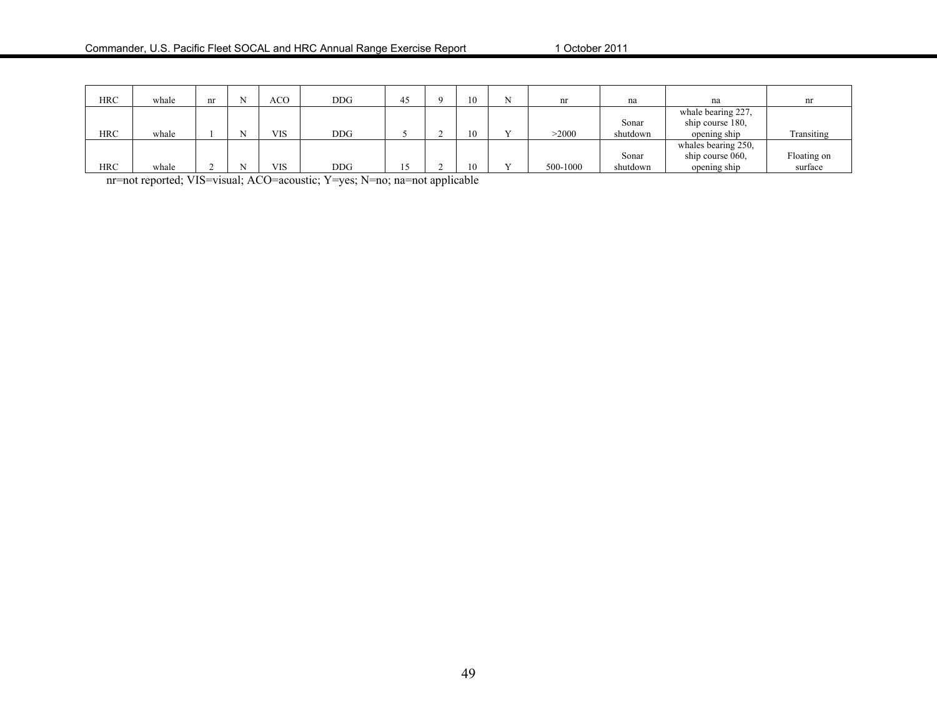| <b>HRC</b> | whale | nr | ACO | DDG | 45 | 10             | nr       | na       | na                                     | nr          |
|------------|-------|----|-----|-----|----|----------------|----------|----------|----------------------------------------|-------------|
|            |       |    |     |     |    |                |          | Sonar    | whale bearing 227,<br>ship course 180. |             |
| <b>HRC</b> | whale |    | VIS | DDG |    | $\overline{0}$ | >2000    | shutdown | opening ship                           | Transiting  |
|            |       |    |     |     |    |                |          |          | whales bearing 250,                    |             |
|            |       |    |     |     |    |                |          | Sonar    | ship course 060,                       | Floating on |
| <b>HRC</b> | whale |    | VIS | DDG |    | 10             | 500-1000 | shutdown | opening ship                           | surface     |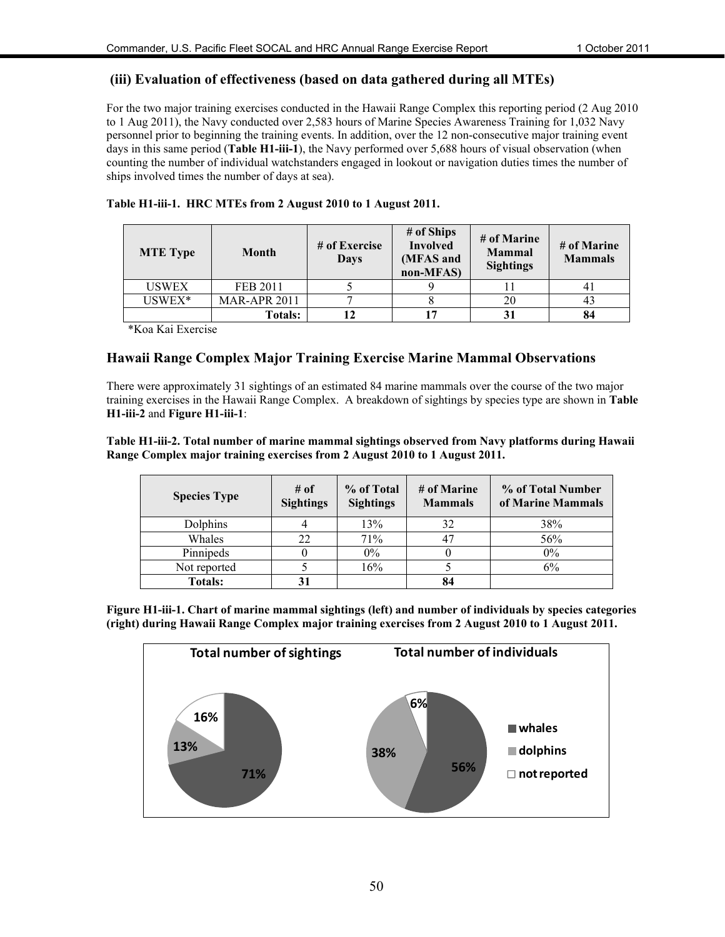#### **(iii) Evaluation of effectiveness (based on data gathered during all MTEs)**

For the two major training exercises conducted in the Hawaii Range Complex this reporting period (2 Aug 2010 to 1 Aug 2011), the Navy conducted over 2,583 hours of Marine Species Awareness Training for 1,032 Navy personnel prior to beginning the training events. In addition, over the 12 non-consecutive major training event days in this same period (**Table H1-iii-1**), the Navy performed over 5,688 hours of visual observation (when counting the number of individual watchstanders engaged in lookout or navigation duties times the number of ships involved times the number of days at sea).

|  | Table H1-iii-1. HRC MTEs from 2 August 2010 to 1 August 2011. |            |  |
|--|---------------------------------------------------------------|------------|--|
|  |                                                               | # of Ships |  |

| <b>MTE</b> Type | <b>Month</b>        | # of Exercise<br>Days | # of Ships<br><b>Involved</b><br>(MFAS and<br>non-MFAS) | # of Marine<br><b>Mammal</b><br><b>Sightings</b> | # of Marine<br><b>Mammals</b> |
|-----------------|---------------------|-----------------------|---------------------------------------------------------|--------------------------------------------------|-------------------------------|
| <b>USWEX</b>    | <b>FEB 2011</b>     |                       |                                                         |                                                  | 4 I                           |
| USWEX*          | <b>MAR-APR 2011</b> |                       |                                                         | 20                                               | 43                            |
|                 | <b>Totals:</b>      |                       | 17                                                      |                                                  | 84                            |

\*Koa Kai Exercise

#### **Hawaii Range Complex Major Training Exercise Marine Mammal Observations**

There were approximately 31 sightings of an estimated 84 marine mammals over the course of the two major training exercises in the Hawaii Range Complex. A breakdown of sightings by species type are shown in **Table H1-iii-2** and **Figure H1-iii-1**:

#### **Table H1-iii-2. Total number of marine mammal sightings observed from Navy platforms during Hawaii Range Complex major training exercises from 2 August 2010 to 1 August 2011.**

| <b>Species Type</b> | # of<br><b>Sightings</b> | % of Total<br><b>Sightings</b> | # of Marine<br><b>Mammals</b> | % of Total Number<br>of Marine Mammals |  |
|---------------------|--------------------------|--------------------------------|-------------------------------|----------------------------------------|--|
| Dolphins            |                          | 13%                            | 32                            | 38%                                    |  |
| Whales              | 22                       | 71%                            | 47                            | 56%                                    |  |
| Pinnipeds           |                          | $0\%$                          |                               | 0%                                     |  |
| Not reported        |                          | 16%                            |                               | 6%                                     |  |
| <b>Totals:</b>      |                          |                                | 84                            |                                        |  |

**Figure H1-iii-1. Chart of marine mammal sightings (left) and number of individuals by species categories (right) during Hawaii Range Complex major training exercises from 2 August 2010 to 1 August 2011.** 

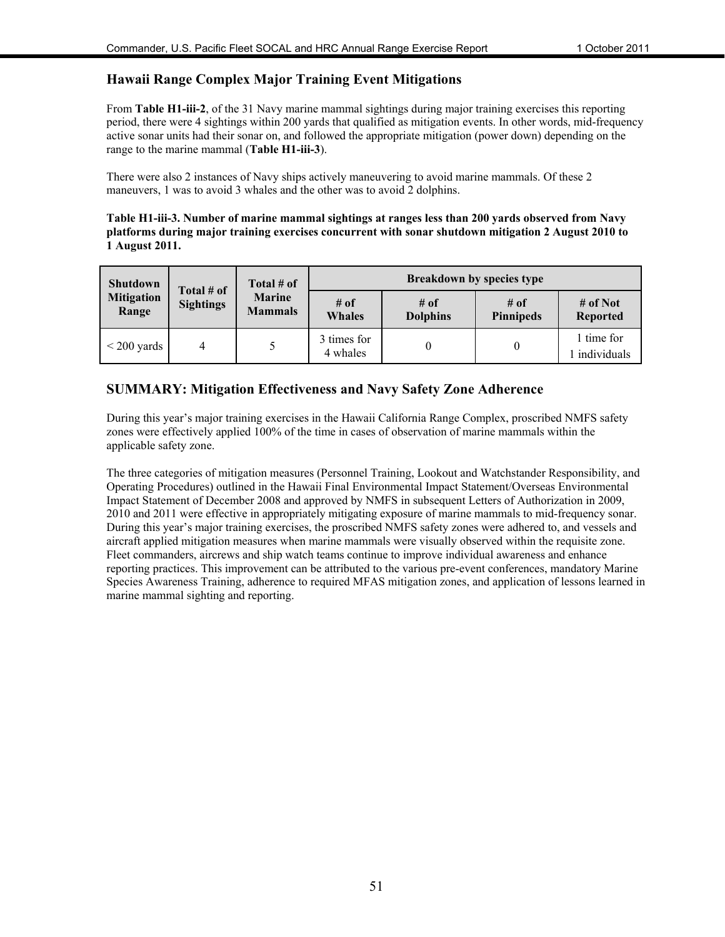#### **Hawaii Range Complex Major Training Event Mitigations**

From **Table H1-iii-2**, of the 31 Navy marine mammal sightings during major training exercises this reporting period, there were 4 sightings within 200 yards that qualified as mitigation events. In other words, mid-frequency active sonar units had their sonar on, and followed the appropriate mitigation (power down) depending on the range to the marine mammal (**Table H1-iii-3**).

There were also 2 instances of Navy ships actively maneuvering to avoid marine mammals. Of these 2 maneuvers, 1 was to avoid 3 whales and the other was to avoid 2 dolphins.

#### **Table H1-iii-3. Number of marine mammal sightings at ranges less than 200 yards observed from Navy platforms during major training exercises concurrent with sonar shutdown mitigation 2 August 2010 to 1 August 2011.**

| <b>Shutdown</b>            | Total # of       | Total # of                      | <b>Breakdown by species type</b> |                         |                            |                             |  |  |  |  |
|----------------------------|------------------|---------------------------------|----------------------------------|-------------------------|----------------------------|-----------------------------|--|--|--|--|
| <b>Mitigation</b><br>Range | <b>Sightings</b> | <b>Marine</b><br><b>Mammals</b> | # of<br><b>Whales</b>            | # of<br><b>Dolphins</b> | $#$ of<br><b>Pinnipeds</b> | # of Not<br><b>Reported</b> |  |  |  |  |
| $\leq$ 200 yards           | 4                |                                 | 3 times for<br>4 whales          |                         | $\theta$                   | 1 time for<br>individuals   |  |  |  |  |

#### **SUMMARY: Mitigation Effectiveness and Navy Safety Zone Adherence**

During this year's major training exercises in the Hawaii California Range Complex, proscribed NMFS safety zones were effectively applied 100% of the time in cases of observation of marine mammals within the applicable safety zone.

The three categories of mitigation measures (Personnel Training, Lookout and Watchstander Responsibility, and Operating Procedures) outlined in the Hawaii Final Environmental Impact Statement/Overseas Environmental Impact Statement of December 2008 and approved by NMFS in subsequent Letters of Authorization in 2009, 2010 and 2011 were effective in appropriately mitigating exposure of marine mammals to mid-frequency sonar. During this year's major training exercises, the proscribed NMFS safety zones were adhered to, and vessels and aircraft applied mitigation measures when marine mammals were visually observed within the requisite zone. Fleet commanders, aircrews and ship watch teams continue to improve individual awareness and enhance reporting practices. This improvement can be attributed to the various pre-event conferences, mandatory Marine Species Awareness Training, adherence to required MFAS mitigation zones, and application of lessons learned in marine mammal sighting and reporting.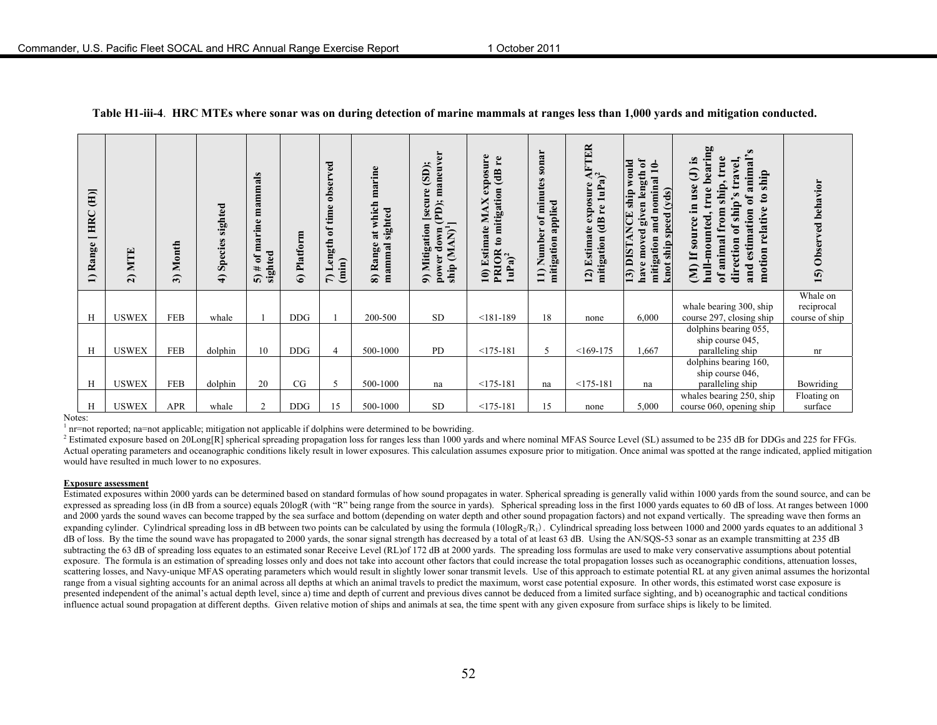| $\overline{E}$<br><b>HRC</b><br>─<br>Range<br>$\overline{1}$ | MTE<br>$\widehat{z}$ | Month<br>$\widehat{\mathfrak{g}}$ | sighted<br>Species<br>$\widehat{\mathbf{f}}$ | mammals<br>marine<br>sighted<br>ъ<br>$5)$ # | Platform<br>$\hat{\bullet}$ | ved<br>obser <sup>-</sup><br>time<br>$\mathbf{f}$<br>Length<br>(imin)<br>$\Gamma$ | marine<br>which<br>sighted<br>at<br>Range<br>mammal<br>බ | maneuver<br>(SD)<br>Mitigation [secure<br>(PD);<br>$\frac{1}{4}$<br>(MAN)<br>ರ<br>power<br>ship<br>వ్ | exposure<br>(dB re<br>mitigation<br>×<br>NN.<br>10) Estimate<br>PRIOR to 1<br>1uPa) <sup>2</sup> | sonar<br>$\bullet$<br>ute<br>min<br>applied<br>$\mathfrak{h}$<br>umber<br>mitigation<br>Z<br>$\Xi$ | <b>TER</b><br>$1uPa$ <sup>2</sup><br>exposure<br>Ľe<br>$\ddot{a}$<br><b>Estimate</b><br>mitigation<br>12) | given length of<br>would<br>ہے<br>nominal<br>(yds)<br>ship<br><b>ANCE</b><br>knot ship speed<br>and.<br>have moved<br>mitigation<br><b>I3) DIST</b> | bearing<br>$\boldsymbol{\omega}$<br>true<br>$\mathbf{S}$<br>travel,<br>animal<br>$\widehat{\mathbf{c}}$<br>ship<br>்<br>in use<br>$\bullet$<br>$\frac{1}{s}$<br>$\mathbf{c}$<br>ō<br>ship's<br>relative<br>$\mathbf{m}$<br>estimation<br>(M) If source<br>$_{\rm red}$<br>đ<br>of animal<br>direction<br>-mou<br>motion<br>$\mathbf{u}$<br>and | ved behavior<br>15) Obser                |
|--------------------------------------------------------------|----------------------|-----------------------------------|----------------------------------------------|---------------------------------------------|-----------------------------|-----------------------------------------------------------------------------------|----------------------------------------------------------|-------------------------------------------------------------------------------------------------------|--------------------------------------------------------------------------------------------------|----------------------------------------------------------------------------------------------------|-----------------------------------------------------------------------------------------------------------|-----------------------------------------------------------------------------------------------------------------------------------------------------|------------------------------------------------------------------------------------------------------------------------------------------------------------------------------------------------------------------------------------------------------------------------------------------------------------------------------------------------|------------------------------------------|
| H                                                            | <b>USWEX</b>         | <b>FEB</b>                        | whale                                        |                                             | <b>DDG</b>                  |                                                                                   | 200-500                                                  | <b>SD</b>                                                                                             | $< 181 - 189$                                                                                    | 18                                                                                                 | none                                                                                                      | 6,000                                                                                                                                               | whale bearing 300, ship<br>course 297, closing ship                                                                                                                                                                                                                                                                                            | Whale on<br>reciprocal<br>course of ship |
| H                                                            | <b>USWEX</b>         | <b>FEB</b>                        | dolphin                                      | 10                                          | <b>DDG</b>                  | 4                                                                                 | 500-1000                                                 | PD                                                                                                    | $<$ 175-181                                                                                      | 5                                                                                                  | $<169-175$                                                                                                | 1,667                                                                                                                                               | dolphins bearing 055,<br>ship course 045,<br>paralleling ship                                                                                                                                                                                                                                                                                  | nr                                       |
|                                                              |                      |                                   |                                              |                                             |                             |                                                                                   |                                                          |                                                                                                       |                                                                                                  |                                                                                                    |                                                                                                           |                                                                                                                                                     | dolphins bearing 160,<br>ship course 046,                                                                                                                                                                                                                                                                                                      |                                          |
| H                                                            | <b>USWEX</b>         | <b>FEB</b>                        | dolphin                                      | 20                                          | CG                          | 5                                                                                 | 500-1000                                                 | na                                                                                                    | $<175-181$                                                                                       | na                                                                                                 | $<175-181$                                                                                                | na                                                                                                                                                  | paralleling ship                                                                                                                                                                                                                                                                                                                               | Bowriding                                |
| H                                                            | <b>USWEX</b>         | <b>APR</b>                        | whale                                        | 2                                           | <b>DDG</b>                  | 15                                                                                | 500-1000                                                 | <b>SD</b>                                                                                             | $<$ 175-181                                                                                      | 15                                                                                                 | none                                                                                                      | 5,000                                                                                                                                               | whales bearing 250, ship<br>course 060, opening ship                                                                                                                                                                                                                                                                                           | Floating on<br>surface                   |

#### **Table H1-iii-4**. **HRC MTEs where sonar was on during detection of marine mammals at ranges less than 1,000 yards and mitigation conducted.**

Notes:

 $<sup>1</sup>$  nr=not reported; na=not applicable; mitigation not applicable if dolphins were determined to be bowriding.</sup>

<sup>2</sup> Estimated exposure based on 20Long[R] spherical spreading propagation loss for ranges less than 1000 yards and where nominal MFAS Source Level (SL) assumed to be 235 dB for DDGs and 225 for FFGs. Actual operating parameters and oceanographic conditions likely result in lower exposures. This calculation assumes exposure prior to mitigation. Once animal was spotted at the range indicated, applied mitigation would have resulted in much lower to no exposures.

#### **Exposure assessment**

Estimated exposures within 2000 yards can be determined based on standard formulas of how sound propagates in water. Spherical spreading is generally valid within 1000 yards from the sound source, and can be expressed as spreading loss (in dB from a source) equals 20logR (with "R" being range from the source in yards). Spherical spreading loss in the first 1000 yards equates to 60 dB of loss. At ranges between 1000 and 2000 yards the sound waves can become trapped by the sea surface and bottom (depending on water depth and other sound propagation factors) and not expand vertically. The spreading wave then forms an expanding cylinder. Cylindrical spreading loss in dB between two points can be calculated by using the formula  $(10\log R/R_1)$ . Cylindrical spreading loss between 1000 and 2000 yards equates to an additional 3 dB of loss. By the time the sound wave has propagated to 2000 yards, the sonar signal strength has decreased by a total of at least 63 dB. Using the AN/SQS-53 sonar as an example transmitting at 235 dB subtracting the 63 dB of spreading loss equates to an estimated sonar Receive Level (RL)of 172 dB at 2000 yards. The spreading loss formulas are used to make very conservative assumptions about potential exposure. The formula is an estimation of spreading losses only and does not take into account other factors that could increase the total propagation losses such as oceanographic conditions, attenuation losses, scattering losses, and Navy-unique MFAS operating parameters which would result in slightly lower sonar transmit levels. Use of this approach to estimate potential RL at any given animal assumes the horizontal range from a visual sighting accounts for an animal across all depths at which an animal travels to predict the maximum, worst case potential exposure. In other words, this estimated worst case exposure is presented independent of the animal's actual depth level, since a) time and depth of current and previous dives cannot be deduced from a limited surface sighting, and b) oceanographic and tactical conditions influence actual sound propagation at different depths. Given relative motion of ships and animals at sea, the time spent with any given exposure from surface ships is likely to be limited.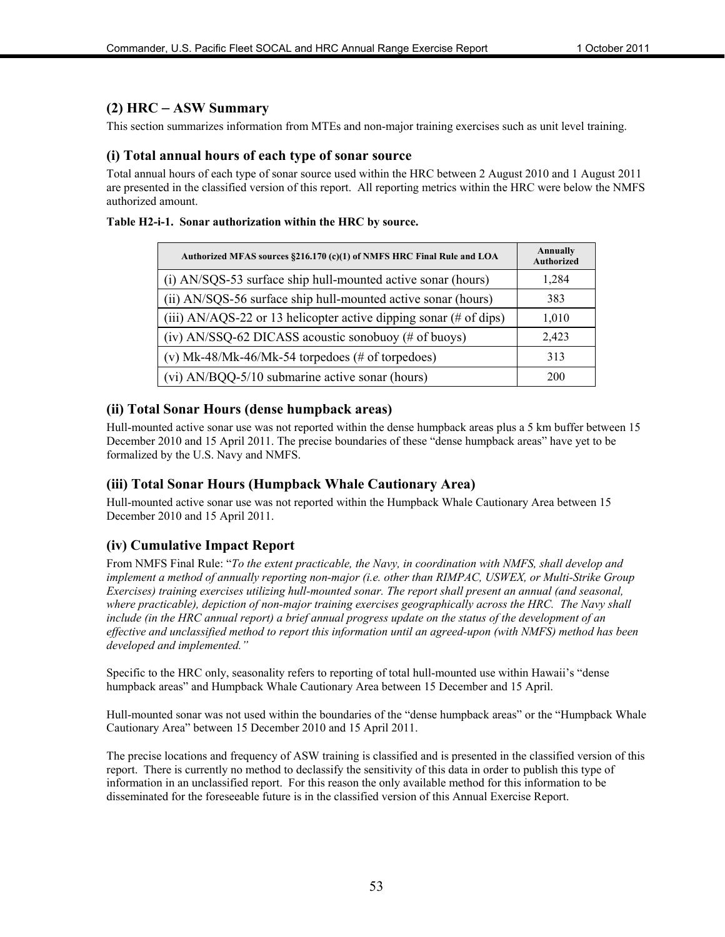#### **(2) HRC** – **ASW Summary**

This section summarizes information from MTEs and non-major training exercises such as unit level training.

#### **(i) Total annual hours of each type of sonar source**

Total annual hours of each type of sonar source used within the HRC between 2 August 2010 and 1 August 2011 are presented in the classified version of this report. All reporting metrics within the HRC were below the NMFS authorized amount.

#### **Table H2-i-1. Sonar authorization within the HRC by source.**

| Authorized MFAS sources §216.170 (c)(1) of NMFS HRC Final Rule and LOA        | Annually<br><b>Authorized</b> |
|-------------------------------------------------------------------------------|-------------------------------|
| (i) AN/SQS-53 surface ship hull-mounted active sonar (hours)                  | 1,284                         |
| (ii) AN/SQS-56 surface ship hull-mounted active sonar (hours)                 | 383                           |
| (iii) AN/AQS-22 or 13 helicopter active dipping sonar $(\# \text{ of } disp)$ | 1,010                         |
| (iv) AN/SSQ-62 DICASS acoustic sonobuoy (# of buoys)                          | 2,423                         |
| (v) Mk-48/Mk-46/Mk-54 torpedoes (# of torpedoes)                              | 313                           |
| (vi) AN/BQQ-5/10 submarine active sonar (hours)                               | 200                           |

#### **(ii) Total Sonar Hours (dense humpback areas)**

Hull-mounted active sonar use was not reported within the dense humpback areas plus a 5 km buffer between 15 December 2010 and 15 April 2011. The precise boundaries of these "dense humpback areas" have yet to be formalized by the U.S. Navy and NMFS.

#### **(iii) Total Sonar Hours (Humpback Whale Cautionary Area)**

Hull-mounted active sonar use was not reported within the Humpback Whale Cautionary Area between 15 December 2010 and 15 April 2011.

#### **(iv) Cumulative Impact Report**

From NMFS Final Rule: "*To the extent practicable, the Navy, in coordination with NMFS, shall develop and implement a method of annually reporting non-major (i.e. other than RIMPAC, USWEX, or Multi-Strike Group Exercises) training exercises utilizing hull-mounted sonar. The report shall present an annual (and seasonal, where practicable), depiction of non-major training exercises geographically across the HRC. The Navy shall include (in the HRC annual report) a brief annual progress update on the status of the development of an effective and unclassified method to report this information until an agreed-upon (with NMFS) method has been developed and implemented."*

Specific to the HRC only, seasonality refers to reporting of total hull-mounted use within Hawaii's "dense humpback areas" and Humpback Whale Cautionary Area between 15 December and 15 April.

Hull-mounted sonar was not used within the boundaries of the "dense humpback areas" or the "Humpback Whale Cautionary Area" between 15 December 2010 and 15 April 2011.

The precise locations and frequency of ASW training is classified and is presented in the classified version of this report. There is currently no method to declassify the sensitivity of this data in order to publish this type of information in an unclassified report. For this reason the only available method for this information to be disseminated for the foreseeable future is in the classified version of this Annual Exercise Report.